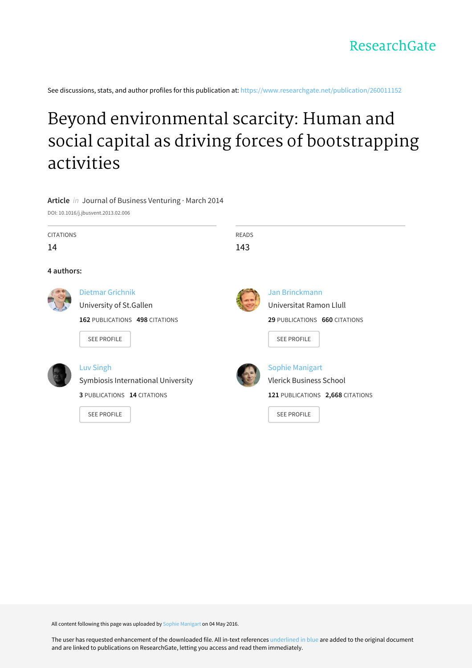See discussions, stats, and author profiles for this publication at: [https://www.researchgate.net/publication/260011152](https://www.researchgate.net/publication/260011152_Beyond_environmental_scarcity_Human_and_social_capital_as_driving_forces_of_bootstrapping_activities?enrichId=rgreq-4ec0cca50bc7534f32b4d70224e43ad0-XXX&enrichSource=Y292ZXJQYWdlOzI2MDAxMTE1MjtBUzozNTc5ODE2MDM1NDkxODZAMTQ2MjM2MDg3MzQ5Mg%3D%3D&el=1_x_2&_esc=publicationCoverPdf)

# Beyond [environmental](https://www.researchgate.net/publication/260011152_Beyond_environmental_scarcity_Human_and_social_capital_as_driving_forces_of_bootstrapping_activities?enrichId=rgreq-4ec0cca50bc7534f32b4d70224e43ad0-XXX&enrichSource=Y292ZXJQYWdlOzI2MDAxMTE1MjtBUzozNTc5ODE2MDM1NDkxODZAMTQ2MjM2MDg3MzQ5Mg%3D%3D&el=1_x_3&_esc=publicationCoverPdf) scarcity: Human and social capital as driving forces of bootstrapping activities

#### **Article** in Journal of Business Venturing · March 2014

DOI: 10.1016/j.jbusvent.2013.02.006

| <b>CITATIONS</b><br>14 |                  | <b>READS</b><br>143 |                |  |
|------------------------|------------------|---------------------|----------------|--|
| 4 authors:             |                  |                     |                |  |
|                        | Dietmar Grichnik |                     | Jan Brinckmann |  |



[University](https://www.researchgate.net/institution/University_of_StGallen2?enrichId=rgreq-4ec0cca50bc7534f32b4d70224e43ad0-XXX&enrichSource=Y292ZXJQYWdlOzI2MDAxMTE1MjtBUzozNTc5ODE2MDM1NDkxODZAMTQ2MjM2MDg3MzQ5Mg%3D%3D&el=1_x_6&_esc=publicationCoverPdf) of St.Gallen

**162** PUBLICATIONS **498** CITATIONS

SEE [PROFILE](https://www.researchgate.net/profile/Dietmar_Grichnik?enrichId=rgreq-4ec0cca50bc7534f32b4d70224e43ad0-XXX&enrichSource=Y292ZXJQYWdlOzI2MDAxMTE1MjtBUzozNTc5ODE2MDM1NDkxODZAMTQ2MjM2MDg3MzQ5Mg%3D%3D&el=1_x_7&_esc=publicationCoverPdf)



## Luv [Singh](https://www.researchgate.net/profile/Luv_Singh2?enrichId=rgreq-4ec0cca50bc7534f32b4d70224e43ad0-XXX&enrichSource=Y292ZXJQYWdlOzI2MDAxMTE1MjtBUzozNTc5ODE2MDM1NDkxODZAMTQ2MjM2MDg3MzQ5Mg%3D%3D&el=1_x_5&_esc=publicationCoverPdf)

Symbiosis [International](https://www.researchgate.net/institution/Symbiosis_International_University?enrichId=rgreq-4ec0cca50bc7534f32b4d70224e43ad0-XXX&enrichSource=Y292ZXJQYWdlOzI2MDAxMTE1MjtBUzozNTc5ODE2MDM1NDkxODZAMTQ2MjM2MDg3MzQ5Mg%3D%3D&el=1_x_6&_esc=publicationCoverPdf) University

**3** PUBLICATIONS **14** CITATIONS

SEE [PROFILE](https://www.researchgate.net/profile/Luv_Singh2?enrichId=rgreq-4ec0cca50bc7534f32b4d70224e43ad0-XXX&enrichSource=Y292ZXJQYWdlOzI2MDAxMTE1MjtBUzozNTc5ODE2MDM1NDkxODZAMTQ2MjM2MDg3MzQ5Mg%3D%3D&el=1_x_7&_esc=publicationCoverPdf)



[Universitat](https://www.researchgate.net/institution/Universitat_Ramon_Llull2?enrichId=rgreq-4ec0cca50bc7534f32b4d70224e43ad0-XXX&enrichSource=Y292ZXJQYWdlOzI2MDAxMTE1MjtBUzozNTc5ODE2MDM1NDkxODZAMTQ2MjM2MDg3MzQ5Mg%3D%3D&el=1_x_6&_esc=publicationCoverPdf) Ramon Llull **29** PUBLICATIONS **660** CITATIONS

SEE [PROFILE](https://www.researchgate.net/profile/Jan_Brinckmann?enrichId=rgreq-4ec0cca50bc7534f32b4d70224e43ad0-XXX&enrichSource=Y292ZXJQYWdlOzI2MDAxMTE1MjtBUzozNTc5ODE2MDM1NDkxODZAMTQ2MjM2MDg3MzQ5Mg%3D%3D&el=1_x_7&_esc=publicationCoverPdf)



Sophie [Manigart](https://www.researchgate.net/profile/Sophie_Manigart?enrichId=rgreq-4ec0cca50bc7534f32b4d70224e43ad0-XXX&enrichSource=Y292ZXJQYWdlOzI2MDAxMTE1MjtBUzozNTc5ODE2MDM1NDkxODZAMTQ2MjM2MDg3MzQ5Mg%3D%3D&el=1_x_5&_esc=publicationCoverPdf) Vlerick [Business](https://www.researchgate.net/institution/Vlerick_Business_School?enrichId=rgreq-4ec0cca50bc7534f32b4d70224e43ad0-XXX&enrichSource=Y292ZXJQYWdlOzI2MDAxMTE1MjtBUzozNTc5ODE2MDM1NDkxODZAMTQ2MjM2MDg3MzQ5Mg%3D%3D&el=1_x_6&_esc=publicationCoverPdf) School **121** PUBLICATIONS **2,668** CITATIONS

SEE [PROFILE](https://www.researchgate.net/profile/Sophie_Manigart?enrichId=rgreq-4ec0cca50bc7534f32b4d70224e43ad0-XXX&enrichSource=Y292ZXJQYWdlOzI2MDAxMTE1MjtBUzozNTc5ODE2MDM1NDkxODZAMTQ2MjM2MDg3MzQ5Mg%3D%3D&el=1_x_7&_esc=publicationCoverPdf)

All content following this page was uploaded by Sophie [Manigart](https://www.researchgate.net/profile/Sophie_Manigart?enrichId=rgreq-4ec0cca50bc7534f32b4d70224e43ad0-XXX&enrichSource=Y292ZXJQYWdlOzI2MDAxMTE1MjtBUzozNTc5ODE2MDM1NDkxODZAMTQ2MjM2MDg3MzQ5Mg%3D%3D&el=1_x_10&_esc=publicationCoverPdf) on 04 May 2016.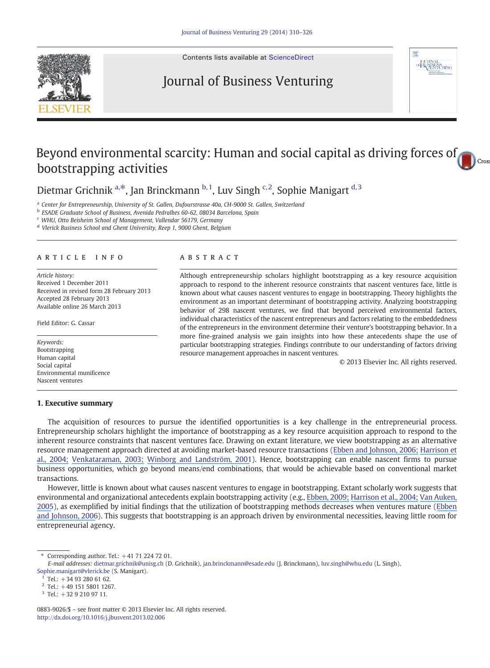

Contents lists available at [ScienceDirect](http://www.sciencedirect.com/science/journal/08839026)

## Journal of Business Venturing

### Beyond environmental scarcity: Human and social capital as driving forces [of](http://crossmark.crossref.org/dialog/?doi=10.1016/j.jbusvent.2013.02.006&domain=pdf)  $\prod$  Cros bootstrapping activities

Dietmar Grichnik a,<sup>\*</sup>, Jan Brinckmann  $b$ ,<sup>1</sup>, Luv Singh <sup>c,2</sup>, Sophie Manigart d,<sup>3</sup>

<sup>a</sup> Center for Entrepreneurship, University of St. Gallen, Dufourstrasse 40a, CH-9000 St. Gallen, Switzerland

b ESADE Graduate School of Business, Avenida Pedralbes 60-62, 08034 Barcelona, Spain

<sup>c</sup> WHU, Otto Beisheim School of Management, Vallendar 56179, Germany

<sup>d</sup> Vlerick Business School and Ghent University, Reep 1, 9000 Ghent, Belgium

#### article info abstract

Article history: Received 1 December 2011 Received in revised form 28 February 2013 Accepted 28 February 2013 Available online 26 March 2013

Field Editor: G. Cassar

Keywords: Bootstrapping Human capital Social capital Environmental munificence Nascent ventures

#### 1. Executive summary

Although entrepreneurship scholars highlight bootstrapping as a key resource acquisition approach to respond to the inherent resource constraints that nascent ventures face, little is known about what causes nascent ventures to engage in bootstrapping. Theory highlights the environment as an important determinant of bootstrapping activity. Analyzing bootstrapping behavior of 298 nascent ventures, we find that beyond perceived environmental factors, individual characteristics of the nascent entrepreneurs and factors relating to the embeddedness of the entrepreneurs in the environment determine their venture's bootstrapping behavior. In a more fine-grained analysis we gain insights into how these antecedents shape the use of particular bootstrapping strategies. Findings contribute to our understanding of factors driving resource management approaches in nascent ventures.

© 2013 Elsevier Inc. All rights reserved.

鹰

of BURNALS

The acquisition of resources to pursue the identified opportunities is a key challenge in the entrepreneurial process. Entrepreneurship scholars highlight the importance of bootstrapping as a key resource acquisition approach to respond to the inherent resource constraints that nascent ventures face. Drawing on extant literature, we view bootstrapping as an alternative resource management approach directed at avoiding market-based resource transactions [\(Ebben and Johnson, 2006; Harrison et](#page-16-0) [al., 2004; Venkataraman, 2003; Winborg and Landström, 2001\)](#page-16-0). Hence, bootstrapping can enable nascent firms to pursue business opportunities, which go beyond means/end combinations, that would be achievable based on conventional market transactions.

However, little is known about what causes nascent ventures to engage in bootstrapping. Extant scholarly work suggests that environmental and organizational antecedents explain bootstrapping activity (e.g., [Ebben, 2009; Harrison et al., 2004; Van Auken](#page-16-0)[,](https://www.researchgate.net/publication/228315293_Differences_in_the_Usage_of_Bootstrap_Financing_Among_Technology-Based_Versus_Nontechnology-Based_Firms?el=1_x_8&enrichId=rgreq-4ec0cca50bc7534f32b4d70224e43ad0-XXX&enrichSource=Y292ZXJQYWdlOzI2MDAxMTE1MjtBUzozNTc5ODE2MDM1NDkxODZAMTQ2MjM2MDg3MzQ5Mg==) [200](https://www.researchgate.net/publication/228315293_Differences_in_the_Usage_of_Bootstrap_Financing_Among_Technology-Based_Versus_Nontechnology-Based_Firms?el=1_x_8&enrichId=rgreq-4ec0cca50bc7534f32b4d70224e43ad0-XXX&enrichSource=Y292ZXJQYWdlOzI2MDAxMTE1MjtBUzozNTc5ODE2MDM1NDkxODZAMTQ2MjM2MDg3MzQ5Mg==)[5](#page-16-0)), as exemplified by initial findings that the utilization of bootstrapping methods decreases when ventures mature ([E](#page-16-0)[bben](https://www.researchgate.net/publication/222269245_Bootstrapping_in_small_firms_An_empirical_analysis_of_change_over_time?el=1_x_8&enrichId=rgreq-4ec0cca50bc7534f32b4d70224e43ad0-XXX&enrichSource=Y292ZXJQYWdlOzI2MDAxMTE1MjtBUzozNTc5ODE2MDM1NDkxODZAMTQ2MjM2MDg3MzQ5Mg==) [and Johnson, 2006\)](#page-16-0). This suggests that bootstrapping is an approach driven by environmental necessities, leaving little room for entrepreneurial agency.

<sup>⁎</sup> Corresponding author. Tel.: +41 71 224 72 01.

E-mail addresses: [dietmar.grichnik@unisg.ch](mailto:dietmar.grichnik@unisg.ch) (D. Grichnik), [jan.brinckmann@esade.edu](mailto:jan.brinckmann@esade.edu) (J. Brinckmann), [luv.singh@whu.edu](mailto:luv.singh@whu.edu) (L. Singh),

[Sophie.manigart@vlerick.be](mailto:Sophie.manigart@vlerick.be) (S. Manigart).

 $1$  Tel.: +34 93 280 61 62.

 $2$  Tel.: +49 151 5801 1267.

 $3$  Tel.: +32 9 210 97 11.

<sup>0883-9026/\$</sup> – see front matter © 2013 Elsevier Inc. All rights reserved. <http://dx.doi.org/10.1016/j.jbusvent.2013.02.006>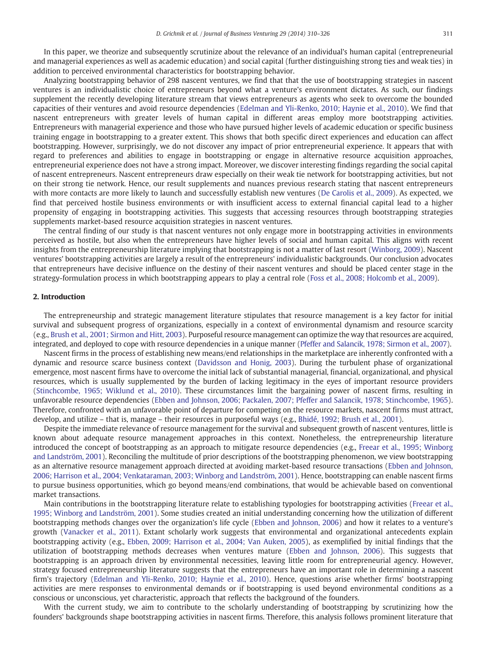In this paper, we theorize and subsequently scrutinize about the relevance of an individual's human capital (entrepreneurial and managerial experiences as well as academic education) and social capital (further distinguishing strong ties and weak ties) in addition to perceived environmental characteristics for bootstrapping behavior.

Analyzing bootstrapping behavior of 298 nascent ventures, we find that that the use of bootstrapping strategies in nascent ventures is an individualistic choice of entrepreneurs beyond what a venture's environment dictates. As such, our findings supplement the recently developing literature stream that views entrepreneurs as agents who seek to overcome the bounded capacities of their ventures and avoid resource dependencies ([Edelman and Yli-Renko, 2010; Haynie et al., 2010\)](#page-16-0). We find that nascent entrepreneurs with greater levels of human capital in different areas employ more bootstrapping activities. Entrepreneurs with managerial experience and those who have pursued higher levels of academic education or specific business training engage in bootstrapping to a greater extent. This shows that both specific direct experiences and education can affect bootstrapping. However, surprisingly, we do not discover any impact of prior entrepreneurial experience. It appears that with regard to preferences and abilities to engage in bootstrapping or engage in alternative resource acquisition approaches, entrepreneurial experience does not have a strong impact. Moreover, we discover interesting findings regarding the social capital of nascent entrepreneurs. Nascent entrepreneurs draw especially on their weak tie network for bootstrapping activities, but not on their strong tie network. Hence, our result supplements and nuances previous research stating that nascent entrepreneurs with more contacts are more likely to launch and successfully establish new ventures ([De Carolis et al., 2009](#page-16-0)). As expected, we find that perceived hostile business environments or with insufficient access to external financial capital lead to a higher propensity of engaging in bootstrapping activities. This suggests that accessing resources through bootstrapping strategies supplements market-based resource acquisition strategies in nascent ventures.

The central finding of our study is that nascent ventures not only engage more in bootstrapping activities in environments perceived as hostile, but also when the entrepreneurs have higher levels of social and human capital. This aligns with recent insights from the entrepreneurship literature implying that bootstrapping is not a matter of last resort ([Winborg, 2009\)](#page-17-0). Nascent ventures' bootstrapping activities are largely a result of the entrepreneurs' individualistic backgrounds. Our conclusion advocates that entrepreneurs have decisive influence on the destiny of their nascent ventures and should be placed center stage in the strategy-formulation process in which bootstrapping appears to play a central role ([Foss et al., 2008; Holcomb et al., 2009\)](#page-16-0).

#### 2. Introduction

The entrepreneurship and strategic management literature stipulates that resource management is a key factor for initial survival and subsequent progress of organizations, especially in a context of environmental dynamism and resource scarcity (e.g., [Brush et al., 2001; Sirmon and Hitt, 2003](#page-16-0)). Purposeful resource management can optimize the way that resources are acquired, integrated, and deployed to cope with resource dependencies in a unique manner ([Pfeffer and Salancik, 1978; Sirmon et al., 2007](#page-17-0)).

Nascent firms in the process of establishing new means/end relationships in the marketplace are inherently confronted with a dynamic and resource scarce business context ([Davidsson and Honig, 2003\)](#page-16-0). During the turbulent phase of organizational emergence, most nascent firms have to overcome the initial lack of substantial managerial, financial, organizational, and physical resources, which is usually supplemented by the burden of lacking legitimacy in the eyes of important resource providers [\(Stinchcombe, 1965; Wiklund et al., 2010](#page-17-0)). These circumstances limit the bargaining power of nascent firms, resulting in unfavorable resource dependencies ([Ebben and Johnson, 2006; Packalen, 2007; Pfeffer and Salancik, 1978; Stinchcombe, 1965\)](#page-16-0). Therefore, confronted with an unfavorable point of departure for competing on the resource markets, nascent firms must attract, develop, and utilize – that is, manage – their resources in purposeful ways (e.g., [Bhidé, 1992; Brush et al., 2001](#page-16-0)).

Despite the immediate relevance of resource management for the survival and subsequent growth of nascent ventures, little is known about adequate resource management approaches in this context. Nonetheless, the entrepreneurship literature introduced the concept of bootstrapping as an approach to mitigate resource dependencies (e.g., [Freear et al., 1995; Winborg](#page-16-0) [and Landström, 2001](#page-16-0)). Reconciling the multitude of prior descriptions of the bootstrapping phenomenon, we view bootstrapping as an alternative resource management approach directed at avoiding market-based resource transactions [\(Ebben and Johnson,](#page-16-0) [2006; Harrison et al., 2004; Venkataraman, 2003; Winborg and Landström, 2001](#page-16-0)). Hence, bootstrapping can enable nascent firms to pursue business opportunities, which go beyond means/end combinations, that would be achievable based on conventional market transactions.

Main contributions in the bootstrapping literature relate to establishing typologies for bootstrapping activities [\(Freear et al.,](#page-16-0) [1995; Winborg and Landström, 2001](#page-16-0)). Some studies created an initial understanding concerning how the utilization of different bootstrapping methods changes over the organization's life cycle ([Ebben and Johnson, 2006](#page-16-0)) and how it relates to a venture's growth ([Vanacker et al., 2011\)](#page-17-0). Extant scholarly work suggests that environmental and organizational antecedents explain bootstrapping activity (e.g., [Ebben, 2009; Harrison et al., 2004; Van Auken, 2005](#page-16-0)), as exemplified by initial findings that the utilization of bootstrapping methods decreases when ventures mature ([Ebben and Johnson, 2006](#page-16-0)). This suggests that bootstrapping is an approach driven by environmental necessities, leaving little room for entrepreneurial agency. However, strategy focused entrepreneurship literature suggests that the entrepreneurs have an important role in determining a nascent firm's trajectory [\(Edelman and Yli-Renko, 2010; Haynie et al., 2010\)](#page-16-0). Hence, questions arise whether firms' bootstrapping activities are mere responses to environmental demands or if bootstrapping is used beyond environmental conditions as a conscious or unconscious, yet characteristic, approach that reflects the background of the founders.

With the current study, we aim to contribute to the scholarly understanding of bootstrapping by scrutinizing how the founders' backgrounds shape bootstrapping activities in nascent firms. Therefore, this analysis follows prominent literature that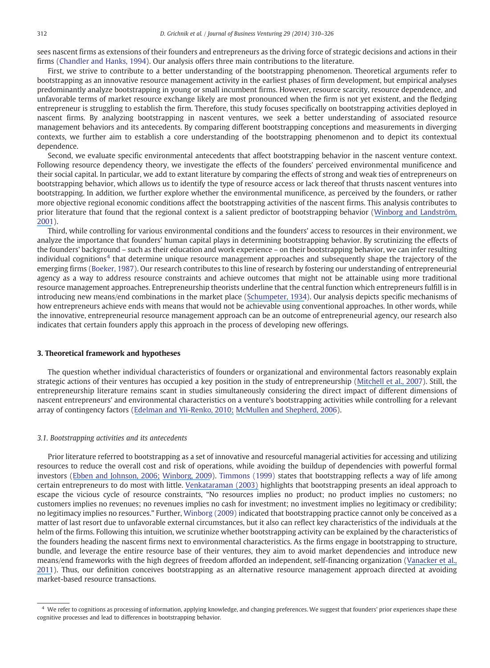sees nascent firms as extensions of their founders and entrepreneurs as the driving force of strategic decisions and actions in their firms [\(Chandler and Hanks, 1994](#page-16-0)). Our analysis offers three main contributions to the literature.

First, we strive to contribute to a better understanding of the bootstrapping phenomenon. Theoretical arguments refer to bootstrapping as an innovative resource management activity in the earliest phases of firm development, but empirical analyses predominantly analyze bootstrapping in young or small incumbent firms. However, resource scarcity, resource dependence, and unfavorable terms of market resource exchange likely are most pronounced when the firm is not yet existent, and the fledging entrepreneur is struggling to establish the firm. Therefore, this study focuses specifically on bootstrapping activities deployed in nascent firms. By analyzing bootstrapping in nascent ventures, we seek a better understanding of associated resource management behaviors and its antecedents. By comparing different bootstrapping conceptions and measurements in diverging contexts, we further aim to establish a core understanding of the bootstrapping phenomenon and to depict its contextual dependence.

Second, we evaluate specific environmental antecedents that affect bootstrapping behavior in the nascent venture context. Following resource dependency theory, we investigate the effects of the founders' perceived environmental munificence and their social capital. In particular, we add to extant literature by comparing the effects of strong and weak ties of entrepreneurs on bootstrapping behavior, which allows us to identify the type of resource access or lack thereof that thrusts nascent ventures into bootstrapping. In addition, we further explore whether the environmental munificence, as perceived by the founders, or rather more objective regional economic conditions affect the bootstrapping activities of the nascent firms. This analysis contributes to prior literature that found that the regional context is a salient predictor of bootstrapping behavior ([Winborg and Landström](#page-17-0)[,](https://www.researchgate.net/publication/4967874_Financial_bootstrapping_in_small_businesses_Examining_small_business_managers) [200](https://www.researchgate.net/publication/4967874_Financial_bootstrapping_in_small_businesses_Examining_small_business_managers)[1](#page-17-0)).

Third, while controlling for various environmental conditions and the founders' access to resources in their environment, we analyze the importance that founders' human capital plays in determining bootstrapping behavior. By scrutinizing the effects of the founders' background – such as their education and work experience – on their bootstrapping behavior, we can infer resulting individual cognitions<sup>4</sup> that determine unique resource management approaches and subsequently shape the trajectory of the emerging firms ([Boeker, 1987\)](#page-16-0). Our research contributes to this line of research by fostering our understanding of entrepreneurial agency as a way to address resource constraints and achieve outcomes that might not be attainable using more traditional resource management approaches. Entrepreneurship theorists underline that the central function which entrepreneurs fulfill is in introducing new means/end combinations in the market place ([Schumpeter, 1934\)](#page-17-0). Our analysis depicts specific mechanisms of how entrepreneurs achieve ends with means that would not be achievable using conventional approaches. In other words, while the innovative, entrepreneurial resource management approach can be an outcome of entrepreneurial agency, our research also indicates that certain founders apply this approach in the process of developing new offerings.

#### 3. Theoretical framework and hypotheses

The question whether individual characteristics of founders or organizational and environmental factors reasonably explain strategic actions of their ventures has occupied a key position in the study of entrepreneurship ([Mitchell](https://www.researchgate.net/publication/227546970_The_Central_Question_in_Entrepreneurial_Cognition_Research_2007?el=1_x_8&enrichId=rgreq-4ec0cca50bc7534f32b4d70224e43ad0-XXX&enrichSource=Y292ZXJQYWdlOzI2MDAxMTE1MjtBUzozNTc5ODE2MDM1NDkxODZAMTQ2MjM2MDg3MzQ5Mg==)[et](https://www.researchgate.net/publication/227546970_The_Central_Question_in_Entrepreneurial_Cognition_Research_2007?el=1_x_8&enrichId=rgreq-4ec0cca50bc7534f32b4d70224e43ad0-XXX&enrichSource=Y292ZXJQYWdlOzI2MDAxMTE1MjtBUzozNTc5ODE2MDM1NDkxODZAMTQ2MjM2MDg3MzQ5Mg==)[al.,](https://www.researchgate.net/publication/227546970_The_Central_Question_in_Entrepreneurial_Cognition_Research_2007?el=1_x_8&enrichId=rgreq-4ec0cca50bc7534f32b4d70224e43ad0-XXX&enrichSource=Y292ZXJQYWdlOzI2MDAxMTE1MjtBUzozNTc5ODE2MDM1NDkxODZAMTQ2MjM2MDg3MzQ5Mg==)[200](https://www.researchgate.net/publication/227546970_The_Central_Question_in_Entrepreneurial_Cognition_Research_2007?el=1_x_8&enrichId=rgreq-4ec0cca50bc7534f32b4d70224e43ad0-XXX&enrichSource=Y292ZXJQYWdlOzI2MDAxMTE1MjtBUzozNTc5ODE2MDM1NDkxODZAMTQ2MjM2MDg3MzQ5Mg==)[7](#page-17-0)). Still, the entrepreneurship literature remains scant in studies simultaneously considering the direct impact of different dimensions of nascent entrepreneurs' and environmental characteristics on a venture's bootstrapping activities while controlling for a relevant array of contingency factors ([Edelman and Yli-Renko, 2010; McMullen and Shepherd, 2006](#page-16-0)).

#### 3.1. Bootstrapping activities and its antecedents

Prior literature referred to bootstrapping as a set of innovative and resourceful managerial activities for accessing and utilizing resources to reduce the overall cost and risk of operations, while avoiding the buildup of dependencies with powerful formal investors ([Ebben and Johnson, 2006; Winborg, 2009](#page-16-0)). [Timmons \(1999\)](#page-17-0) states that bootstrapping reflects a way of life among certain entrepreneurs to do most with little. [Venkataraman](https://www.researchgate.net/publication/253842465_Entrepreneurship_Creating_something_new_and_of_enduring_value_with_very_limited_resources?el=1_x_8&enrichId=rgreq-4ec0cca50bc7534f32b4d70224e43ad0-XXX&enrichSource=Y292ZXJQYWdlOzI2MDAxMTE1MjtBUzozNTc5ODE2MDM1NDkxODZAMTQ2MjM2MDg3MzQ5Mg==)[\(2003\)](https://www.researchgate.net/publication/253842465_Entrepreneurship_Creating_something_new_and_of_enduring_value_with_very_limited_resources?el=1_x_8&enrichId=rgreq-4ec0cca50bc7534f32b4d70224e43ad0-XXX&enrichSource=Y292ZXJQYWdlOzI2MDAxMTE1MjtBUzozNTc5ODE2MDM1NDkxODZAMTQ2MjM2MDg3MzQ5Mg==) highlights that bootstrapping presents an ideal approach to escape the vicious cycle of resource constraints, "No resources implies no product; no product implies no customers; no customers implies no revenues; no revenues implies no cash for investment; no investment implies no legitimacy or credibility; no legitimacy implies no resources." Further, [Winborg \(2009\)](#page-17-0) indicated that bootstrapping practice cannot only be conceived as a matter of last resort due to unfavorable external circumstances, but it also can reflect key characteristics of the individuals at the helm of the firms. Following this intuition, we scrutinize whether bootstrapping activity can be explained by the characteristics of the founders heading the nascent firms next to environmental characteristics. As the firms engage in bootstrapping to structure, bundle, and leverage the entire resource base of their ventures, they aim to avoid market dependencies and introduce new means/end frameworks with the high degrees of freedom afforded an independent, self-financing organization [\(Vanacker et al.](#page-17-0)[,](https://www.researchgate.net/publication/228315341_A_Longitudinal_Study_on_the_Relationship_Between_Financial_Bootstrapping_and_New_Venture_Growth?el=1_x_8&enrichId=rgreq-4ec0cca50bc7534f32b4d70224e43ad0-XXX&enrichSource=Y292ZXJQYWdlOzI2MDAxMTE1MjtBUzozNTc5ODE2MDM1NDkxODZAMTQ2MjM2MDg3MzQ5Mg==) [2011](#page-17-0)). Thus, our definition conceives bootstrapping as an alternative resource management approach directed at avoiding market-based resource transactions.

<sup>&</sup>lt;sup>4</sup> We refer to cognitions as processing of information, applying knowledge, and changing preferences. We suggest that founders' prior experiences shape these cognitive processes and lead to differences in bootstrapping behavior.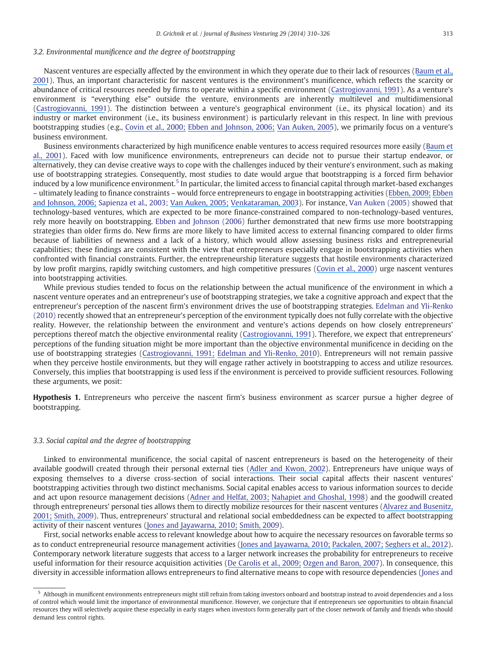#### <span id="page-4-0"></span>3.2. Environmental munificence and the degree of bootstrapping

Nascent ventures are especially affected by the environment in which they operate due to their lack of resources [\(Baum et al.,](#page-16-0) [2001](#page-16-0)). Thus, an important characteristic for nascent ventures is the environment's munificence, which reflects the scarcity or abundance of critical resources needed by firms to operate within a specific environment ([Castrogiovanni, 1991\)](#page-16-0). As a venture's environment is "everything else" outside the venture, environments are inherently multilevel and multidimensional [\(Castrogiovanni, 1991\)](#page-16-0). The distinction between a venture's geographical environment (i.e., its physical location) and its industry or market environment (i.e., its business environment) is particularly relevant in this respect. In line with previous bootstrapping studies (e.g., [Covin et al., 2000; Ebben and Johnson, 2006; Van Auken, 2005\)](#page-16-0), we primarily focus on a venture's business environment.

Business environments characterized by high munificence enable ventures to access required resources more easily [\(Baum et](#page-16-0) [al.,](https://www.researchgate.net/publication/228314247_A_Multi-Dimensional_Model_of_Venture_Growth?el=1_x_8&enrichId=rgreq-4ec0cca50bc7534f32b4d70224e43ad0-XXX&enrichSource=Y292ZXJQYWdlOzI2MDAxMTE1MjtBUzozNTc5ODE2MDM1NDkxODZAMTQ2MjM2MDg3MzQ5Mg==)[200](https://www.researchgate.net/publication/228314247_A_Multi-Dimensional_Model_of_Venture_Growth?el=1_x_8&enrichId=rgreq-4ec0cca50bc7534f32b4d70224e43ad0-XXX&enrichSource=Y292ZXJQYWdlOzI2MDAxMTE1MjtBUzozNTc5ODE2MDM1NDkxODZAMTQ2MjM2MDg3MzQ5Mg==)[1](#page-16-0)). Faced with low munificence environments, entrepreneurs can decide not to pursue their startup endeavor, or alternatively, they can devise creative ways to cope with the challenges induced by their venture's environment, such as making use of bootstrapping strategies. Consequently, most studies to date would argue that bootstrapping is a forced firm behavior induced by a low munificence environment.<sup>5</sup> In particular, the limited access to financial capital through market-based exchanges – ultimately leading to finance constraints – would force entrepreneurs to engage in bootstrapping activities ([Ebben, 2009; Ebben](#page-16-0) [and Johnson, 2006; Sapienza et al., 2003; Van Auken, 2005; Venkataraman, 2003\)](#page-16-0). For instance, [Van Auken \(2005\)](#page-17-0) showed that technology-based ventures, which are expected to be more finance-constrained compared to non-technology-based ventures, rely more heavily on bootstrapping. [Ebben and Johnson \(2006\)](#page-16-0) further demonstrated that new firms use more bootstrapping strategies than older firms do. New firms are more likely to have limited access to external financing compared to older firms because of liabilities of newness and a lack of a history, which would allow assessing business risks and entrepreneurial capabilities; these findings are consistent with the view that entrepreneurs especially engage in bootstrapping activities when confronted with financial constraints. Further, the entrepreneurship literature suggests that hostile environments characterized by low profit margins, rapidly switching customers, and high competitive pressures ([Covin et al., 2000\)](#page-16-0) urge nascent ventures into bootstrapping activities.

While previous studies tended to focus on the relationship between the actual munificence of the environment in which a nascent venture operates and an entrepreneur's use of bootstrapping strategies, we take a cognitive approach and expect that the entrepreneur's perception of the nascent firm's environment drives the use of bootstrapping strategies. [Edelman and Yli-Renko](#page-16-0) [\(2010\)](#page-16-0) recently showed that an entrepreneur's perception of the environment typically does not fully correlate with the objective reality. However, the relationship between the environment and venture's actions depends on how closely entrepreneurs' perceptions thereof match the objective environmental reality ([Castrogiovanni, 1991](#page-16-0)). Therefore, we expect that entrepreneurs' perceptions of the funding situation might be more important than the objective environmental munificence in deciding on the use of bootstrapping strategies [\(Castrogiovanni, 1991; Edelman and Yli-Renko, 2010\)](#page-16-0). Entrepreneurs will not remain passive when they perceive hostile environments, but they will engage rather actively in bootstrapping to access and utilize resources. Conversely, this implies that bootstrapping is used less if the environment is perceived to provide sufficient resources. Following these arguments, we posit:

Hypothesis 1. Entrepreneurs who perceive the nascent firm's business environment as scarcer pursue a higher degree of bootstrapping.

#### 3.3. Social capital and the degree of bootstrapping

Linked to environmental munificence, the social capital of nascent entrepreneurs is based on the heterogeneity of their available goodwill created through their personal external ties [\(A](#page-16-0)[dler](https://www.researchgate.net/publication/51992897_Social_Capital_Prospects_for_A_New_Concept?el=1_x_8&enrichId=rgreq-4ec0cca50bc7534f32b4d70224e43ad0-XXX&enrichSource=Y292ZXJQYWdlOzI2MDAxMTE1MjtBUzozNTc5ODE2MDM1NDkxODZAMTQ2MjM2MDg3MzQ5Mg==)[and](https://www.researchgate.net/publication/51992897_Social_Capital_Prospects_for_A_New_Concept?el=1_x_8&enrichId=rgreq-4ec0cca50bc7534f32b4d70224e43ad0-XXX&enrichSource=Y292ZXJQYWdlOzI2MDAxMTE1MjtBUzozNTc5ODE2MDM1NDkxODZAMTQ2MjM2MDg3MzQ5Mg==)[Kwon,](https://www.researchgate.net/publication/51992897_Social_Capital_Prospects_for_A_New_Concept?el=1_x_8&enrichId=rgreq-4ec0cca50bc7534f32b4d70224e43ad0-XXX&enrichSource=Y292ZXJQYWdlOzI2MDAxMTE1MjtBUzozNTc5ODE2MDM1NDkxODZAMTQ2MjM2MDg3MzQ5Mg==)[200](https://www.researchgate.net/publication/51992897_Social_Capital_Prospects_for_A_New_Concept?el=1_x_8&enrichId=rgreq-4ec0cca50bc7534f32b4d70224e43ad0-XXX&enrichSource=Y292ZXJQYWdlOzI2MDAxMTE1MjtBUzozNTc5ODE2MDM1NDkxODZAMTQ2MjM2MDg3MzQ5Mg==)[2](#page-16-0)). Entrepreneurs have unique ways of exposing themselves to a diverse cross-section of social interactions. Their social capital affects their nascent ventures' bootstrapping activities through two distinct mechanisms. Social capital enables access to various information sources to decide and act upon resource management decisions [\(Adner and Helfat, 2003; Nahapiet and Ghoshal, 1998](#page-16-0)) and the goodwill created through entrepreneurs' personal ties allows them to directly mobilize resources for their nascent ventures ([Alvarez](https://www.researchgate.net/publication/228264534_The_Entrepreneurship_of_Resource-Based_Theory?el=1_x_8&enrichId=rgreq-4ec0cca50bc7534f32b4d70224e43ad0-XXX&enrichSource=Y292ZXJQYWdlOzI2MDAxMTE1MjtBUzozNTc5ODE2MDM1NDkxODZAMTQ2MjM2MDg3MzQ5Mg==)[and](https://www.researchgate.net/publication/228264534_The_Entrepreneurship_of_Resource-Based_Theory?el=1_x_8&enrichId=rgreq-4ec0cca50bc7534f32b4d70224e43ad0-XXX&enrichSource=Y292ZXJQYWdlOzI2MDAxMTE1MjtBUzozNTc5ODE2MDM1NDkxODZAMTQ2MjM2MDg3MzQ5Mg==)[Busenitz,](https://www.researchgate.net/publication/228264534_The_Entrepreneurship_of_Resource-Based_Theory?el=1_x_8&enrichId=rgreq-4ec0cca50bc7534f32b4d70224e43ad0-XXX&enrichSource=Y292ZXJQYWdlOzI2MDAxMTE1MjtBUzozNTc5ODE2MDM1NDkxODZAMTQ2MjM2MDg3MzQ5Mg==) [2001; Smith, 2009\)](#page-16-0). Thus, entrepreneurs' structural and relational social embeddedness can be expected to affect bootstrapping activity of their nascent ventures [\(Jones](https://www.researchgate.net/publication/233198159_Resourcing_new_businesses_Social_networks_bootstrapping_and_firm_performance?el=1_x_8&enrichId=rgreq-4ec0cca50bc7534f32b4d70224e43ad0-XXX&enrichSource=Y292ZXJQYWdlOzI2MDAxMTE1MjtBUzozNTc5ODE2MDM1NDkxODZAMTQ2MjM2MDg3MzQ5Mg==)[and](https://www.researchgate.net/publication/233198159_Resourcing_new_businesses_Social_networks_bootstrapping_and_firm_performance?el=1_x_8&enrichId=rgreq-4ec0cca50bc7534f32b4d70224e43ad0-XXX&enrichSource=Y292ZXJQYWdlOzI2MDAxMTE1MjtBUzozNTc5ODE2MDM1NDkxODZAMTQ2MjM2MDg3MzQ5Mg==)[Jayawarna,](https://www.researchgate.net/publication/233198159_Resourcing_new_businesses_Social_networks_bootstrapping_and_firm_performance?el=1_x_8&enrichId=rgreq-4ec0cca50bc7534f32b4d70224e43ad0-XXX&enrichSource=Y292ZXJQYWdlOzI2MDAxMTE1MjtBUzozNTc5ODE2MDM1NDkxODZAMTQ2MjM2MDg3MzQ5Mg==)[2010;](https://www.researchgate.net/publication/233198159_Resourcing_new_businesses_Social_networks_bootstrapping_and_firm_performance?el=1_x_8&enrichId=rgreq-4ec0cca50bc7534f32b4d70224e43ad0-XXX&enrichSource=Y292ZXJQYWdlOzI2MDAxMTE1MjtBUzozNTc5ODE2MDM1NDkxODZAMTQ2MjM2MDg3MzQ5Mg==)[Smith,](https://www.researchgate.net/publication/247833076_Financial_bootstrapping_and_social_capital_How_technology-based_start-ups_fund_innovation?el=1_x_8&enrichId=rgreq-4ec0cca50bc7534f32b4d70224e43ad0-XXX&enrichSource=Y292ZXJQYWdlOzI2MDAxMTE1MjtBUzozNTc5ODE2MDM1NDkxODZAMTQ2MjM2MDg3MzQ5Mg==)[200](https://www.researchgate.net/publication/247833076_Financial_bootstrapping_and_social_capital_How_technology-based_start-ups_fund_innovation?el=1_x_8&enrichId=rgreq-4ec0cca50bc7534f32b4d70224e43ad0-XXX&enrichSource=Y292ZXJQYWdlOzI2MDAxMTE1MjtBUzozNTc5ODE2MDM1NDkxODZAMTQ2MjM2MDg3MzQ5Mg==)[9\)](#page-16-0).

First, social networks enable access to relevant knowledge about how to acquire the necessary resources on favorable terms so as to conduct entrepreneurial resource management activities [\(Jones and Jayawarna, 2010; Packalen, 2007; Seghers et al., 2012\)](#page-16-0). Contemporary network literature suggests that access to a larger network increases the probability for entrepreneurs to receive useful information for their resource acquisition activities ([De Carolis et al., 2009; Ozgen and Baron, 2007\)](#page-16-0). In consequence, this diversity in accessible information allows entrepreneurs to find alternative means to cope with resource dependencies [\(Jones and](#page-16-0)

<sup>5</sup> Although in munificent environments entrepreneurs might still refrain from taking investors onboard and bootstrap instead to avoid dependencies and a loss of control which would limit the importance of environmental munificence. However, we conjecture that if entrepreneurs see opportunities to obtain financial resources they will selectively acquire these especially in early stages when investors form generally part of the closer network of family and friends who should demand less control rights.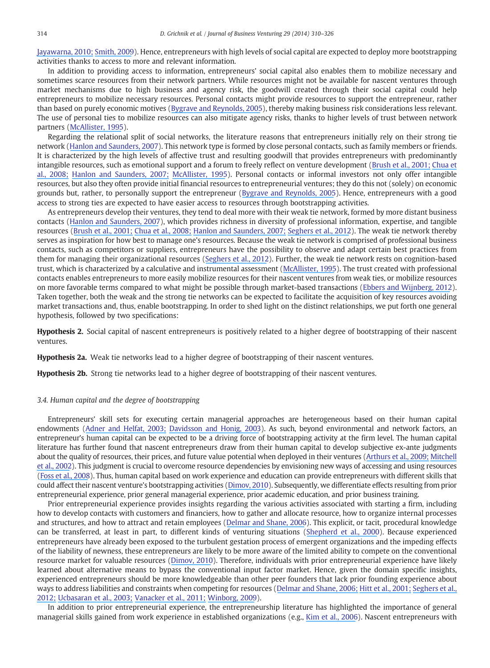<span id="page-5-0"></span>[Jayawarna,](https://www.researchgate.net/publication/233198159_Resourcing_new_businesses_Social_networks_bootstrapping_and_firm_performance?el=1_x_8&enrichId=rgreq-4ec0cca50bc7534f32b4d70224e43ad0-XXX&enrichSource=Y292ZXJQYWdlOzI2MDAxMTE1MjtBUzozNTc5ODE2MDM1NDkxODZAMTQ2MjM2MDg3MzQ5Mg==)[2010;](https://www.researchgate.net/publication/233198159_Resourcing_new_businesses_Social_networks_bootstrapping_and_firm_performance?el=1_x_8&enrichId=rgreq-4ec0cca50bc7534f32b4d70224e43ad0-XXX&enrichSource=Y292ZXJQYWdlOzI2MDAxMTE1MjtBUzozNTc5ODE2MDM1NDkxODZAMTQ2MjM2MDg3MzQ5Mg==)[Smith,](https://www.researchgate.net/publication/247833076_Financial_bootstrapping_and_social_capital_How_technology-based_start-ups_fund_innovation?el=1_x_8&enrichId=rgreq-4ec0cca50bc7534f32b4d70224e43ad0-XXX&enrichSource=Y292ZXJQYWdlOzI2MDAxMTE1MjtBUzozNTc5ODE2MDM1NDkxODZAMTQ2MjM2MDg3MzQ5Mg==)[200](https://www.researchgate.net/publication/247833076_Financial_bootstrapping_and_social_capital_How_technology-based_start-ups_fund_innovation?el=1_x_8&enrichId=rgreq-4ec0cca50bc7534f32b4d70224e43ad0-XXX&enrichSource=Y292ZXJQYWdlOzI2MDAxMTE1MjtBUzozNTc5ODE2MDM1NDkxODZAMTQ2MjM2MDg3MzQ5Mg==)[9\)](#page-16-0). Hence, entrepreneurs with high levels of social capital are expected to deploy more bootstrapping activities thanks to access to more and relevant information.

In addition to providing access to information, entrepreneurs' social capital also enables them to mobilize necessary and sometimes scarce resources from their network partners. While resources might not be available for nascent ventures through market mechanisms due to high business and agency risk, the goodwill created through their social capital could help entrepreneurs to mobilize necessary resources. Personal contacts might provide resources to support the entrepreneur, rather than based on purely economic motives [\(Bygrave and Reynolds, 2005](#page-16-0)), thereby making business risk considerations less relevant. The use of personal ties to mobilize resources can also mitigate agency risks, thanks to higher levels of trust between network partners ([McAllister, 1995](#page-17-0)).

Regarding the relational split of social networks, the literature reasons that entrepreneurs initially rely on their strong tie network [\(Hanlon and Saunders, 2007\)](#page-16-0). This network type is formed by close personal contacts, such as family members or friends. It is characterized by the high levels of affective trust and resulting goodwill that provides entrepreneurs with predominantly intangible resources, such as emotional support and a forum to freely reflect on venture development [\(Brush et al., 2001; Chua et](#page-16-0) [al., 2008; Hanlon and Saunders, 2007; McAllister, 1995\)](#page-16-0). Personal contacts or informal investors not only offer intangible resources, but also they often provide initial financial resources to entrepreneurial ventures; they do this not (solely) on economic grounds but, rather, to personally support the entrepreneur ([Bygrave and Reynolds, 2005](#page-16-0)). Hence, entrepreneurs with a good access to strong ties are expected to have easier access to resources through bootstrapping activities.

As entrepreneurs develop their ventures, they tend to deal more with their weak tie network, formed by more distant business contacts [\(H](#page-16-0)[anlon](https://www.researchgate.net/publication/228271404_Marshaling_Resources_to_Form_Small_New_Ventures_Toward_a_More_Holistic_Understanding_of_Entrepreneurial_Support?el=1_x_8&enrichId=rgreq-4ec0cca50bc7534f32b4d70224e43ad0-XXX&enrichSource=Y292ZXJQYWdlOzI2MDAxMTE1MjtBUzozNTc5ODE2MDM1NDkxODZAMTQ2MjM2MDg3MzQ5Mg==)[and](https://www.researchgate.net/publication/228271404_Marshaling_Resources_to_Form_Small_New_Ventures_Toward_a_More_Holistic_Understanding_of_Entrepreneurial_Support?el=1_x_8&enrichId=rgreq-4ec0cca50bc7534f32b4d70224e43ad0-XXX&enrichSource=Y292ZXJQYWdlOzI2MDAxMTE1MjtBUzozNTc5ODE2MDM1NDkxODZAMTQ2MjM2MDg3MzQ5Mg==)[Saunders,](https://www.researchgate.net/publication/228271404_Marshaling_Resources_to_Form_Small_New_Ventures_Toward_a_More_Holistic_Understanding_of_Entrepreneurial_Support?el=1_x_8&enrichId=rgreq-4ec0cca50bc7534f32b4d70224e43ad0-XXX&enrichSource=Y292ZXJQYWdlOzI2MDAxMTE1MjtBUzozNTc5ODE2MDM1NDkxODZAMTQ2MjM2MDg3MzQ5Mg==)[200](https://www.researchgate.net/publication/228271404_Marshaling_Resources_to_Form_Small_New_Ventures_Toward_a_More_Holistic_Understanding_of_Entrepreneurial_Support?el=1_x_8&enrichId=rgreq-4ec0cca50bc7534f32b4d70224e43ad0-XXX&enrichSource=Y292ZXJQYWdlOzI2MDAxMTE1MjtBUzozNTc5ODE2MDM1NDkxODZAMTQ2MjM2MDg3MzQ5Mg==)[7\)](#page-16-0), which provides richness in diversity of professional information, expertise, and tangible resources ([Brush et al., 2001; Chua et al., 2008; Hanlon and Saunders, 2007; Seghers et al., 2012](#page-16-0)). The weak tie network thereby serves as inspiration for how best to manage one's resources. Because the weak tie network is comprised of professional business contacts, such as competitors or suppliers, entrepreneurs have the possibility to observe and adapt certain best practices from them for managing their organizational resources [\(S](#page-17-0)[eghers](https://www.researchgate.net/publication/46443366_The_Impact_of_Human_and_Social_Capital_on_Entrepreneurs)[et](https://www.researchgate.net/publication/46443366_The_Impact_of_Human_and_Social_Capital_on_Entrepreneurs)[al.,](https://www.researchgate.net/publication/46443366_The_Impact_of_Human_and_Social_Capital_on_Entrepreneurs)[201](https://www.researchgate.net/publication/46443366_The_Impact_of_Human_and_Social_Capital_on_Entrepreneurs)[2\)](#page-17-0). Further, the weak tie network rests on cognition-based trust, which is characterized by a calculative and instrumental assessment ([McAllister, 1995\)](#page-17-0). The trust created with professional contacts enables entrepreneurs to more easily mobilize resources for their nascent ventures from weak ties, or mobilize resources on more favorable terms compared to what might be possible through market-based transactions [\(Ebbers and Wijnberg, 2012](#page-16-0)). Taken together, both the weak and the strong tie networks can be expected to facilitate the acquisition of key resources avoiding market transactions and, thus, enable bootstrapping. In order to shed light on the distinct relationships, we put forth one general hypothesis, followed by two specifications:

Hypothesis 2. Social capital of nascent entrepreneurs is positively related to a higher degree of bootstrapping of their nascent ventures.

Hypothesis 2a. Weak tie networks lead to a higher degree of bootstrapping of their nascent ventures.

Hypothesis 2b. Strong tie networks lead to a higher degree of bootstrapping of their nascent ventures.

#### 3.4. Human capital and the degree of bootstrapping

Entrepreneurs' skill sets for executing certain managerial approaches are heterogeneous based on their human capital endowments [\(Adner and Helfat, 2003; Davidsson and Honig, 2003\)](#page-16-0). As such, beyond environmental and network factors, an entrepreneur's human capital can be expected to be a driving force of bootstrapping activity at the firm level. The human capital literature has further found that nascent entrepreneurs draw from their human capital to develop subjective ex-ante judgments about the quality of resources, their prices, and future value potential when deployed in their ventures ([Arthurs et al., 2009; Mitchell](#page-16-0) [et](https://www.researchgate.net/publication/288274434_Are_entrepreneurial_cognitions_universal_Assessing_entrepreneurial_cognitions_across_cultures?el=1_x_8&enrichId=rgreq-4ec0cca50bc7534f32b4d70224e43ad0-XXX&enrichSource=Y292ZXJQYWdlOzI2MDAxMTE1MjtBUzozNTc5ODE2MDM1NDkxODZAMTQ2MjM2MDg3MzQ5Mg==)[al.,](https://www.researchgate.net/publication/288274434_Are_entrepreneurial_cognitions_universal_Assessing_entrepreneurial_cognitions_across_cultures?el=1_x_8&enrichId=rgreq-4ec0cca50bc7534f32b4d70224e43ad0-XXX&enrichSource=Y292ZXJQYWdlOzI2MDAxMTE1MjtBUzozNTc5ODE2MDM1NDkxODZAMTQ2MjM2MDg3MzQ5Mg==)[200](https://www.researchgate.net/publication/288274434_Are_entrepreneurial_cognitions_universal_Assessing_entrepreneurial_cognitions_across_cultures?el=1_x_8&enrichId=rgreq-4ec0cca50bc7534f32b4d70224e43ad0-XXX&enrichSource=Y292ZXJQYWdlOzI2MDAxMTE1MjtBUzozNTc5ODE2MDM1NDkxODZAMTQ2MjM2MDg3MzQ5Mg==)[2](#page-16-0)). This judgment is crucial to overcome resource dependencies by envisioning new ways of accessing and using resources ([Foss et al., 2008\)](#page-16-0). Thus, human capital based on work experience and education can provide entrepreneurs with different skills that could affect their nascent venture's bootstrapping activities [\(D](#page-16-0)[imov,](https://www.researchgate.net/publication/227375575_Nascent_Entrepreneurs_and_Venture_Emergence_Opportunity_Confidence_Human_Capital_and_Early_Planning?el=1_x_8&enrichId=rgreq-4ec0cca50bc7534f32b4d70224e43ad0-XXX&enrichSource=Y292ZXJQYWdlOzI2MDAxMTE1MjtBUzozNTc5ODE2MDM1NDkxODZAMTQ2MjM2MDg3MzQ5Mg==)[201](https://www.researchgate.net/publication/227375575_Nascent_Entrepreneurs_and_Venture_Emergence_Opportunity_Confidence_Human_Capital_and_Early_Planning?el=1_x_8&enrichId=rgreq-4ec0cca50bc7534f32b4d70224e43ad0-XXX&enrichSource=Y292ZXJQYWdlOzI2MDAxMTE1MjtBUzozNTc5ODE2MDM1NDkxODZAMTQ2MjM2MDg3MzQ5Mg==)[0](#page-16-0)). Subsequently, we differentiate effects resulting from prior entrepreneurial experience, prior general managerial experience, prior academic education, and prior business training.

Prior entrepreneurial experience provides insights regarding the various activities associated with starting a firm, including how to develop contacts with customers and financiers, how to gather and allocate resource, how to organize internal processes and structures, and how to attract and retain employees [\(D](#page-16-0)[elmar](https://www.researchgate.net/publication/239540396_Does_Experience_Matter_The_Effect_of_Founding_Team_Experience_on_the_Survival_and_Sales_of_Newly_Founded_Ventures?el=1_x_8&enrichId=rgreq-4ec0cca50bc7534f32b4d70224e43ad0-XXX&enrichSource=Y292ZXJQYWdlOzI2MDAxMTE1MjtBUzozNTc5ODE2MDM1NDkxODZAMTQ2MjM2MDg3MzQ5Mg==)[and](https://www.researchgate.net/publication/239540396_Does_Experience_Matter_The_Effect_of_Founding_Team_Experience_on_the_Survival_and_Sales_of_Newly_Founded_Ventures?el=1_x_8&enrichId=rgreq-4ec0cca50bc7534f32b4d70224e43ad0-XXX&enrichSource=Y292ZXJQYWdlOzI2MDAxMTE1MjtBUzozNTc5ODE2MDM1NDkxODZAMTQ2MjM2MDg3MzQ5Mg==)[Shane,](https://www.researchgate.net/publication/239540396_Does_Experience_Matter_The_Effect_of_Founding_Team_Experience_on_the_Survival_and_Sales_of_Newly_Founded_Ventures?el=1_x_8&enrichId=rgreq-4ec0cca50bc7534f32b4d70224e43ad0-XXX&enrichSource=Y292ZXJQYWdlOzI2MDAxMTE1MjtBUzozNTc5ODE2MDM1NDkxODZAMTQ2MjM2MDg3MzQ5Mg==)[200](https://www.researchgate.net/publication/239540396_Does_Experience_Matter_The_Effect_of_Founding_Team_Experience_on_the_Survival_and_Sales_of_Newly_Founded_Ventures?el=1_x_8&enrichId=rgreq-4ec0cca50bc7534f32b4d70224e43ad0-XXX&enrichSource=Y292ZXJQYWdlOzI2MDAxMTE1MjtBUzozNTc5ODE2MDM1NDkxODZAMTQ2MjM2MDg3MzQ5Mg==)[6](#page-16-0)). This explicit, or tacit, procedural knowledge can be transferred, at least in part, to different kinds of venturing situations [\(Shepherd et al., 2000](#page-17-0)). Because experienced entrepreneurs have already been exposed to the turbulent gestation process of emergent organizations and the impeding effects of the liability of newness, these entrepreneurs are likely to be more aware of the limited ability to compete on the conventional resource market for valuable resources ([Dimov, 2010](#page-16-0)). Therefore, individuals with prior entrepreneurial experience have likely learned about alternative means to bypass the conventional input factor market. Hence, given the domain specific insights, experienced entrepreneurs should be more knowledgeable than other peer founders that lack prior founding experience about ways to address liabilities and constraints when competing for resources [\(D](#page-16-0)[elmar](https://www.researchgate.net/publication/239540396_Does_Experience_Matter_The_Effect_of_Founding_Team_Experience_on_the_Survival_and_Sales_of_Newly_Founded_Ventures?el=1_x_8&enrichId=rgreq-4ec0cca50bc7534f32b4d70224e43ad0-XXX&enrichSource=Y292ZXJQYWdlOzI2MDAxMTE1MjtBUzozNTc5ODE2MDM1NDkxODZAMTQ2MjM2MDg3MzQ5Mg==)[and](https://www.researchgate.net/publication/239540396_Does_Experience_Matter_The_Effect_of_Founding_Team_Experience_on_the_Survival_and_Sales_of_Newly_Founded_Ventures?el=1_x_8&enrichId=rgreq-4ec0cca50bc7534f32b4d70224e43ad0-XXX&enrichSource=Y292ZXJQYWdlOzI2MDAxMTE1MjtBUzozNTc5ODE2MDM1NDkxODZAMTQ2MjM2MDg3MzQ5Mg==)[Shane,](https://www.researchgate.net/publication/239540396_Does_Experience_Matter_The_Effect_of_Founding_Team_Experience_on_the_Survival_and_Sales_of_Newly_Founded_Ventures?el=1_x_8&enrichId=rgreq-4ec0cca50bc7534f32b4d70224e43ad0-XXX&enrichSource=Y292ZXJQYWdlOzI2MDAxMTE1MjtBUzozNTc5ODE2MDM1NDkxODZAMTQ2MjM2MDg3MzQ5Mg==)[2006;](https://www.researchgate.net/publication/239540396_Does_Experience_Matter_The_Effect_of_Founding_Team_Experience_on_the_Survival_and_Sales_of_Newly_Founded_Ventures?el=1_x_8&enrichId=rgreq-4ec0cca50bc7534f32b4d70224e43ad0-XXX&enrichSource=Y292ZXJQYWdlOzI2MDAxMTE1MjtBUzozNTc5ODE2MDM1NDkxODZAMTQ2MjM2MDg3MzQ5Mg==)[Hitt](https://www.researchgate.net/publication/270330523_Direct_and_Moderating_Effects_of_Human_Capital_on_Strategy_and_Performance_in_Professional_Service_Firms_A_Resource-Based_Perspective?el=1_x_8&enrichId=rgreq-4ec0cca50bc7534f32b4d70224e43ad0-XXX&enrichSource=Y292ZXJQYWdlOzI2MDAxMTE1MjtBUzozNTc5ODE2MDM1NDkxODZAMTQ2MjM2MDg3MzQ5Mg==)[et](https://www.researchgate.net/publication/270330523_Direct_and_Moderating_Effects_of_Human_Capital_on_Strategy_and_Performance_in_Professional_Service_Firms_A_Resource-Based_Perspective?el=1_x_8&enrichId=rgreq-4ec0cca50bc7534f32b4d70224e43ad0-XXX&enrichSource=Y292ZXJQYWdlOzI2MDAxMTE1MjtBUzozNTc5ODE2MDM1NDkxODZAMTQ2MjM2MDg3MzQ5Mg==)[al.,](https://www.researchgate.net/publication/270330523_Direct_and_Moderating_Effects_of_Human_Capital_on_Strategy_and_Performance_in_Professional_Service_Firms_A_Resource-Based_Perspective?el=1_x_8&enrichId=rgreq-4ec0cca50bc7534f32b4d70224e43ad0-XXX&enrichSource=Y292ZXJQYWdlOzI2MDAxMTE1MjtBUzozNTc5ODE2MDM1NDkxODZAMTQ2MjM2MDg3MzQ5Mg==)[2001;](https://www.researchgate.net/publication/270330523_Direct_and_Moderating_Effects_of_Human_Capital_on_Strategy_and_Performance_in_Professional_Service_Firms_A_Resource-Based_Perspective?el=1_x_8&enrichId=rgreq-4ec0cca50bc7534f32b4d70224e43ad0-XXX&enrichSource=Y292ZXJQYWdlOzI2MDAxMTE1MjtBUzozNTc5ODE2MDM1NDkxODZAMTQ2MjM2MDg3MzQ5Mg==) [S](#page-16-0)[eghers](https://www.researchgate.net/publication/46443366_The_Impact_of_Human_and_Social_Capital_on_Entrepreneurs)[et](https://www.researchgate.net/publication/46443366_The_Impact_of_Human_and_Social_Capital_on_Entrepreneurs)[al.,](https://www.researchgate.net/publication/46443366_The_Impact_of_Human_and_Social_Capital_on_Entrepreneurs) [2012; Ucbasaran et al., 2003; Vanacker et al., 2011; Winborg, 2009](#page-16-0)).

In addition to prior entrepreneurial experience, the entrepreneurship literature has highlighted the importance of general managerial skills gained from work experience in established organizations (e.g., [Kim et al., 2006](#page-16-0)). Nascent entrepreneurs with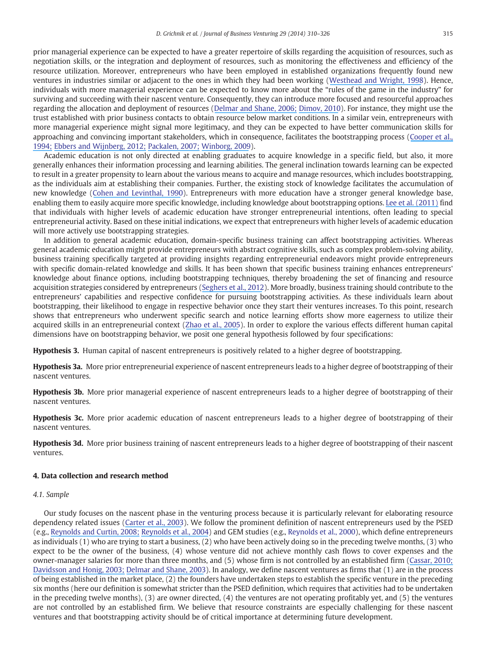<span id="page-6-0"></span>prior managerial experience can be expected to have a greater repertoire of skills regarding the acquisition of resources, such as negotiation skills, or the integration and deployment of resources, such as monitoring the effectiveness and efficiency of the resource utilization. Moreover, entrepreneurs who have been employed in established organizations frequently found new ventures in industries similar or adjacent to the ones in which they had been working ([Westhead and Wright, 1998](#page-17-0)). Hence, individuals with more managerial experience can be expected to know more about the "rules of the game in the industry" for surviving and succeeding with their nascent venture. Consequently, they can introduce more focused and resourceful approaches regarding the allocation and deployment of resources ([Delmar and Shane, 2006; Dimov, 2010](#page-16-0)). For instance, they might use the trust established with prior business contacts to obtain resource below market conditions. In a similar vein, entrepreneurs with more managerial experience might signal more legitimacy, and they can be expected to have better communication skills for approaching and convincing important stakeholders, which in consequence, facilitates the bootstrapping process [\(C](#page-16-0)[ooper](https://www.researchgate.net/publication/222124127_Initial_Human_and_Financial_Capital_As_Predictors_of_New_Venture_Performance?el=1_x_8&enrichId=rgreq-4ec0cca50bc7534f32b4d70224e43ad0-XXX&enrichSource=Y292ZXJQYWdlOzI2MDAxMTE1MjtBUzozNTc5ODE2MDM1NDkxODZAMTQ2MjM2MDg3MzQ5Mg==)[et](https://www.researchgate.net/publication/222124127_Initial_Human_and_Financial_Capital_As_Predictors_of_New_Venture_Performance?el=1_x_8&enrichId=rgreq-4ec0cca50bc7534f32b4d70224e43ad0-XXX&enrichSource=Y292ZXJQYWdlOzI2MDAxMTE1MjtBUzozNTc5ODE2MDM1NDkxODZAMTQ2MjM2MDg3MzQ5Mg==)[al.,](https://www.researchgate.net/publication/222124127_Initial_Human_and_Financial_Capital_As_Predictors_of_New_Venture_Performance?el=1_x_8&enrichId=rgreq-4ec0cca50bc7534f32b4d70224e43ad0-XXX&enrichSource=Y292ZXJQYWdlOzI2MDAxMTE1MjtBUzozNTc5ODE2MDM1NDkxODZAMTQ2MjM2MDg3MzQ5Mg==) [1994; Ebbers and Wijnberg, 2012; Packalen, 2007; Winborg, 2009](#page-16-0)).

Academic education is not only directed at enabling graduates to acquire knowledge in a specific field, but also, it more generally enhances their information processing and learning abilities. The general inclination towards learning can be expected to result in a greater propensity to learn about the various means to acquire and manage resources, which includes bootstrapping, as the individuals aim at establishing their companies. Further, the existing stock of knowledge facilitates the accumulation of new knowledge [\(Cohen and Levinthal, 1990](#page-16-0)). Entrepreneurs with more education have a stronger general knowledge base, enabling them to easily acquire more specific knowledge, including knowledge about bootstrapping options. [Lee et al. \(2011\)](#page-16-0) find that individuals with higher levels of academic education have stronger entrepreneurial intentions, often leading to special entrepreneurial activity. Based on these initial indications, we expect that entrepreneurs with higher levels of academic education will more actively use bootstrapping strategies.

In addition to general academic education, domain-specific business training can affect bootstrapping activities. Whereas general academic education might provide entrepreneurs with abstract cognitive skills, such as complex problem-solving ability, business training specifically targeted at providing insights regarding entrepreneurial endeavors might provide entrepreneurs with specific domain-related knowledge and skills. It has been shown that specific business training enhances entrepreneurs' knowledge about finance options, including bootstrapping techniques, thereby broadening the set of financing and resource acquisition strategies considered by entrepreneurs [\(Seghers et al., 2012](#page-17-0)). More broadly, business training should contribute to the entrepreneurs' capabilities and respective confidence for pursuing bootstrapping activities. As these individuals learn about bootstrapping, their likelihood to engage in respective behavior once they start their ventures increases. To this point, research shows that entrepreneurs who underwent specific search and notice learning efforts show more eagerness to utilize their acquired skills in an entrepreneurial context [\(Zhao et al., 2005\)](#page-17-0). In order to explore the various effects different human capital dimensions have on bootstrapping behavior, we posit one general hypothesis followed by four specifications:

Hypothesis 3. Human capital of nascent entrepreneurs is positively related to a higher degree of bootstrapping.

Hypothesis 3a. More prior entrepreneurial experience of nascent entrepreneurs leads to a higher degree of bootstrapping of their nascent ventures.

Hypothesis 3b. More prior managerial experience of nascent entrepreneurs leads to a higher degree of bootstrapping of their nascent ventures.

Hypothesis 3c. More prior academic education of nascent entrepreneurs leads to a higher degree of bootstrapping of their nascent ventures.

Hypothesis 3d. More prior business training of nascent entrepreneurs leads to a higher degree of bootstrapping of their nascent ventures.

#### 4. Data collection and research method

#### 4.1. Sample

Our study focuses on the nascent phase in the venturing process because it is particularly relevant for elaborating resource dependency related issues [\(Carter](https://www.researchgate.net/publication/222537764_The_Career_Reasons_of_Nascent_Entrepreneurs?el=1_x_8&enrichId=rgreq-4ec0cca50bc7534f32b4d70224e43ad0-XXX&enrichSource=Y292ZXJQYWdlOzI2MDAxMTE1MjtBUzozNTc5ODE2MDM1NDkxODZAMTQ2MjM2MDg3MzQ5Mg==)[et](https://www.researchgate.net/publication/222537764_The_Career_Reasons_of_Nascent_Entrepreneurs?el=1_x_8&enrichId=rgreq-4ec0cca50bc7534f32b4d70224e43ad0-XXX&enrichSource=Y292ZXJQYWdlOzI2MDAxMTE1MjtBUzozNTc5ODE2MDM1NDkxODZAMTQ2MjM2MDg3MzQ5Mg==)[al.,](https://www.researchgate.net/publication/222537764_The_Career_Reasons_of_Nascent_Entrepreneurs?el=1_x_8&enrichId=rgreq-4ec0cca50bc7534f32b4d70224e43ad0-XXX&enrichSource=Y292ZXJQYWdlOzI2MDAxMTE1MjtBUzozNTc5ODE2MDM1NDkxODZAMTQ2MjM2MDg3MzQ5Mg==)[200](https://www.researchgate.net/publication/222537764_The_Career_Reasons_of_Nascent_Entrepreneurs?el=1_x_8&enrichId=rgreq-4ec0cca50bc7534f32b4d70224e43ad0-XXX&enrichSource=Y292ZXJQYWdlOzI2MDAxMTE1MjtBUzozNTc5ODE2MDM1NDkxODZAMTQ2MjM2MDg3MzQ5Mg==)[3](#page-16-0)). We follow the prominent definition of nascent entrepreneurs used by the PSED (e.g., [Reynolds and Curtin, 2008; Reynolds et al., 2004\)](#page-17-0) and GEM studies (e.g., [Reynolds et al., 2000\)](#page-17-0), which define entrepreneurs as individuals (1) who are trying to start a business, (2) who have been actively doing so in the preceding twelve months, (3) who expect to be the owner of the business, (4) whose venture did not achieve monthly cash flows to cover expenses and the owner-manager salaries for more than three months, and (5) whose firm is not controlled by an established firm [\(Cassar, 2010;](#page-16-0) [Davidsson and Honig, 2003; Delmar and Shane, 2003\)](#page-16-0). In analogy, we define nascent ventures as firms that (1) are in the process of being established in the market place, (2) the founders have undertaken steps to establish the specific venture in the preceding six months (here our definition is somewhat stricter than the PSED definition, which requires that activities had to be undertaken in the preceding twelve months), (3) are owner directed, (4) the ventures are not operating profitably yet, and (5) the ventures are not controlled by an established firm. We believe that resource constraints are especially challenging for these nascent ventures and that bootstrapping activity should be of critical importance at determining future development.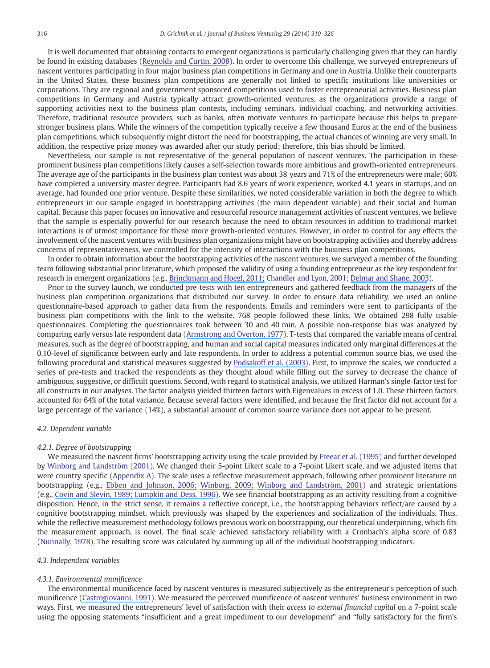It is well documented that obtaining contacts to emergent organizations is particularly challenging given that they can hardly be found in existing databases [\(Reynolds and Curtin, 2008\)](#page-17-0). In order to overcome this challenge, we surveyed entrepreneurs of nascent ventures participating in four major business plan competitions in Germany and one in Austria. Unlike their counterparts in the United States, these business plan competitions are generally not linked to specific institutions like universities or corporations. They are regional and government sponsored competitions used to foster entrepreneurial activities. Business plan competitions in Germany and Austria typically attract growth-oriented ventures, as the organizations provide a range of supporting activities next to the business plan contests, including seminars, individual coaching, and networking activities. Therefore, traditional resource providers, such as banks, often motivate ventures to participate because this helps to prepare stronger business plans. While the winners of the competition typically receive a few thousand Euros at the end of the business plan competitions, which subsequently might distort the need for bootstrapping, the actual chances of winning are very small. In addition, the respective prize money was awarded after our study period; therefore, this bias should be limited.

Nevertheless, our sample is not representative of the general population of nascent ventures. The participation in these prominent business plan competitions likely causes a self-selection towards more ambitious and growth-oriented entrepreneurs. The average age of the participants in the business plan contest was about 38 years and 71% of the entrepreneurs were male; 60% have completed a university master degree. Participants had 8.6 years of work experience, worked 4.1 years in startups, and on average, had founded one prior venture. Despite these similarities, we noted considerable variation in both the degree to which entrepreneurs in our sample engaged in bootstrapping activities (the main dependent variable) and their social and human capital. Because this paper focuses on innovative and resourceful resource management activities of nascent ventures, we believe that the sample is especially powerful for our research because the need to obtain resources in addition to traditional market interactions is of utmost importance for these more growth-oriented ventures. However, in order to control for any effects the involvement of the nascent ventures with business plan organizations might have on bootstrapping activities and thereby address concerns of representativeness, we controlled for the intensity of interactions with the business plan competitions.

In order to obtain information about the bootstrapping activities of the nascent ventures, we surveyed a member of the founding team following substantial prior literature, which proposed the validity of using a founding entrepreneur as the key respondent for research in emergent organizations (e.g., [Brinckmann](https://www.researchgate.net/publication/264358018_Effects_of_Initial_Teamwork_Capability_and_Initial_Relational_Capability_on_the_Development_of_New_Technology-Based_Firms?el=1_x_8&enrichId=rgreq-4ec0cca50bc7534f32b4d70224e43ad0-XXX&enrichSource=Y292ZXJQYWdlOzI2MDAxMTE1MjtBUzozNTc5ODE2MDM1NDkxODZAMTQ2MjM2MDg3MzQ5Mg==)[and](https://www.researchgate.net/publication/264358018_Effects_of_Initial_Teamwork_Capability_and_Initial_Relational_Capability_on_the_Development_of_New_Technology-Based_Firms?el=1_x_8&enrichId=rgreq-4ec0cca50bc7534f32b4d70224e43ad0-XXX&enrichSource=Y292ZXJQYWdlOzI2MDAxMTE1MjtBUzozNTc5ODE2MDM1NDkxODZAMTQ2MjM2MDg3MzQ5Mg==)[Hoegl,](https://www.researchgate.net/publication/264358018_Effects_of_Initial_Teamwork_Capability_and_Initial_Relational_Capability_on_the_Development_of_New_Technology-Based_Firms?el=1_x_8&enrichId=rgreq-4ec0cca50bc7534f32b4d70224e43ad0-XXX&enrichSource=Y292ZXJQYWdlOzI2MDAxMTE1MjtBUzozNTc5ODE2MDM1NDkxODZAMTQ2MjM2MDg3MzQ5Mg==)[2011;](https://www.researchgate.net/publication/264358018_Effects_of_Initial_Teamwork_Capability_and_Initial_Relational_Capability_on_the_Development_of_New_Technology-Based_Firms?el=1_x_8&enrichId=rgreq-4ec0cca50bc7534f32b4d70224e43ad0-XXX&enrichSource=Y292ZXJQYWdlOzI2MDAxMTE1MjtBUzozNTc5ODE2MDM1NDkxODZAMTQ2MjM2MDg3MzQ5Mg==) [Chandler and Lyon, 2001;](#page-16-0) [Delmar](https://www.researchgate.net/publication/40966855_Does_Business_Planning_Facilitate_the_Development_of_New_Ventures?el=1_x_8&enrichId=rgreq-4ec0cca50bc7534f32b4d70224e43ad0-XXX&enrichSource=Y292ZXJQYWdlOzI2MDAxMTE1MjtBUzozNTc5ODE2MDM1NDkxODZAMTQ2MjM2MDg3MzQ5Mg==)[and](https://www.researchgate.net/publication/40966855_Does_Business_Planning_Facilitate_the_Development_of_New_Ventures?el=1_x_8&enrichId=rgreq-4ec0cca50bc7534f32b4d70224e43ad0-XXX&enrichSource=Y292ZXJQYWdlOzI2MDAxMTE1MjtBUzozNTc5ODE2MDM1NDkxODZAMTQ2MjM2MDg3MzQ5Mg==)[Shane,](https://www.researchgate.net/publication/40966855_Does_Business_Planning_Facilitate_the_Development_of_New_Ventures?el=1_x_8&enrichId=rgreq-4ec0cca50bc7534f32b4d70224e43ad0-XXX&enrichSource=Y292ZXJQYWdlOzI2MDAxMTE1MjtBUzozNTc5ODE2MDM1NDkxODZAMTQ2MjM2MDg3MzQ5Mg==)[200](https://www.researchgate.net/publication/40966855_Does_Business_Planning_Facilitate_the_Development_of_New_Ventures?el=1_x_8&enrichId=rgreq-4ec0cca50bc7534f32b4d70224e43ad0-XXX&enrichSource=Y292ZXJQYWdlOzI2MDAxMTE1MjtBUzozNTc5ODE2MDM1NDkxODZAMTQ2MjM2MDg3MzQ5Mg==)[3](#page-16-0)).

Prior to the survey launch, we conducted pre-tests with ten entrepreneurs and gathered feedback from the managers of the business plan competition organizations that distributed our survey. In order to ensure data reliability, we used an online questionnaire-based approach to gather data from the respondents. Emails and reminders were sent to participants of the business plan competitions with the link to the website. 768 people followed these links. We obtained 298 fully usable questionnaires. Completing the questionnaires took between 30 and 40 min. A possible non-response bias was analyzed by comparing early versus late respondent data [\(Armstrong and Overton, 1977\)](#page-16-0). T-tests that compared the variable means of central measures, such as the degree of bootstrapping, and human and social capital measures indicated only marginal differences at the 0.10-level of significance between early and late respondents. In order to address a potential common source bias, we used the following procedural and statistical measures suggested by [Podsakoff](https://www.researchgate.net/publication/279796507_Common_Method_Biases_in_Behavioral_Research_A_Critical_Review_of_the_Literature_and_Recommended_Remedies?el=1_x_8&enrichId=rgreq-4ec0cca50bc7534f32b4d70224e43ad0-XXX&enrichSource=Y292ZXJQYWdlOzI2MDAxMTE1MjtBUzozNTc5ODE2MDM1NDkxODZAMTQ2MjM2MDg3MzQ5Mg==)[et](https://www.researchgate.net/publication/279796507_Common_Method_Biases_in_Behavioral_Research_A_Critical_Review_of_the_Literature_and_Recommended_Remedies?el=1_x_8&enrichId=rgreq-4ec0cca50bc7534f32b4d70224e43ad0-XXX&enrichSource=Y292ZXJQYWdlOzI2MDAxMTE1MjtBUzozNTc5ODE2MDM1NDkxODZAMTQ2MjM2MDg3MzQ5Mg==) [al.](https://www.researchgate.net/publication/279796507_Common_Method_Biases_in_Behavioral_Research_A_Critical_Review_of_the_Literature_and_Recommended_Remedies?el=1_x_8&enrichId=rgreq-4ec0cca50bc7534f32b4d70224e43ad0-XXX&enrichSource=Y292ZXJQYWdlOzI2MDAxMTE1MjtBUzozNTc5ODE2MDM1NDkxODZAMTQ2MjM2MDg3MzQ5Mg==) [\(2003](https://www.researchgate.net/publication/279796507_Common_Method_Biases_in_Behavioral_Research_A_Critical_Review_of_the_Literature_and_Recommended_Remedies?el=1_x_8&enrichId=rgreq-4ec0cca50bc7534f32b4d70224e43ad0-XXX&enrichSource=Y292ZXJQYWdlOzI2MDAxMTE1MjtBUzozNTc5ODE2MDM1NDkxODZAMTQ2MjM2MDg3MzQ5Mg==)[\).](#page-17-0) First, to improve the scales, we conducted a series of pre-tests and tracked the respondents as they thought aloud while filling out the survey to decrease the chance of ambiguous, suggestive, or difficult questions. Second, with regard to statistical analysis, we utilized Harman's single-factor test for all constructs in our analyses. The factor analysis yielded thirteen factors with Eigenvalues in excess of 1.0. These thirteen factors accounted for 64% of the total variance. Because several factors were identified, and because the first factor did not account for a large percentage of the variance (14%), a substantial amount of common source variance does not appear to be present.

#### 4.2. Dependent variable

#### 4.2.1. Degree of bootstrapping

We measured the nascent firms' bootstrapping activity using the scale provided by [Freear et al. \(1995\)](#page-16-0) and further developed by [Winborg and Landström \(2001\).](#page-17-0) We changed their 5-point Likert scale to a 7-point Likert scale, and we adjusted items that were country specific [\(Appendix A\)](#page-15-0). The scale uses a reflective measurement approach, following other prominent literature on bootstrapping (e.g., [Ebben](https://www.researchgate.net/publication/222269245_Bootstrapping_in_small_firms_An_empirical_analysis_of_change_over_time?el=1_x_8&enrichId=rgreq-4ec0cca50bc7534f32b4d70224e43ad0-XXX&enrichSource=Y292ZXJQYWdlOzI2MDAxMTE1MjtBUzozNTc5ODE2MDM1NDkxODZAMTQ2MjM2MDg3MzQ5Mg==)[and](https://www.researchgate.net/publication/222269245_Bootstrapping_in_small_firms_An_empirical_analysis_of_change_over_time?el=1_x_8&enrichId=rgreq-4ec0cca50bc7534f32b4d70224e43ad0-XXX&enrichSource=Y292ZXJQYWdlOzI2MDAxMTE1MjtBUzozNTc5ODE2MDM1NDkxODZAMTQ2MjM2MDg3MzQ5Mg==)[Johnson,](https://www.researchgate.net/publication/222269245_Bootstrapping_in_small_firms_An_empirical_analysis_of_change_over_time?el=1_x_8&enrichId=rgreq-4ec0cca50bc7534f32b4d70224e43ad0-XXX&enrichSource=Y292ZXJQYWdlOzI2MDAxMTE1MjtBUzozNTc5ODE2MDM1NDkxODZAMTQ2MjM2MDg3MzQ5Mg==)[2006;](https://www.researchgate.net/publication/222269245_Bootstrapping_in_small_firms_An_empirical_analysis_of_change_over_time?el=1_x_8&enrichId=rgreq-4ec0cca50bc7534f32b4d70224e43ad0-XXX&enrichSource=Y292ZXJQYWdlOzI2MDAxMTE1MjtBUzozNTc5ODE2MDM1NDkxODZAMTQ2MjM2MDg3MzQ5Mg==)[Winborg,](https://www.researchgate.net/publication/232975601_Use_of_financial_bootstrapping_in_new_businesses_A_question_of_last_resort?el=1_x_8&enrichId=rgreq-4ec0cca50bc7534f32b4d70224e43ad0-XXX&enrichSource=Y292ZXJQYWdlOzI2MDAxMTE1MjtBUzozNTc5ODE2MDM1NDkxODZAMTQ2MjM2MDg3MzQ5Mg==)[2009;](https://www.researchgate.net/publication/232975601_Use_of_financial_bootstrapping_in_new_businesses_A_question_of_last_resort?el=1_x_8&enrichId=rgreq-4ec0cca50bc7534f32b4d70224e43ad0-XXX&enrichSource=Y292ZXJQYWdlOzI2MDAxMTE1MjtBUzozNTc5ODE2MDM1NDkxODZAMTQ2MjM2MDg3MzQ5Mg==)[Winborg](https://www.researchgate.net/publication/4967874_Financial_bootstrapping_in_small_businesses_Examining_small_business_managers)[and](https://www.researchgate.net/publication/4967874_Financial_bootstrapping_in_small_businesses_Examining_small_business_managers)[Landström,](https://www.researchgate.net/publication/4967874_Financial_bootstrapping_in_small_businesses_Examining_small_business_managers)[200](https://www.researchgate.net/publication/4967874_Financial_bootstrapping_in_small_businesses_Examining_small_business_managers)[1\)](#page-16-0) and strategic orientations (e.g., [Covin and Slevin, 1989; Lumpkin and Dess, 1996](#page-16-0)). We see financial bootstrapping as an activity resulting from a cognitive disposition. Hence, in the strict sense, it remains a reflective concept, i.e., the bootstrapping behaviors reflect/are caused by a cognitive bootstrapping mindset, which previously was shaped by the experiences and socialization of the individuals. Thus, while the reflective measurement methodology follows previous work on bootstrapping, our theoretical underpinning, which fits the measurement approach, is novel. The final scale achieved satisfactory reliability with a Cronbach's alpha score of 0.83 ([Nunnally, 1978](#page-17-0)). The resulting score was calculated by summing up all of the individual bootstrapping indicators.

#### 4.3. Independent variables

#### 4.3.1. Environmental munificence

The environmental munificence faced by nascent ventures is measured subjectively as the entrepreneur's perception of such munificence ([Castrogiovanni, 1991\)](#page-16-0). We measured the perceived munificence of nascent ventures' business environment in two ways. First, we measured the entrepreneurs' level of satisfaction with their access to external financial capital on a 7-point scale using the opposing statements "insufficient and a great impediment to our development" and "fully satisfactory for the firm's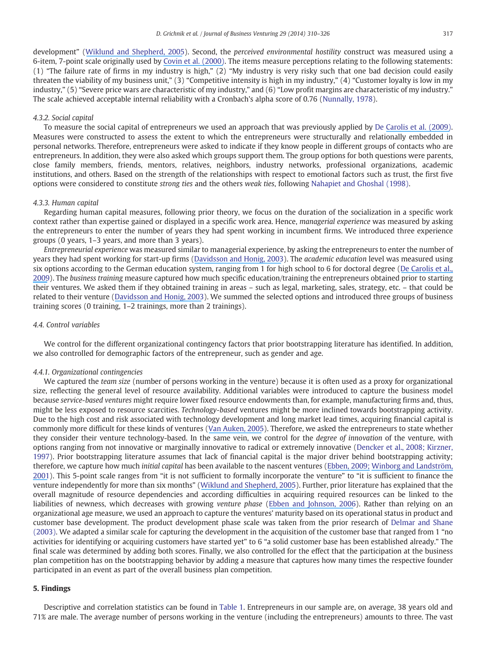development" [\(W](#page-17-0)[iklund](https://www.researchgate.net/publication/222269148_Entrepreneurial_Orientation_and_Small_Business_Performance_A_Configurational_Approach?el=1_x_8&enrichId=rgreq-4ec0cca50bc7534f32b4d70224e43ad0-XXX&enrichSource=Y292ZXJQYWdlOzI2MDAxMTE1MjtBUzozNTc5ODE2MDM1NDkxODZAMTQ2MjM2MDg3MzQ5Mg==)[and](https://www.researchgate.net/publication/222269148_Entrepreneurial_Orientation_and_Small_Business_Performance_A_Configurational_Approach?el=1_x_8&enrichId=rgreq-4ec0cca50bc7534f32b4d70224e43ad0-XXX&enrichSource=Y292ZXJQYWdlOzI2MDAxMTE1MjtBUzozNTc5ODE2MDM1NDkxODZAMTQ2MjM2MDg3MzQ5Mg==)[Shepherd,](https://www.researchgate.net/publication/222269148_Entrepreneurial_Orientation_and_Small_Business_Performance_A_Configurational_Approach?el=1_x_8&enrichId=rgreq-4ec0cca50bc7534f32b4d70224e43ad0-XXX&enrichSource=Y292ZXJQYWdlOzI2MDAxMTE1MjtBUzozNTc5ODE2MDM1NDkxODZAMTQ2MjM2MDg3MzQ5Mg==)[200](https://www.researchgate.net/publication/222269148_Entrepreneurial_Orientation_and_Small_Business_Performance_A_Configurational_Approach?el=1_x_8&enrichId=rgreq-4ec0cca50bc7534f32b4d70224e43ad0-XXX&enrichSource=Y292ZXJQYWdlOzI2MDAxMTE1MjtBUzozNTc5ODE2MDM1NDkxODZAMTQ2MjM2MDg3MzQ5Mg==)[5\)](#page-17-0). Second, the perceived environmental hostility construct was measured using a 6-item, 7-point scale originally used by [Covin et al. \(2000\).](#page-16-0) The items measure perceptions relating to the following statements: (1) "The failure rate of firms in my industry is high," (2) "My industry is very risky such that one bad decision could easily threaten the viability of my business unit," (3) "Competitive intensity is high in my industry," (4) "Customer loyalty is low in my industry," (5) "Severe price wars are characteristic of my industry," and (6) "Low profit margins are characteristic of my industry." The scale achieved acceptable internal reliability with a Cronbach's alpha score of 0.76 [\(Nunnally, 1978\)](#page-17-0).

#### 4.3.2. Social capital

To measure the social capital of entrepreneurs we used an approach that was previously applied by [De Carolis et al. \(2009\)](#page-16-0). Measures were constructed to assess the extent to which the entrepreneurs were structurally and relationally embedded in personal networks. Therefore, entrepreneurs were asked to indicate if they know people in different groups of contacts who are entrepreneurs. In addition, they were also asked which groups support them. The group options for both questions were parents, close family members, friends, mentors, relatives, neighbors, industry networks, professional organizations, academic institutions, and others. Based on the strength of the relationships with respect to emotional factors such as trust, the first five options were considered to constitute strong ties and the others weak ties, following [Nahapiet and Ghoshal \(1998\)](#page-17-0).

#### 4.3.3. Human capital

Regarding human capital measures, following prior theory, we focus on the duration of the socialization in a specific work context rather than expertise gained or displayed in a specific work area. Hence, managerial experience was measured by asking the entrepreneurs to enter the number of years they had spent working in incumbent firms. We introduced three experience groups (0 years, 1–3 years, and more than 3 years).

Entrepreneurial experience was measured similar to managerial experience, by asking the entrepreneurs to enter the number of years they had spent working for start-up firms ([Davidsson](https://www.researchgate.net/publication/222302662_The_Role_of_Social_And_Human_Capital_Among_Nascent_Entrepreneurs?el=1_x_8&enrichId=rgreq-4ec0cca50bc7534f32b4d70224e43ad0-XXX&enrichSource=Y292ZXJQYWdlOzI2MDAxMTE1MjtBUzozNTc5ODE2MDM1NDkxODZAMTQ2MjM2MDg3MzQ5Mg==)[and](https://www.researchgate.net/publication/222302662_The_Role_of_Social_And_Human_Capital_Among_Nascent_Entrepreneurs?el=1_x_8&enrichId=rgreq-4ec0cca50bc7534f32b4d70224e43ad0-XXX&enrichSource=Y292ZXJQYWdlOzI2MDAxMTE1MjtBUzozNTc5ODE2MDM1NDkxODZAMTQ2MjM2MDg3MzQ5Mg==)[Honig,](https://www.researchgate.net/publication/222302662_The_Role_of_Social_And_Human_Capital_Among_Nascent_Entrepreneurs?el=1_x_8&enrichId=rgreq-4ec0cca50bc7534f32b4d70224e43ad0-XXX&enrichSource=Y292ZXJQYWdlOzI2MDAxMTE1MjtBUzozNTc5ODE2MDM1NDkxODZAMTQ2MjM2MDg3MzQ5Mg==)[200](https://www.researchgate.net/publication/222302662_The_Role_of_Social_And_Human_Capital_Among_Nascent_Entrepreneurs?el=1_x_8&enrichId=rgreq-4ec0cca50bc7534f32b4d70224e43ad0-XXX&enrichSource=Y292ZXJQYWdlOzI2MDAxMTE1MjtBUzozNTc5ODE2MDM1NDkxODZAMTQ2MjM2MDg3MzQ5Mg==)[3\)](#page-16-0). The academic education level was measured using six options according to the German education system, ranging from 1 for high school to 6 for doctoral degree ([De Carolis et al.,](#page-16-0) [200](https://www.researchgate.net/publication/227676159_Why_Networks_Enhance_the_Progress_of_New_Venture_Creation_The_Influence_of_Social_Capital_and_Cognition?el=1_x_8&enrichId=rgreq-4ec0cca50bc7534f32b4d70224e43ad0-XXX&enrichSource=Y292ZXJQYWdlOzI2MDAxMTE1MjtBUzozNTc5ODE2MDM1NDkxODZAMTQ2MjM2MDg3MzQ5Mg==)[9](#page-16-0)). The business training measure captured how much specific education/training the entrepreneurs obtained prior to starting their ventures. We asked them if they obtained training in areas – such as legal, marketing, sales, strategy, etc. – that could be related to their venture [\(Davidsson and Honig, 2003](#page-16-0)). We summed the selected options and introduced three groups of business training scores (0 training, 1–2 trainings, more than 2 trainings).

#### 4.4. Control variables

We control for the different organizational contingency factors that prior bootstrapping literature has identified. In addition, we also controlled for demographic factors of the entrepreneur, such as gender and age.

#### 4.4.1. Organizational contingencies

We captured the *team size* (number of persons working in the venture) because it is often used as a proxy for organizational size, reflecting the general level of resource availability. Additional variables were introduced to capture the business model because service-based ventures might require lower fixed resource endowments than, for example, manufacturing firms and, thus, might be less exposed to resource scarcities. Technology-based ventures might be more inclined towards bootstrapping activity. Due to the high cost and risk associated with technology development and long market lead times, acquiring financial capital is commonly more difficult for these kinds of ventures [\(Van Auken, 2005](#page-17-0)). Therefore, we asked the entrepreneurs to state whether they consider their venture technology-based. In the same vein, we control for the *degree of innovation* of the venture, with options ranging from not innovative or marginally innovative to radical or extremely innovative [\(Dencker et al., 2008; Kirzner,](#page-16-0) [1997](#page-16-0)). Prior bootstrapping literature assumes that lack of financial capital is the major driver behind bootstrapping activity; therefore, we capture how much initial capital has been available to the nascent ventures ([Ebben, 2009; Winborg and Landström,](#page-16-0) [2001](#page-16-0)). This 5-point scale ranges from "it is not sufficient to formally incorporate the venture" to "it is sufficient to finance the venture independently for more than six months" ([W](#page-17-0)[iklund](https://www.researchgate.net/publication/222269148_Entrepreneurial_Orientation_and_Small_Business_Performance_A_Configurational_Approach?el=1_x_8&enrichId=rgreq-4ec0cca50bc7534f32b4d70224e43ad0-XXX&enrichSource=Y292ZXJQYWdlOzI2MDAxMTE1MjtBUzozNTc5ODE2MDM1NDkxODZAMTQ2MjM2MDg3MzQ5Mg==)[and](https://www.researchgate.net/publication/222269148_Entrepreneurial_Orientation_and_Small_Business_Performance_A_Configurational_Approach?el=1_x_8&enrichId=rgreq-4ec0cca50bc7534f32b4d70224e43ad0-XXX&enrichSource=Y292ZXJQYWdlOzI2MDAxMTE1MjtBUzozNTc5ODE2MDM1NDkxODZAMTQ2MjM2MDg3MzQ5Mg==)[Shepherd,](https://www.researchgate.net/publication/222269148_Entrepreneurial_Orientation_and_Small_Business_Performance_A_Configurational_Approach?el=1_x_8&enrichId=rgreq-4ec0cca50bc7534f32b4d70224e43ad0-XXX&enrichSource=Y292ZXJQYWdlOzI2MDAxMTE1MjtBUzozNTc5ODE2MDM1NDkxODZAMTQ2MjM2MDg3MzQ5Mg==)[200](https://www.researchgate.net/publication/222269148_Entrepreneurial_Orientation_and_Small_Business_Performance_A_Configurational_Approach?el=1_x_8&enrichId=rgreq-4ec0cca50bc7534f32b4d70224e43ad0-XXX&enrichSource=Y292ZXJQYWdlOzI2MDAxMTE1MjtBUzozNTc5ODE2MDM1NDkxODZAMTQ2MjM2MDg3MzQ5Mg==)[5\)](#page-17-0). Further, prior literature has explained that the overall magnitude of resource dependencies and according difficulties in acquiring required resources can be linked to the liabilities of newness, which decreases with growing venture phase ([Ebben](https://www.researchgate.net/publication/222269245_Bootstrapping_in_small_firms_An_empirical_analysis_of_change_over_time?el=1_x_8&enrichId=rgreq-4ec0cca50bc7534f32b4d70224e43ad0-XXX&enrichSource=Y292ZXJQYWdlOzI2MDAxMTE1MjtBUzozNTc5ODE2MDM1NDkxODZAMTQ2MjM2MDg3MzQ5Mg==)[and](https://www.researchgate.net/publication/222269245_Bootstrapping_in_small_firms_An_empirical_analysis_of_change_over_time?el=1_x_8&enrichId=rgreq-4ec0cca50bc7534f32b4d70224e43ad0-XXX&enrichSource=Y292ZXJQYWdlOzI2MDAxMTE1MjtBUzozNTc5ODE2MDM1NDkxODZAMTQ2MjM2MDg3MzQ5Mg==)[Johnson,](https://www.researchgate.net/publication/222269245_Bootstrapping_in_small_firms_An_empirical_analysis_of_change_over_time?el=1_x_8&enrichId=rgreq-4ec0cca50bc7534f32b4d70224e43ad0-XXX&enrichSource=Y292ZXJQYWdlOzI2MDAxMTE1MjtBUzozNTc5ODE2MDM1NDkxODZAMTQ2MjM2MDg3MzQ5Mg==)[200](https://www.researchgate.net/publication/222269245_Bootstrapping_in_small_firms_An_empirical_analysis_of_change_over_time?el=1_x_8&enrichId=rgreq-4ec0cca50bc7534f32b4d70224e43ad0-XXX&enrichSource=Y292ZXJQYWdlOzI2MDAxMTE1MjtBUzozNTc5ODE2MDM1NDkxODZAMTQ2MjM2MDg3MzQ5Mg==)[6](#page-16-0)). Rather than relying on an organizational age measure, we used an approach to capture the ventures' maturity based on its operational status in product and customer base development. The product development phase scale was taken from the prior research of [Delmar and Shane](#page-16-0) [\(2003\)](#page-16-0). We adapted a similar scale for capturing the development in the acquisition of the customer base that ranged from 1 "no activities for identifying or acquiring customers have started yet" to 6 "a solid customer base has been established already." The final scale was determined by adding both scores. Finally, we also controlled for the effect that the participation at the business plan competition has on the bootstrapping behavior by adding a measure that captures how many times the respective founder participated in an event as part of the overall business plan competition.

#### 5. Findings

Descriptive and correlation statistics can be found in [Table 1](#page-9-0). Entrepreneurs in our sample are, on average, 38 years old and 71% are male. The average number of persons working in the venture (including the entrepreneurs) amounts to three. The vast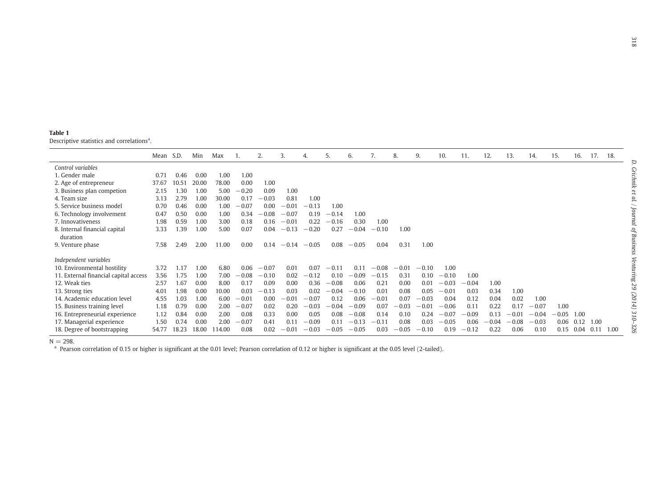<span id="page-9-0"></span>Descriptive statistics and correlations<sup>a</sup>.

|                                           | Mean S.D. |       | Min   | Max   |         | 2.      | 3.      | 4.      | 5.      | 6.      | 7.      | 8.      | 9.      | 10.     | 11.     | 12.     | 13.     | 14.     | 15.     | 16.  | 17.  | 18.  |
|-------------------------------------------|-----------|-------|-------|-------|---------|---------|---------|---------|---------|---------|---------|---------|---------|---------|---------|---------|---------|---------|---------|------|------|------|
| Control variables                         |           |       |       |       |         |         |         |         |         |         |         |         |         |         |         |         |         |         |         |      |      |      |
| 1. Gender male                            | 0.71      | 0.46  | 0.00  | 1.00  | 1.00    |         |         |         |         |         |         |         |         |         |         |         |         |         |         |      |      |      |
| 2. Age of entrepreneur                    | 37.67     | 10.51 | 20.00 | 78.00 | 0.00    | 1.00    |         |         |         |         |         |         |         |         |         |         |         |         |         |      |      |      |
| 3. Business plan competion                | 2.15      | 1.30  | 1.00  | 5.00  | $-0.20$ | 0.09    | 1.00    |         |         |         |         |         |         |         |         |         |         |         |         |      |      |      |
| 4. Team size                              | 3.13      | 2.79  | 1.00  | 30.00 | 0.17    | $-0.03$ | 0.81    | 1.00    |         |         |         |         |         |         |         |         |         |         |         |      |      |      |
| 5. Service business model                 | 0.70      | 0.46  | 0.00  | 1.00  | $-0.07$ | 0.00    | $-0.01$ | $-0.13$ | 1.00    |         |         |         |         |         |         |         |         |         |         |      |      |      |
| 6. Technology involvement                 | 0.47      | 0.50  | 0.00  | 1.00  | 0.34    | $-0.08$ | $-0.07$ | 0.19    | $-0.14$ | 1.00    |         |         |         |         |         |         |         |         |         |      |      |      |
| 7. Innovativeness                         | 1.98      | 0.59  | 1.00  | 3.00  | 0.18    | 0.16    | $-0.01$ | 0.22    | $-0.16$ | 0.30    | 1.00    |         |         |         |         |         |         |         |         |      |      |      |
| 8. Internal financial capital<br>duration | 3.33      | 1.39  | 1.00  | 5.00  | 0.07    | 0.04    | $-0.13$ | $-0.20$ | 0.27    | $-0.04$ | $-0.10$ | 1.00    |         |         |         |         |         |         |         |      |      |      |
| 9. Venture phase                          | 7.58      | 2.49  | 2.00  | 11.00 | 0.00    | 0.14    | $-0.14$ | $-0.05$ | 0.08    | $-0.05$ | 0.04    | 0.31    | 1.00    |         |         |         |         |         |         |      |      |      |
| Independent variables                     |           |       |       |       |         |         |         |         |         |         |         |         |         |         |         |         |         |         |         |      |      |      |
| 10. Environmental hostility               | 3.72      | 1.17  | 1.00  | 6.80  | 0.06    | $-0.07$ | 0.01    | 0.07    | $-0.11$ | 0.11    | $-0.08$ | $-0.01$ | $-0.10$ | 1.00    |         |         |         |         |         |      |      |      |
| 11. External financial capital access     | 3.56      | 1.75  | 1.00  | 7.00  | $-0.08$ | $-0.10$ | 0.02    | $-0.12$ | 0.10    | $-0.09$ | $-0.15$ | 0.31    | 0.10    | $-0.10$ | 1.00    |         |         |         |         |      |      |      |
| 12. Weak ties                             | 2.57      | 1.67  | 0.00  | 8.00  | 0.17    | 0.09    | 0.00    | 0.36    | $-0.08$ | 0.06    | 0.21    | 0.00    | 0.01    | $-0.03$ | $-0.04$ | 1.00    |         |         |         |      |      |      |
| 13. Strong ties                           | 4.01      | 1.98  | 0.00  | 10.00 | 0.03    | $-0.13$ | 0.03    | 0.02    | $-0.04$ | $-0.10$ | 0.01    | 0.08    | 0.05    | $-0.01$ | 0.03    | 0.34    | 1.00    |         |         |      |      |      |
| 14. Academic education level              | 4.55      | 1.03  | 1.00  | 6.00  | $-0.01$ | 0.00    | $-0.01$ | $-0.07$ | 0.12    | 0.06    | $-0.01$ | 0.07    | $-0.03$ | 0.04    | 0.12    | 0.04    | 0.02    | 1.00    |         |      |      |      |
| 15. Business training level               | 1.18      | 0.79  | 0.00  | 2.00  | $-0.07$ | 0.02    | 0.20    | $-0.03$ | $-0.04$ | $-0.09$ | 0.07    | $-0.03$ | $-0.01$ | $-0.06$ | 0.11    | 0.22    | 0.17    | $-0.07$ | 1.00    |      |      |      |
| 16. Entrepreneurial experience            | 1.12      | 0.84  | 0.00  | 2.00  | 0.08    | 0.33    | 0.00    | 0.05    | 0.08    | $-0.08$ | 0.14    | 0.10    | 0.24    | $-0.07$ | $-0.09$ | 0.13    | $-0.01$ | $-0.04$ | $-0.05$ | 1.00 |      |      |
| 17. Managerial experience                 | 1.50      | 0.74  | 0.00  | 2.00  | $-0.07$ | 0.41    | 0.11    | $-0.09$ | 0.11    | $-0.13$ | $-0.11$ | 0.08    | 0.03    | $-0.05$ | 0.06    | $-0.04$ | $-0.08$ | $-0.03$ | 0.06    | 0.12 | 1.00 |      |
| 18. Degree of bootstrapping               | 54.77     | 18.23 | 18.00 | 14.00 | 0.08    | 0.02    | $-0.01$ | $-0.03$ | $-0.05$ | $-0.05$ | 0.03    | $-0.05$ | $-0.10$ | 0.19    | $-0.12$ | 0.22    | 0.06    | 0.10    | 0.15    | 0.04 | 0.11 | 1.00 |

 $N = 298$ .

 $^{\text{a}}$  Pearson correlation of 0.15 or higher is significant at the 0.01 level; Pearson correlation of 0.12 or higher is significant at the 0.05 level (2-tailed).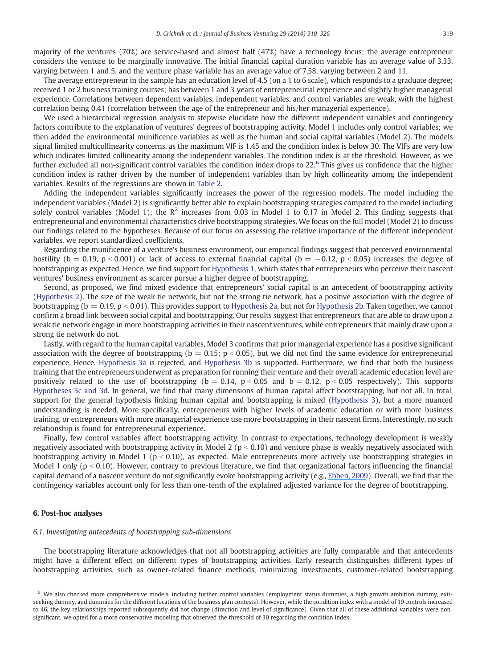majority of the ventures (70%) are service-based and almost half (47%) have a technology focus; the average entrepreneur considers the venture to be marginally innovative. The initial financial capital duration variable has an average value of 3.33, varying between 1 and 5, and the venture phase variable has an average value of 7.58, varying between 2 and 11.

The average entrepreneur in the sample has an education level of 4.5 (on a 1 to 6 scale), which responds to a graduate degree; received 1 or 2 business training courses; has between 1 and 3 years of entrepreneurial experience and slightly higher managerial experience. Correlations between dependent variables, independent variables, and control variables are weak, with the highest correlation being 0.41 (correlation between the age of the entrepreneur and his/her managerial experience).

We used a hierarchical regression analysis to stepwise elucidate how the different independent variables and contingency factors contribute to the explanation of ventures' degrees of bootstrapping activity. Model 1 includes only control variables; we then added the environmental munificence variables as well as the human and social capital variables (Model 2). The models signal limited multicollinearity concerns, as the maximum VIF is 1.45 and the condition index is below 30. The VIFs are very low which indicates limited collinearity among the independent variables. The condition index is at the threshold. However, as we further excluded all non-significant control variables the condition index drops to  $22<sup>6</sup>$  This gives us confidence that the higher condition index is rather driven by the number of independent variables than by high collinearity among the independent variables. Results of the regressions are shown in [Table 2](#page-11-0).

Adding the independent variables significantly increases the power of the regression models. The model including the independent variables (Model 2) is significantly better able to explain bootstrapping strategies compared to the model including solely control variables (Model 1); the  $R^2$  increases from 0.03 in Model 1 to 0.17 in Model 2. This finding suggests that entrepreneurial and environmental characteristics drive bootstrapping strategies. We focus on the full model (Model 2) to discuss our findings related to the hypotheses. Because of our focus on assessing the relative importance of the different independent variables, we report standardized coefficients.

Regarding the munificence of a venture's business environment, our empirical findings suggest that perceived environmental hostility (b = 0.19, p < 0.001) or lack of access to external financial capital (b = −0.12, p < 0.05) increases the degree of bootstrapping as expected. Hence, we find support for [Hypothesis 1,](#page-4-0) which states that entrepreneurs who perceive their nascent ventures' business environment as scarcer pursue a higher degree of bootstrapping.

Second, as proposed, we find mixed evidence that entrepreneurs' social capital is an antecedent of bootstrapping activity [\(Hypothesis 2](#page-5-0)). The size of the weak tie network, but not the strong tie network, has a positive association with the degree of bootstrapping ( $b = 0.19$ ,  $p < 0.01$ ). This provides support to [Hypothesis 2a,](#page-5-0) but not for [Hypothesis 2b](#page-5-0). Taken together, we cannot confirm a broad link between social capital and bootstrapping. Our results suggest that entrepreneurs that are able to draw upon a weak tie network engage in more bootstrapping activities in their nascent ventures, while entrepreneurs that mainly draw upon a strong tie network do not.

Lastly, with regard to the human capital variables, Model 3 confirms that prior managerial experience has a positive significant association with the degree of bootstrapping ( $b = 0.15$ ;  $p < 0.05$ ), but we did not find the same evidence for entrepreneurial experience. Hence, [Hypothesis 3a](#page-6-0) is rejected, and [Hypothesis 3b](#page-6-0) is supported. Furthermore, we find that both the business training that the entrepreneurs underwent as preparation for running their venture and their overall academic education level are positively related to the use of bootstrapping ( $b = 0.14$ ,  $p < 0.05$  and  $b = 0.12$ ,  $p < 0.05$  respectively). This supports [Hypotheses 3c and 3d.](#page-6-0) In general, we find that many dimensions of human capital affect bootstrapping, but not all. In total, support for the general hypothesis linking human capital and bootstrapping is mixed [\(Hypothesis 3](#page-6-0)), but a more nuanced understanding is needed. More specifically, entrepreneurs with higher levels of academic education or with more business training, or entrepreneurs with more managerial experience use more bootstrapping in their nascent firms. Interestingly, no such relationship is found for entrepreneurial experience.

Finally, few control variables affect bootstrapping activity. In contrast to expectations, technology development is weakly negatively associated with bootstrapping activity in Model 2 ( $p < 0.10$ ) and venture phase is weakly negatively associated with bootstrapping activity in Model 1 ( $p < 0.10$ ), as expected. Male entrepreneurs more actively use bootstrapping strategies in Model 1 only ( $p < 0.10$ ). However, contrary to previous literature, we find that organizational factors influencing the financial capital demand of a nascent venture do not significantly evoke bootstrapping activity (e.g., [Ebben, 2009\)](#page-16-0). Overall, we find that the contingency variables account only for less than one-tenth of the explained adjusted variance for the degree of bootstrapping.

#### 6. Post-hoc analyses

#### 6.1. Investigating antecedents of bootstrapping sub-dimensions

The bootstrapping literature acknowledges that not all bootstrapping activities are fully comparable and that antecedents might have a different effect on different types of bootstrapping activities. Early research distinguishes different types of bootstrapping activities, such as owner-related finance methods, minimizing investments, customer-related bootstrapping

<sup>6</sup> We also checked more comprehensive models, including further control variables (employment status dummies, a high growth ambition dummy, exitseeking dummy, and dummies for the different locations of the business plan contests). However, while the condition index with a model of 19 controls increased to 46, the key relationships reported subsequently did not change (direction and level of significance). Given that all of these additional variables were nonsignificant, we opted for a more conservative modeling that observed the threshold of 30 regarding the condition index.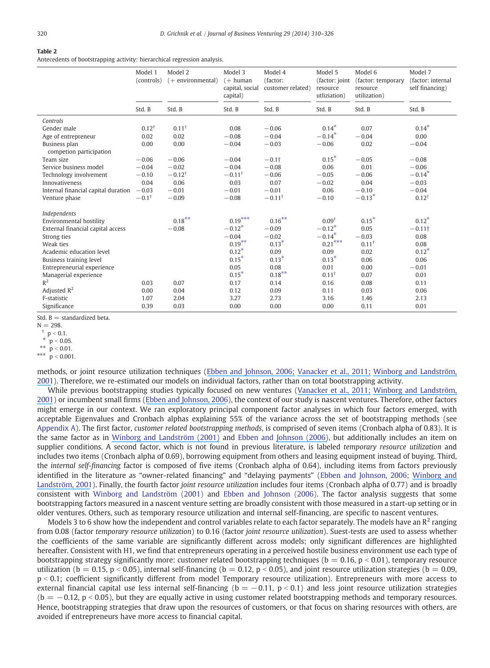#### <span id="page-11-0"></span>Table 2

Antecedents of bootstrapping activity: hierarchical regression analysis.

|                                          | Model 1<br>(controls) | Model 2<br>$( +$ environmental) | Model 3<br>Model 4<br>Model 5<br>(factor:<br>$(+)$ human<br>(factor: joint)<br>capital, social<br>customer related)<br>resource<br>capital)<br>utliziation) |                   | Model 6<br>(factor: temporary<br>resource<br>utilization) | Model 7<br>(factor: internal<br>self financing) |                  |
|------------------------------------------|-----------------------|---------------------------------|-------------------------------------------------------------------------------------------------------------------------------------------------------------|-------------------|-----------------------------------------------------------|-------------------------------------------------|------------------|
|                                          | Std. B                | Std. B                          | Std. B                                                                                                                                                      | Std. B            | Std. B                                                    | Std. B                                          | Std. B           |
| Controls                                 |                       |                                 |                                                                                                                                                             |                   |                                                           |                                                 |                  |
| Gender male                              | $0.12^{\dagger}$      | $0.11^{\dagger}$                | 0.08                                                                                                                                                        | $-0.06$           | $0.14*$                                                   | 0.07                                            | $0.14*$          |
| Age of entrepreneur                      | 0.02                  | 0.02                            | $-0.08$                                                                                                                                                     | $-0.04$           | $-0.14*$                                                  | $-0.04$                                         | 0.00             |
| Business plan<br>competion participation | 0.00                  | 0.00                            | $-0.04$                                                                                                                                                     | $-0.03$           | $-0.06$                                                   | 0.02                                            | $-0.04$          |
| Team size                                | $-0.06$               | $-0.06$                         | $-0.04$                                                                                                                                                     | $-0.1†$           | $0.15*$                                                   | $-0.05$                                         | $-0.08$          |
| Service business model                   | $-0.04$               | $-0.02$                         | $-0.04$                                                                                                                                                     | $-0.08$           | 0.06                                                      | 0.01                                            | $-0.06$          |
| Technology involvement                   | $-0.10$               | $-0.12^{\dagger}$               | $-0.11^{\dagger}$                                                                                                                                           | $-0.06$           | $-0.05$                                                   | $-0.06$                                         | $-0.14*$         |
| Innovativeness                           | 0.04                  | 0.06                            | 0.03                                                                                                                                                        | 0.07              | $-0.02$                                                   | 0.04                                            | $-0.03$          |
| Internal financial capital duration      | $-0.03$               | $-0.01$                         | $-0.01$                                                                                                                                                     | $-0.01$           | 0.06                                                      | $-0.10$                                         | $-0.04$          |
| Venture phase                            | $-0.1^{\dagger}$      | $-0.09$                         | $-0.08$                                                                                                                                                     | $-0.11^{\dagger}$ | $-0.10$                                                   | $-0.13*$                                        | $0.12^{\dagger}$ |
| Independents                             |                       |                                 |                                                                                                                                                             |                   |                                                           |                                                 |                  |
| Environmental hostility                  |                       | $0.18***$                       | $0.19***$                                                                                                                                                   | $0.16***$         | $0.09^{\dagger}$                                          | $0.15*$                                         | $0.12*$          |
| External financial capital access        |                       | $-0.08$                         | $-0.12*$                                                                                                                                                    | $-0.09$           | $-0.12$ <sup>*</sup>                                      | 0.05                                            | $-0.11$ †        |
| Strong ties                              |                       |                                 | $-0.04$                                                                                                                                                     | $-0.02$           | $-0.14*$                                                  | $-0.03$                                         | 0.08             |
| Weak ties                                |                       |                                 | $0.19***$                                                                                                                                                   | $0.13*$           | $0.21***$                                                 | $0.11^{\dagger}$                                | 0.08             |
| Academic education level                 |                       |                                 | $0.12*$                                                                                                                                                     | 0.09              | 0.09                                                      | 0.02                                            | $0.12*$          |
| Business training level                  |                       |                                 | $0.15*$                                                                                                                                                     | $0.13*$           | $0.13*$                                                   | 0.06                                            | 0.06             |
| Entrepreneurial experience               |                       |                                 | 0.05                                                                                                                                                        | 0.08              | 0.01                                                      | 0.00                                            | $-0.01$          |
| Managerial experience                    |                       |                                 | $0.15*$                                                                                                                                                     | $0.18***$         | $0.11^{\dagger}$                                          | 0.07                                            | 0.01             |
| $R^2$                                    | 0.03                  | 0.07                            | 0.17                                                                                                                                                        | 0.14              | 0.16                                                      | 0.08                                            | 0.11             |
| Adjusted $R^2$                           | 0.00                  | 0.04                            | 0.12                                                                                                                                                        | 0.09              | 0.11                                                      | 0.03                                            | 0.06             |
| F-statistic                              | 1.07                  | 2.04                            | 3.27                                                                                                                                                        | 2.73              | 3.16                                                      | 1.46                                            | 2.13             |
| Significance                             | 0.39                  | 0.03                            | 0.00                                                                                                                                                        | 0.00              | 0.00                                                      | 0.11                                            | 0.01             |

Std.  $B =$  standardized beta.

 $N = 298.$ 

 $p < 0.1.$ 

 $*$   $p < 0.05$ .

\*\*  $p < 0.01$ .

\*\*\*  $p < 0.001$ .

methods, or joint resource utilization techniques ([E](#page-16-0)[bben](https://www.researchgate.net/publication/222269245_Bootstrapping_in_small_firms_An_empirical_analysis_of_change_over_time?el=1_x_8&enrichId=rgreq-4ec0cca50bc7534f32b4d70224e43ad0-XXX&enrichSource=Y292ZXJQYWdlOzI2MDAxMTE1MjtBUzozNTc5ODE2MDM1NDkxODZAMTQ2MjM2MDg3MzQ5Mg==)[and](https://www.researchgate.net/publication/222269245_Bootstrapping_in_small_firms_An_empirical_analysis_of_change_over_time?el=1_x_8&enrichId=rgreq-4ec0cca50bc7534f32b4d70224e43ad0-XXX&enrichSource=Y292ZXJQYWdlOzI2MDAxMTE1MjtBUzozNTc5ODE2MDM1NDkxODZAMTQ2MjM2MDg3MzQ5Mg==)[Johnson,](https://www.researchgate.net/publication/222269245_Bootstrapping_in_small_firms_An_empirical_analysis_of_change_over_time?el=1_x_8&enrichId=rgreq-4ec0cca50bc7534f32b4d70224e43ad0-XXX&enrichSource=Y292ZXJQYWdlOzI2MDAxMTE1MjtBUzozNTc5ODE2MDM1NDkxODZAMTQ2MjM2MDg3MzQ5Mg==)[2006](https://www.researchgate.net/publication/222269245_Bootstrapping_in_small_firms_An_empirical_analysis_of_change_over_time?el=1_x_8&enrichId=rgreq-4ec0cca50bc7534f32b4d70224e43ad0-XXX&enrichSource=Y292ZXJQYWdlOzI2MDAxMTE1MjtBUzozNTc5ODE2MDM1NDkxODZAMTQ2MjM2MDg3MzQ5Mg==)[; V](#page-16-0)[anacker](https://www.researchgate.net/publication/228315341_A_Longitudinal_Study_on_the_Relationship_Between_Financial_Bootstrapping_and_New_Venture_Growth?el=1_x_8&enrichId=rgreq-4ec0cca50bc7534f32b4d70224e43ad0-XXX&enrichSource=Y292ZXJQYWdlOzI2MDAxMTE1MjtBUzozNTc5ODE2MDM1NDkxODZAMTQ2MjM2MDg3MzQ5Mg==)[et](https://www.researchgate.net/publication/228315341_A_Longitudinal_Study_on_the_Relationship_Between_Financial_Bootstrapping_and_New_Venture_Growth?el=1_x_8&enrichId=rgreq-4ec0cca50bc7534f32b4d70224e43ad0-XXX&enrichSource=Y292ZXJQYWdlOzI2MDAxMTE1MjtBUzozNTc5ODE2MDM1NDkxODZAMTQ2MjM2MDg3MzQ5Mg==)[al.,](https://www.researchgate.net/publication/228315341_A_Longitudinal_Study_on_the_Relationship_Between_Financial_Bootstrapping_and_New_Venture_Growth?el=1_x_8&enrichId=rgreq-4ec0cca50bc7534f32b4d70224e43ad0-XXX&enrichSource=Y292ZXJQYWdlOzI2MDAxMTE1MjtBUzozNTc5ODE2MDM1NDkxODZAMTQ2MjM2MDg3MzQ5Mg==)[2011;](https://www.researchgate.net/publication/228315341_A_Longitudinal_Study_on_the_Relationship_Between_Financial_Bootstrapping_and_New_Venture_Growth?el=1_x_8&enrichId=rgreq-4ec0cca50bc7534f32b4d70224e43ad0-XXX&enrichSource=Y292ZXJQYWdlOzI2MDAxMTE1MjtBUzozNTc5ODE2MDM1NDkxODZAMTQ2MjM2MDg3MzQ5Mg==)[Winborg](https://www.researchgate.net/publication/4967874_Financial_bootstrapping_in_small_businesses_Examining_small_business_managers)[and](https://www.researchgate.net/publication/4967874_Financial_bootstrapping_in_small_businesses_Examining_small_business_managers)[Landström,](https://www.researchgate.net/publication/4967874_Financial_bootstrapping_in_small_businesses_Examining_small_business_managers) [2001](#page-16-0)). Therefore, we re-estimated our models on individual factors, rather than on total bootstrapping activity.

While previous bootstrapping studies typically focused on new ventures ([Vanacker](https://www.researchgate.net/publication/228315341_A_Longitudinal_Study_on_the_Relationship_Between_Financial_Bootstrapping_and_New_Venture_Growth?el=1_x_8&enrichId=rgreq-4ec0cca50bc7534f32b4d70224e43ad0-XXX&enrichSource=Y292ZXJQYWdlOzI2MDAxMTE1MjtBUzozNTc5ODE2MDM1NDkxODZAMTQ2MjM2MDg3MzQ5Mg==)[et](https://www.researchgate.net/publication/228315341_A_Longitudinal_Study_on_the_Relationship_Between_Financial_Bootstrapping_and_New_Venture_Growth?el=1_x_8&enrichId=rgreq-4ec0cca50bc7534f32b4d70224e43ad0-XXX&enrichSource=Y292ZXJQYWdlOzI2MDAxMTE1MjtBUzozNTc5ODE2MDM1NDkxODZAMTQ2MjM2MDg3MzQ5Mg==) [al.,](https://www.researchgate.net/publication/228315341_A_Longitudinal_Study_on_the_Relationship_Between_Financial_Bootstrapping_and_New_Venture_Growth?el=1_x_8&enrichId=rgreq-4ec0cca50bc7534f32b4d70224e43ad0-XXX&enrichSource=Y292ZXJQYWdlOzI2MDAxMTE1MjtBUzozNTc5ODE2MDM1NDkxODZAMTQ2MjM2MDg3MzQ5Mg==) [2011;](https://www.researchgate.net/publication/228315341_A_Longitudinal_Study_on_the_Relationship_Between_Financial_Bootstrapping_and_New_Venture_Growth?el=1_x_8&enrichId=rgreq-4ec0cca50bc7534f32b4d70224e43ad0-XXX&enrichSource=Y292ZXJQYWdlOzI2MDAxMTE1MjtBUzozNTc5ODE2MDM1NDkxODZAMTQ2MjM2MDg3MzQ5Mg==) [Winborg](https://www.researchgate.net/publication/4967874_Financial_bootstrapping_in_small_businesses_Examining_small_business_managers) [and](https://www.researchgate.net/publication/4967874_Financial_bootstrapping_in_small_businesses_Examining_small_business_managers) [Landström,](https://www.researchgate.net/publication/4967874_Financial_bootstrapping_in_small_businesses_Examining_small_business_managers) [2001](#page-17-0)) or incumbent small firms ([Ebben and Johnson, 2006](#page-16-0)), the context of our study is nascent ventures. Therefore, other factors might emerge in our context. We ran exploratory principal component factor analyses in which four factors emerged, with acceptable Eigenvalues and Cronbach alphas explaining 55% of the variance across the set of bootstrapping methods (see [Appendix A\)](#page-15-0). The first factor, customer related bootstrapping methods, is comprised of seven items (Cronbach alpha of 0.83). It is the same factor as in [Winborg and Landström \(2001\)](#page-17-0) and [Ebben and Johnson \(2006\)](#page-16-0), but additionally includes an item on supplier conditions. A second factor, which is not found in previous literature, is labeled temporary resource utilization and includes two items (Cronbach alpha of 0.69), borrowing equipment from others and leasing equipment instead of buying. Third, the internal self-financing factor is composed of five items (Cronbach alpha of 0.64), including items from factors previously identified in the literature as "owner-related financing" and "delaying payments" ([Ebben and Johnson, 2006;](#page-16-0) [Winborg](https://www.researchgate.net/publication/4967874_Financial_bootstrapping_in_small_businesses_Examining_small_business_managers)[and](https://www.researchgate.net/publication/4967874_Financial_bootstrapping_in_small_businesses_Examining_small_business_managers) [Landström, 2001\)](#page-16-0). Finally, the fourth factor joint resource utilization includes four items (Cronbach alpha of 0.77) and is broadly consistent with [Winborg and Landström \(2001\)](#page-17-0) and [Ebben and Johnson \(2006\).](#page-16-0) The factor analysis suggests that some bootstrapping factors measured in a nascent venture setting are broadly consistent with those measured in a start-up setting or in older ventures. Others, such as temporary resource utilization and internal self-financing, are specific to nascent ventures.

Models 3 to 6 show how the independent and control variables relate to each factor separately. The models have an  $R^2$  ranging from 0.08 (factor temporary resource utilization) to 0.16 (factor joint resource utilization). Suest-tests are used to assess whether the coefficients of the same variable are significantly different across models; only significant differences are highlighted hereafter. Consistent with H1, we find that entrepreneurs operating in a perceived hostile business environment use each type of bootstrapping strategy significantly more: customer related bootstrapping techniques ( $b = 0.16$ ,  $p < 0.01$ ), temporary resource utilization (b = 0.15, p < 0.05), internal self-financing (b = 0.12, p < 0.05), and joint resource utilization strategies (b = 0.09,  $p < 0.1$ ; coefficient significantly different from model Temporary resource utilization). Entrepreneurs with more access to external financial capital use less internal self-financing ( $b = -0.11$ ,  $p < 0.1$ ) and less joint resource utilization strategies  $(b = -0.12, p < 0.05)$ , but they are equally active in using customer related bootstrapping methods and temporary resources. Hence, bootstrapping strategies that draw upon the resources of customers, or that focus on sharing resources with others, are avoided if entrepreneurs have more access to financial capital.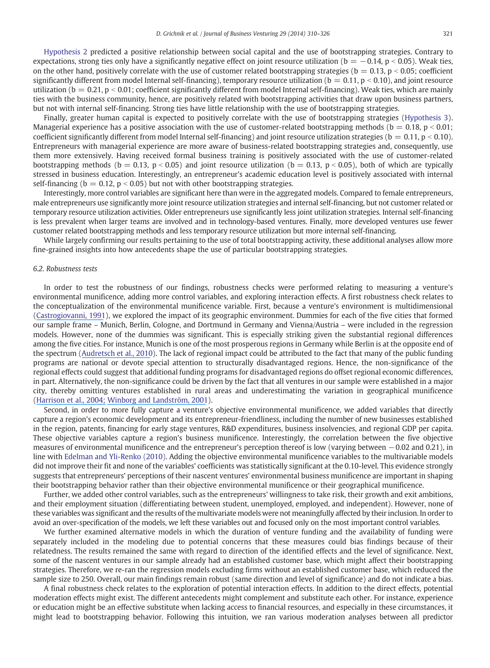[Hypothesis 2](#page-5-0) predicted a positive relationship between social capital and the use of bootstrapping strategies. Contrary to expectations, strong ties only have a significantly negative effect on joint resource utilization ( $b = -0.14$ ,  $p < 0.05$ ). Weak ties, on the other hand, positively correlate with the use of customer related bootstrapping strategies ( $b = 0.13$ ,  $p < 0.05$ ; coefficient significantly different from model Internal self-financing), temporary resource utilization ( $b = 0.11$ ,  $p < 0.10$ ), and joint resource utilization ( $b = 0.21$ ,  $p < 0.01$ ; coefficient significantly different from model Internal self-financing). Weak ties, which are mainly ties with the business community, hence, are positively related with bootstrapping activities that draw upon business partners, but not with internal self-financing. Strong ties have little relationship with the use of bootstrapping strategies.

Finally, greater human capital is expected to positively correlate with the use of bootstrapping strategies ([Hypothesis 3\)](#page-6-0). Managerial experience has a positive association with the use of customer-related bootstrapping methods ( $b = 0.18$ ,  $p < 0.01$ ; coefficient significantly different from model Internal self-financing) and joint resource utilization strategies ( $b = 0.11$ ,  $p < 0.10$ ). Entrepreneurs with managerial experience are more aware of business-related bootstrapping strategies and, consequently, use them more extensively. Having received formal business training is positively associated with the use of customer-related bootstrapping methods ( $b = 0.13$ ,  $p < 0.05$ ) and joint resource utilization ( $b = 0.13$ ,  $p < 0.05$ ), both of which are typically stressed in business education. Interestingly, an entrepreneur's academic education level is positively associated with internal self-financing ( $b = 0.12$ ,  $p < 0.05$ ) but not with other bootstrapping strategies.

Interestingly, more control variables are significant here than were in the aggregated models. Compared to female entrepreneurs, male entrepreneurs use significantly more joint resource utilization strategies and internal self-financing, but not customer related or temporary resource utilization activities. Older entrepreneurs use significantly less joint utilization strategies. Internal self-financing is less prevalent when larger teams are involved and in technology-based ventures. Finally, more developed ventures use fewer customer related bootstrapping methods and less temporary resource utilization but more internal self-financing.

While largely confirming our results pertaining to the use of total bootstrapping activity, these additional analyses allow more fine-grained insights into how antecedents shape the use of particular bootstrapping strategies.

#### 6.2. Robustness tests

In order to test the robustness of our findings, robustness checks were performed relating to measuring a venture's environmental munificence, adding more control variables, and exploring interaction effects. A first robustness check relates to the conceptualization of the environmental munificence variable. First, because a venture's environment is multidimensional [\(Castrogiovanni, 1991](#page-16-0)), we explored the impact of its geographic environment. Dummies for each of the five cities that formed our sample frame – Munich, Berlin, Cologne, and Dortmund in Germany and Vienna/Austria – were included in the regression models. However, none of the dummies was significant. This is especially striking given the substantial regional differences among the five cities. For instance, Munich is one of the most prosperous regions in Germany while Berlin is at the opposite end of the spectrum ([Audretsch et al., 2010](#page-16-0)). The lack of regional impact could be attributed to the fact that many of the public funding programs are national or devote special attention to structurally disadvantaged regions. Hence, the non-significance of the regional effects could suggest that additional funding programs for disadvantaged regions do offset regional economic differences, in part. Alternatively, the non-significance could be driven by the fact that all ventures in our sample were established in a major city, thereby omitting ventures established in rural areas and underestimating the variation in geographical munificence [\(H](#page-16-0)[arrison](https://www.researchgate.net/publication/228602829_Financial_bootstrapping_and_venture_development_the_software_industry?el=1_x_8&enrichId=rgreq-4ec0cca50bc7534f32b4d70224e43ad0-XXX&enrichSource=Y292ZXJQYWdlOzI2MDAxMTE1MjtBUzozNTc5ODE2MDM1NDkxODZAMTQ2MjM2MDg3MzQ5Mg==)[et](https://www.researchgate.net/publication/228602829_Financial_bootstrapping_and_venture_development_the_software_industry?el=1_x_8&enrichId=rgreq-4ec0cca50bc7534f32b4d70224e43ad0-XXX&enrichSource=Y292ZXJQYWdlOzI2MDAxMTE1MjtBUzozNTc5ODE2MDM1NDkxODZAMTQ2MjM2MDg3MzQ5Mg==)[al.,](https://www.researchgate.net/publication/228602829_Financial_bootstrapping_and_venture_development_the_software_industry?el=1_x_8&enrichId=rgreq-4ec0cca50bc7534f32b4d70224e43ad0-XXX&enrichSource=Y292ZXJQYWdlOzI2MDAxMTE1MjtBUzozNTc5ODE2MDM1NDkxODZAMTQ2MjM2MDg3MzQ5Mg==)[2004;](https://www.researchgate.net/publication/228602829_Financial_bootstrapping_and_venture_development_the_software_industry?el=1_x_8&enrichId=rgreq-4ec0cca50bc7534f32b4d70224e43ad0-XXX&enrichSource=Y292ZXJQYWdlOzI2MDAxMTE1MjtBUzozNTc5ODE2MDM1NDkxODZAMTQ2MjM2MDg3MzQ5Mg==)[Winborg](https://www.researchgate.net/publication/4967874_Financial_bootstrapping_in_small_businesses_Examining_small_business_managers)[and](https://www.researchgate.net/publication/4967874_Financial_bootstrapping_in_small_businesses_Examining_small_business_managers)[Landström,](https://www.researchgate.net/publication/4967874_Financial_bootstrapping_in_small_businesses_Examining_small_business_managers)[200](https://www.researchgate.net/publication/4967874_Financial_bootstrapping_in_small_businesses_Examining_small_business_managers)[1\)](#page-16-0).

Second, in order to more fully capture a venture's objective environmental munificence, we added variables that directly capture a region's economic development and its entrepreneur-friendliness, including the number of new businesses established in the region, patents, financing for early stage ventures, R&D expenditures, business insolvencies, and regional GDP per capita. These objective variables capture a region's business munificence. Interestingly, the correlation between the five objective measures of environmental munificence and the entrepreneur's perception thereof is low (varying between −0.02 and 0.21), in line with [Edelman and Yli-Renko \(2010\)](#page-16-0). Adding the objective environmental munificence variables to the multivariable models did not improve their fit and none of the variables' coefficients was statistically significant at the 0.10-level. This evidence strongly suggests that entrepreneurs' perceptions of their nascent ventures' environmental business munificence are important in shaping their bootstrapping behavior rather than their objective environmental munificence or their geographical munificence.

Further, we added other control variables, such as the entrepreneurs' willingness to take risk, their growth and exit ambitions, and their employment situation (differentiating between student, unemployed, employed, and independent). However, none of these variables was significant and the results of the multivariate models were not meaningfully affected by their inclusion. In order to avoid an over-specification of the models, we left these variables out and focused only on the most important control variables.

We further examined alternative models in which the duration of venture funding and the availability of funding were separately included in the modeling due to potential concerns that these measures could bias findings because of their relatedness. The results remained the same with regard to direction of the identified effects and the level of significance. Next, some of the nascent ventures in our sample already had an established customer base, which might affect their bootstrapping strategies. Therefore, we re-ran the regression models excluding firms without an established customer base, which reduced the sample size to 250. Overall, our main findings remain robust (same direction and level of significance) and do not indicate a bias.

A final robustness check relates to the exploration of potential interaction effects. In addition to the direct effects, potential moderation effects might exist. The different antecedents might complement and substitute each other. For instance, experience or education might be an effective substitute when lacking access to financial resources, and especially in these circumstances, it might lead to bootstrapping behavior. Following this intuition, we ran various moderation analyses between all predictor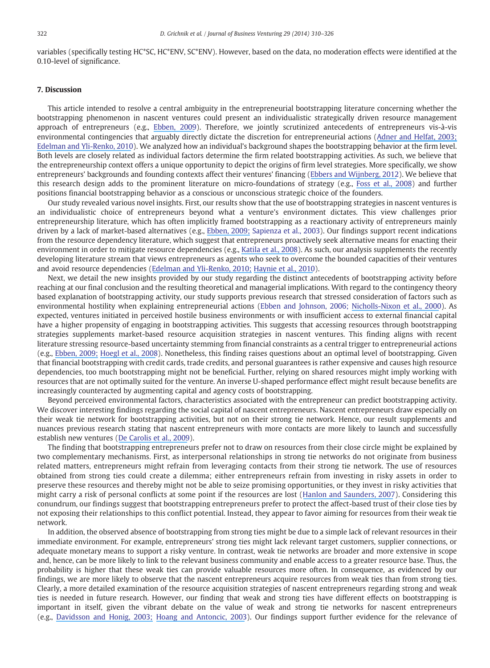variables (specifically testing HC\*SC, HC\*ENV, SC\*ENV). However, based on the data, no moderation effects were identified at the 0.10-level of significance.

#### 7. Discussion

This article intended to resolve a central ambiguity in the entrepreneurial bootstrapping literature concerning whether the bootstrapping phenomenon in nascent ventures could present an individualistic strategically driven resource management approach of entrepreneurs (e.g., [Ebben, 2009](#page-16-0)). Therefore, we jointly scrutinized antecedents of entrepreneurs vis-à-vis environmental contingencies that arguably directly dictate the discretion for entrepreneurial actions ([Adner](https://www.researchgate.net/publication/227628517_Corporate_Effects_and_Dynamic_Managerial_Capabilities?el=1_x_8&enrichId=rgreq-4ec0cca50bc7534f32b4d70224e43ad0-XXX&enrichSource=Y292ZXJQYWdlOzI2MDAxMTE1MjtBUzozNTc5ODE2MDM1NDkxODZAMTQ2MjM2MDg3MzQ5Mg==)[and](https://www.researchgate.net/publication/227628517_Corporate_Effects_and_Dynamic_Managerial_Capabilities?el=1_x_8&enrichId=rgreq-4ec0cca50bc7534f32b4d70224e43ad0-XXX&enrichSource=Y292ZXJQYWdlOzI2MDAxMTE1MjtBUzozNTc5ODE2MDM1NDkxODZAMTQ2MjM2MDg3MzQ5Mg==)[Helfat,](https://www.researchgate.net/publication/227628517_Corporate_Effects_and_Dynamic_Managerial_Capabilities?el=1_x_8&enrichId=rgreq-4ec0cca50bc7534f32b4d70224e43ad0-XXX&enrichSource=Y292ZXJQYWdlOzI2MDAxMTE1MjtBUzozNTc5ODE2MDM1NDkxODZAMTQ2MjM2MDg3MzQ5Mg==)[2003;](https://www.researchgate.net/publication/227628517_Corporate_Effects_and_Dynamic_Managerial_Capabilities?el=1_x_8&enrichId=rgreq-4ec0cca50bc7534f32b4d70224e43ad0-XXX&enrichSource=Y292ZXJQYWdlOzI2MDAxMTE1MjtBUzozNTc5ODE2MDM1NDkxODZAMTQ2MjM2MDg3MzQ5Mg==) [Edelman and Yli-Renko, 2010\)](#page-16-0). We analyzed how an individual's background shapes the bootstrapping behavior at the firm level. Both levels are closely related as individual factors determine the firm related bootstrapping activities. As such, we believe that the entrepreneurship context offers a unique opportunity to depict the origins of firm level strategies. More specifically, we show entrepreneurs' backgrounds and founding contexts affect their ventures' financing ([Ebbers and Wijnberg, 2012](#page-16-0)). We believe that this research design adds to the prominent literature on micro-foundations of strategy (e.g., [Foss et al., 2008\)](#page-16-0) and further positions financial bootstrapping behavior as a conscious or unconscious strategic choice of the founders.

Our study revealed various novel insights. First, our results show that the use of bootstrapping strategies in nascent ventures is an individualistic choice of entrepreneurs beyond what a venture's environment dictates. This view challenges prior entrepreneurship literature, which has often implicitly framed bootstrapping as a reactionary activity of entrepreneurs mainly driven by a lack of market-based alternatives (e.g., [Ebben, 2009; Sapienza et al., 2003](#page-16-0)). Our findings support recent indications from the resource dependency literature, which suggest that entrepreneurs proactively seek alternative means for enacting their environment in order to mitigate resource dependencies (e.g., [Katila et al., 2008\)](#page-16-0). As such, our analysis supplements the recently developing literature stream that views entrepreneurs as agents who seek to overcome the bounded capacities of their ventures and avoid resource dependencies ([Edelman and Yli-Renko, 2010; Haynie et al., 2010\)](#page-16-0).

Next, we detail the new insights provided by our study regarding the distinct antecedents of bootstrapping activity before reaching at our final conclusion and the resulting theoretical and managerial implications. With regard to the contingency theory based explanation of bootstrapping activity, our study supports previous research that stressed consideration of factors such as environmental hostility when explaining entrepreneurial actions [\(Ebben and Johnson, 2006; Nicholls-Nixon et al., 2000](#page-16-0)). As expected, ventures initiated in perceived hostile business environments or with insufficient access to external financial capital have a higher propensity of engaging in bootstrapping activities. This suggests that accessing resources through bootstrapping strategies supplements market-based resource acquisition strategies in nascent ventures. This finding aligns with recent literature stressing resource-based uncertainty stemming from financial constraints as a central trigger to entrepreneurial actions (e.g., [Ebben, 2009; Hoegl et al., 2008](#page-16-0)). Nonetheless, this finding raises questions about an optimal level of bootstrapping. Given that financial bootstrapping with credit cards, trade credits, and personal guarantees is rather expensive and causes high resource dependencies, too much bootstrapping might not be beneficial. Further, relying on shared resources might imply working with resources that are not optimally suited for the venture. An inverse U-shaped performance effect might result because benefits are increasingly counteracted by augmenting capital and agency costs of bootstrapping.

Beyond perceived environmental factors, characteristics associated with the entrepreneur can predict bootstrapping activity. We discover interesting findings regarding the social capital of nascent entrepreneurs. Nascent entrepreneurs draw especially on their weak tie network for bootstrapping activities, but not on their strong tie network. Hence, our result supplements and nuances previous research stating that nascent entrepreneurs with more contacts are more likely to launch and successfully establish new ventures [\(De Carolis et al., 2009\)](#page-16-0).

The finding that bootstrapping entrepreneurs prefer not to draw on resources from their close circle might be explained by two complementary mechanisms. First, as interpersonal relationships in strong tie networks do not originate from business related matters, entrepreneurs might refrain from leveraging contacts from their strong tie network. The use of resources obtained from strong ties could create a dilemma; either entrepreneurs refrain from investing in risky assets in order to preserve these resources and thereby might not be able to seize promising opportunities, or they invest in risky activities that might carry a risk of personal conflicts at some point if the resources are lost [\(Hanlon and Saunders, 2007\)](#page-16-0). Considering this conundrum, our findings suggest that bootstrapping entrepreneurs prefer to protect the affect-based trust of their close ties by not exposing their relationships to this conflict potential. Instead, they appear to favor aiming for resources from their weak tie network.

In addition, the observed absence of bootstrapping from strong ties might be due to a simple lack of relevant resources in their immediate environment. For example, entrepreneurs' strong ties might lack relevant target customers, supplier connections, or adequate monetary means to support a risky venture. In contrast, weak tie networks are broader and more extensive in scope and, hence, can be more likely to link to the relevant business community and enable access to a greater resource base. Thus, the probability is higher that these weak ties can provide valuable resources more often. In consequence, as evidenced by our findings, we are more likely to observe that the nascent entrepreneurs acquire resources from weak ties than from strong ties. Clearly, a more detailed examination of the resource acquisition strategies of nascent entrepreneurs regarding strong and weak ties is needed in future research. However, our finding that weak and strong ties have different effects on bootstrapping is important in itself, given the vibrant debate on the value of weak and strong tie networks for nascent entrepreneurs (e.g., [Davidsson and Honig, 2003; Hoang and Antoncic, 2003](#page-16-0)). Our findings support further evidence for the relevance of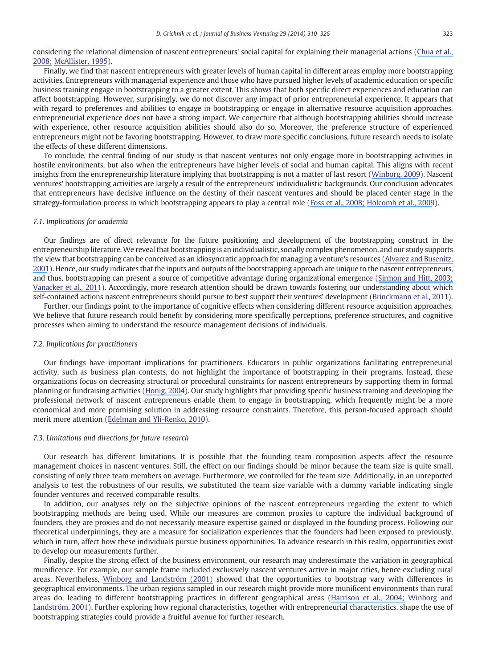considering the relational dimension of nascent entrepreneurs' social capital for explaining their managerial actions [\(C](#page-16-0)[hua](https://www.researchgate.net/publication/241114473_From_the_Head_and_the_Heart_Locating_Cognition-_and_Affect-Based_Trust_in_Managers)[et](https://www.researchgate.net/publication/241114473_From_the_Head_and_the_Heart_Locating_Cognition-_and_Affect-Based_Trust_in_Managers)[al.,](https://www.researchgate.net/publication/241114473_From_the_Head_and_the_Heart_Locating_Cognition-_and_Affect-Based_Trust_in_Managers) [2008; McAllister, 1995\)](#page-16-0).

Finally, we find that nascent entrepreneurs with greater levels of human capital in different areas employ more bootstrapping activities. Entrepreneurs with managerial experience and those who have pursued higher levels of academic education or specific business training engage in bootstrapping to a greater extent. This shows that both specific direct experiences and education can affect bootstrapping. However, surprisingly, we do not discover any impact of prior entrepreneurial experience. It appears that with regard to preferences and abilities to engage in bootstrapping or engage in alternative resource acquisition approaches, entrepreneurial experience does not have a strong impact. We conjecture that although bootstrapping abilities should increase with experience, other resource acquisition abilities should also do so. Moreover, the preference structure of experienced entrepreneurs might not be favoring bootstrapping. However, to draw more specific conclusions, future research needs to isolate the effects of these different dimensions.

To conclude, the central finding of our study is that nascent ventures not only engage more in bootstrapping activities in hostile environments, but also when the entrepreneurs have higher levels of social and human capital. This aligns with recent insights from the entrepreneurship literature implying that bootstrapping is not a matter of last resort ([Winborg, 2009\)](#page-17-0). Nascent ventures' bootstrapping activities are largely a result of the entrepreneurs' individualistic backgrounds. Our conclusion advocates that entrepreneurs have decisive influence on the destiny of their nascent ventures and should be placed center stage in the strategy-formulation process in which bootstrapping appears to play a central role ([Foss et al., 2008; Holcomb et al., 2009\)](#page-16-0).

#### 7.1. Implications for academia

Our findings are of direct relevance for the future positioning and development of the bootstrapping construct in the entrepreneurship literature. We reveal that bootstrapping is an individualistic, socially complex phenomenon, and our study supports the view that bootstrapping can be conceived as an idiosyncratic approach for managing a venture's resources ([Alvarez](https://www.researchgate.net/publication/228264534_The_Entrepreneurship_of_Resource-Based_Theory?el=1_x_8&enrichId=rgreq-4ec0cca50bc7534f32b4d70224e43ad0-XXX&enrichSource=Y292ZXJQYWdlOzI2MDAxMTE1MjtBUzozNTc5ODE2MDM1NDkxODZAMTQ2MjM2MDg3MzQ5Mg==)[and](https://www.researchgate.net/publication/228264534_The_Entrepreneurship_of_Resource-Based_Theory?el=1_x_8&enrichId=rgreq-4ec0cca50bc7534f32b4d70224e43ad0-XXX&enrichSource=Y292ZXJQYWdlOzI2MDAxMTE1MjtBUzozNTc5ODE2MDM1NDkxODZAMTQ2MjM2MDg3MzQ5Mg==)[Busenitz,](https://www.researchgate.net/publication/228264534_The_Entrepreneurship_of_Resource-Based_Theory?el=1_x_8&enrichId=rgreq-4ec0cca50bc7534f32b4d70224e43ad0-XXX&enrichSource=Y292ZXJQYWdlOzI2MDAxMTE1MjtBUzozNTc5ODE2MDM1NDkxODZAMTQ2MjM2MDg3MzQ5Mg==) [2001\)](#page-16-0). Hence, our study indicates that the inputs and outputs of the bootstrapping approach are unique to the nascent entrepreneurs, and thus, bootstrapping can present a source of competitive advantage during organizational emergence [\(S](#page-17-0)[irmon](https://www.researchgate.net/publication/228171414_Managing_Resources_Linking_Unique_Resources_Management_and_Wealth_Creation_in_Family_Firms?el=1_x_8&enrichId=rgreq-4ec0cca50bc7534f32b4d70224e43ad0-XXX&enrichSource=Y292ZXJQYWdlOzI2MDAxMTE1MjtBUzozNTc5ODE2MDM1NDkxODZAMTQ2MjM2MDg3MzQ5Mg==)[and](https://www.researchgate.net/publication/228171414_Managing_Resources_Linking_Unique_Resources_Management_and_Wealth_Creation_in_Family_Firms?el=1_x_8&enrichId=rgreq-4ec0cca50bc7534f32b4d70224e43ad0-XXX&enrichSource=Y292ZXJQYWdlOzI2MDAxMTE1MjtBUzozNTc5ODE2MDM1NDkxODZAMTQ2MjM2MDg3MzQ5Mg==)[Hitt,](https://www.researchgate.net/publication/228171414_Managing_Resources_Linking_Unique_Resources_Management_and_Wealth_Creation_in_Family_Firms?el=1_x_8&enrichId=rgreq-4ec0cca50bc7534f32b4d70224e43ad0-XXX&enrichSource=Y292ZXJQYWdlOzI2MDAxMTE1MjtBUzozNTc5ODE2MDM1NDkxODZAMTQ2MjM2MDg3MzQ5Mg==)[2003;](https://www.researchgate.net/publication/228171414_Managing_Resources_Linking_Unique_Resources_Management_and_Wealth_Creation_in_Family_Firms?el=1_x_8&enrichId=rgreq-4ec0cca50bc7534f32b4d70224e43ad0-XXX&enrichSource=Y292ZXJQYWdlOzI2MDAxMTE1MjtBUzozNTc5ODE2MDM1NDkxODZAMTQ2MjM2MDg3MzQ5Mg==) [Vanacker et al., 2011\)](#page-17-0). Accordingly, more research attention should be drawn towards fostering our understanding about which self-contained actions nascent entrepreneurs should pursue to best support their ventures' development ([Brinckmann et al., 2011\)](#page-16-0).

Further, our findings point to the importance of cognitive effects when considering different resource acquisition approaches. We believe that future research could benefit by considering more specifically perceptions, preference structures, and cognitive processes when aiming to understand the resource management decisions of individuals.

#### 7.2. Implications for practitioners

Our findings have important implications for practitioners. Educators in public organizations facilitating entrepreneurial activity, such as business plan contests, do not highlight the importance of bootstrapping in their programs. Instead, these organizations focus on decreasing structural or procedural constraints for nascent entrepreneurs by supporting them in formal planning or fundraising activities [\(Honig, 2004](#page-16-0)). Our study highlights that providing specific business training and developing the professional network of nascent entrepreneurs enable them to engage in bootstrapping, which frequently might be a more economical and more promising solution in addressing resource constraints. Therefore, this person-focused approach should merit more attention ([E](#page-16-0)[delman](https://www.researchgate.net/publication/227950339_The_Impact_of_Environment_and_Entrepreneurial_Perceptions_On_Venture-Creation_Efforts_Bridging_the_Discovery_and_Creation_Views_of_Entrepreneurship?el=1_x_8&enrichId=rgreq-4ec0cca50bc7534f32b4d70224e43ad0-XXX&enrichSource=Y292ZXJQYWdlOzI2MDAxMTE1MjtBUzozNTc5ODE2MDM1NDkxODZAMTQ2MjM2MDg3MzQ5Mg==)[and](https://www.researchgate.net/publication/227950339_The_Impact_of_Environment_and_Entrepreneurial_Perceptions_On_Venture-Creation_Efforts_Bridging_the_Discovery_and_Creation_Views_of_Entrepreneurship?el=1_x_8&enrichId=rgreq-4ec0cca50bc7534f32b4d70224e43ad0-XXX&enrichSource=Y292ZXJQYWdlOzI2MDAxMTE1MjtBUzozNTc5ODE2MDM1NDkxODZAMTQ2MjM2MDg3MzQ5Mg==)[Yli-Renko,](https://www.researchgate.net/publication/227950339_The_Impact_of_Environment_and_Entrepreneurial_Perceptions_On_Venture-Creation_Efforts_Bridging_the_Discovery_and_Creation_Views_of_Entrepreneurship?el=1_x_8&enrichId=rgreq-4ec0cca50bc7534f32b4d70224e43ad0-XXX&enrichSource=Y292ZXJQYWdlOzI2MDAxMTE1MjtBUzozNTc5ODE2MDM1NDkxODZAMTQ2MjM2MDg3MzQ5Mg==)[201](https://www.researchgate.net/publication/227950339_The_Impact_of_Environment_and_Entrepreneurial_Perceptions_On_Venture-Creation_Efforts_Bridging_the_Discovery_and_Creation_Views_of_Entrepreneurship?el=1_x_8&enrichId=rgreq-4ec0cca50bc7534f32b4d70224e43ad0-XXX&enrichSource=Y292ZXJQYWdlOzI2MDAxMTE1MjtBUzozNTc5ODE2MDM1NDkxODZAMTQ2MjM2MDg3MzQ5Mg==)[0\)](#page-16-0).

#### 7.3. Limitations and directions for future research

Our research has different limitations. It is possible that the founding team composition aspects affect the resource management choices in nascent ventures. Still, the effect on our findings should be minor because the team size is quite small, consisting of only three team members on average. Furthermore, we controlled for the team size. Additionally, in an unreported analysis to test the robustness of our results, we substituted the team size variable with a dummy variable indicating single founder ventures and received comparable results.

In addition, our analyses rely on the subjective opinions of the nascent entrepreneurs regarding the extent to which bootstrapping methods are being used. While our measures are common proxies to capture the individual background of founders, they are proxies and do not necessarily measure expertise gained or displayed in the founding process. Following our theoretical underpinnings, they are a measure for socialization experiences that the founders had been exposed to previously, which in turn, affect how these individuals pursue business opportunities. To advance research in this realm, opportunities exist to develop our measurements further.

Finally, despite the strong effect of the business environment, our research may underestimate the variation in geographical munificence. For example, our sample frame included exclusively nascent ventures active in major cities, hence excluding rural areas. Nevertheless, [Winborg and Landström \(2001\)](#page-17-0) showed that the opportunities to bootstrap vary with differences in geographical environments. The urban regions sampled in our research might provide more munificent environments than rural areas do, leading to different bootstrapping practices in different geographical areas ([Harrison et al., 2004; Winborg and](#page-16-0) [Landström, 2001\)](#page-16-0). Further exploring how regional characteristics, together with entrepreneurial characteristics, shape the use of bootstrapping strategies could provide a fruitful avenue for further research.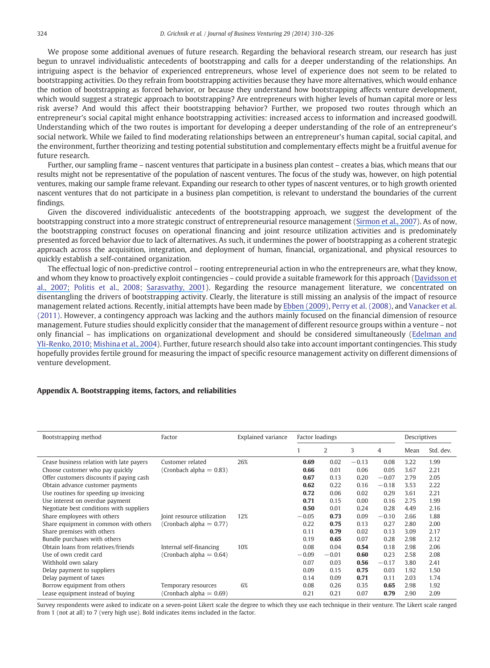<span id="page-15-0"></span>We propose some additional avenues of future research. Regarding the behavioral research stream, our research has just begun to unravel individualistic antecedents of bootstrapping and calls for a deeper understanding of the relationships. An intriguing aspect is the behavior of experienced entrepreneurs, whose level of experience does not seem to be related to bootstrapping activities. Do they refrain from bootstrapping activities because they have more alternatives, which would enhance the notion of bootstrapping as forced behavior, or because they understand how bootstrapping affects venture development, which would suggest a strategic approach to bootstrapping? Are entrepreneurs with higher levels of human capital more or less risk averse? And would this affect their bootstrapping behavior? Further, we proposed two routes through which an entrepreneur's social capital might enhance bootstrapping activities: increased access to information and increased goodwill. Understanding which of the two routes is important for developing a deeper understanding of the role of an entrepreneur's social network. While we failed to find moderating relationships between an entrepreneur's human capital, social capital, and the environment, further theorizing and testing potential substitution and complementary effects might be a fruitful avenue for future research.

Further, our sampling frame – nascent ventures that participate in a business plan contest – creates a bias, which means that our results might not be representative of the population of nascent ventures. The focus of the study was, however, on high potential ventures, making our sample frame relevant. Expanding our research to other types of nascent ventures, or to high growth oriented nascent ventures that do not participate in a business plan competition, is relevant to understand the boundaries of the current findings.

Given the discovered individualistic antecedents of the bootstrapping approach, we suggest the development of the bootstrapping construct into a more strategic construct of entrepreneurial resource management ([Sirmon](https://www.researchgate.net/publication/228171417_Managing_Firm_Resources_in_Dynamic_Environments_to_Create_Value_Looking_Inside_the_Black_Box?el=1_x_8&enrichId=rgreq-4ec0cca50bc7534f32b4d70224e43ad0-XXX&enrichSource=Y292ZXJQYWdlOzI2MDAxMTE1MjtBUzozNTc5ODE2MDM1NDkxODZAMTQ2MjM2MDg3MzQ5Mg==)[et](https://www.researchgate.net/publication/228171417_Managing_Firm_Resources_in_Dynamic_Environments_to_Create_Value_Looking_Inside_the_Black_Box?el=1_x_8&enrichId=rgreq-4ec0cca50bc7534f32b4d70224e43ad0-XXX&enrichSource=Y292ZXJQYWdlOzI2MDAxMTE1MjtBUzozNTc5ODE2MDM1NDkxODZAMTQ2MjM2MDg3MzQ5Mg==)[al.,](https://www.researchgate.net/publication/228171417_Managing_Firm_Resources_in_Dynamic_Environments_to_Create_Value_Looking_Inside_the_Black_Box?el=1_x_8&enrichId=rgreq-4ec0cca50bc7534f32b4d70224e43ad0-XXX&enrichSource=Y292ZXJQYWdlOzI2MDAxMTE1MjtBUzozNTc5ODE2MDM1NDkxODZAMTQ2MjM2MDg3MzQ5Mg==)[200](https://www.researchgate.net/publication/228171417_Managing_Firm_Resources_in_Dynamic_Environments_to_Create_Value_Looking_Inside_the_Black_Box?el=1_x_8&enrichId=rgreq-4ec0cca50bc7534f32b4d70224e43ad0-XXX&enrichSource=Y292ZXJQYWdlOzI2MDAxMTE1MjtBUzozNTc5ODE2MDM1NDkxODZAMTQ2MjM2MDg3MzQ5Mg==)[7\)](#page-17-0). As of now, the bootstrapping construct focuses on operational financing and joint resource utilization activities and is predominately presented as forced behavior due to lack of alternatives. As such, it undermines the power of bootstrapping as a coherent strategic approach across the acquisition, integration, and deployment of human, financial, organizational, and physical resources to quickly establish a self-contained organization.

The effectual logic of non-predictive control – rooting entrepreneurial action in who the entrepreneurs are, what they know, and whom they know to proactively exploit contingencies – could provide a suitable framework for this approach ([Davidsson](https://www.researchgate.net/publication/285914609_What_do_we_know_about_small_firm_growth_in_the_life_cycle_of_entrepreneurial_ventures?el=1_x_8&enrichId=rgreq-4ec0cca50bc7534f32b4d70224e43ad0-XXX&enrichSource=Y292ZXJQYWdlOzI2MDAxMTE1MjtBUzozNTc5ODE2MDM1NDkxODZAMTQ2MjM2MDg3MzQ5Mg==)[e](https://www.researchgate.net/publication/285914609_What_do_we_know_about_small_firm_growth_in_the_life_cycle_of_entrepreneurial_ventures?el=1_x_8&enrichId=rgreq-4ec0cca50bc7534f32b4d70224e43ad0-XXX&enrichSource=Y292ZXJQYWdlOzI2MDAxMTE1MjtBUzozNTc5ODE2MDM1NDkxODZAMTQ2MjM2MDg3MzQ5Mg==)[t](#page-16-0) [al., 2007; Politis et al., 2008; Sarasvathy, 2001](#page-16-0)). Regarding the resource management literature, we concentrated on disentangling the drivers of bootstrapping activity. Clearly, the literature is still missing an analysis of the impact of resource management related actions. Recently, initial attempts have been made by [Ebben \(2009\)](#page-16-0), [Perry et al. \(2008\)](#page-17-0), and [Vanacker et al.](#page-17-0) [\(2011\)](#page-17-0). However, a contingency approach was lacking and the authors mainly focused on the financial dimension of resource management. Future studies should explicitly consider that the management of different resource groups within a venture – not only financial – has implications on organizational development and should be considered simultaneously ([Edelman and](#page-16-0) [Yli-Renko,](https://www.researchgate.net/publication/227950339_The_Impact_of_Environment_and_Entrepreneurial_Perceptions_On_Venture-Creation_Efforts_Bridging_the_Discovery_and_Creation_Views_of_Entrepreneurship?el=1_x_8&enrichId=rgreq-4ec0cca50bc7534f32b4d70224e43ad0-XXX&enrichSource=Y292ZXJQYWdlOzI2MDAxMTE1MjtBUzozNTc5ODE2MDM1NDkxODZAMTQ2MjM2MDg3MzQ5Mg==)[2010](https://www.researchgate.net/publication/227950339_The_Impact_of_Environment_and_Entrepreneurial_Perceptions_On_Venture-Creation_Efforts_Bridging_the_Discovery_and_Creation_Views_of_Entrepreneurship?el=1_x_8&enrichId=rgreq-4ec0cca50bc7534f32b4d70224e43ad0-XXX&enrichSource=Y292ZXJQYWdlOzI2MDAxMTE1MjtBUzozNTc5ODE2MDM1NDkxODZAMTQ2MjM2MDg3MzQ5Mg==)[; M](#page-16-0)[ishina](https://www.researchgate.net/publication/227605864_Are_More_Resources_Always_Better_for_Growth_Resource_Stickiness_in_Market_and_Product_Expansion?el=1_x_8&enrichId=rgreq-4ec0cca50bc7534f32b4d70224e43ad0-XXX&enrichSource=Y292ZXJQYWdlOzI2MDAxMTE1MjtBUzozNTc5ODE2MDM1NDkxODZAMTQ2MjM2MDg3MzQ5Mg==)[et](https://www.researchgate.net/publication/227605864_Are_More_Resources_Always_Better_for_Growth_Resource_Stickiness_in_Market_and_Product_Expansion?el=1_x_8&enrichId=rgreq-4ec0cca50bc7534f32b4d70224e43ad0-XXX&enrichSource=Y292ZXJQYWdlOzI2MDAxMTE1MjtBUzozNTc5ODE2MDM1NDkxODZAMTQ2MjM2MDg3MzQ5Mg==)[al.,](https://www.researchgate.net/publication/227605864_Are_More_Resources_Always_Better_for_Growth_Resource_Stickiness_in_Market_and_Product_Expansion?el=1_x_8&enrichId=rgreq-4ec0cca50bc7534f32b4d70224e43ad0-XXX&enrichSource=Y292ZXJQYWdlOzI2MDAxMTE1MjtBUzozNTc5ODE2MDM1NDkxODZAMTQ2MjM2MDg3MzQ5Mg==)[200](https://www.researchgate.net/publication/227605864_Are_More_Resources_Always_Better_for_Growth_Resource_Stickiness_in_Market_and_Product_Expansion?el=1_x_8&enrichId=rgreq-4ec0cca50bc7534f32b4d70224e43ad0-XXX&enrichSource=Y292ZXJQYWdlOzI2MDAxMTE1MjtBUzozNTc5ODE2MDM1NDkxODZAMTQ2MjM2MDg3MzQ5Mg==)[4](#page-16-0)). Further, future research should also take into account important contingencies. This study hopefully provides fertile ground for measuring the impact of specific resource management activity on different dimensions of venture development.

#### Appendix A. Bootstrapping items, factors, and reliabilities

| Bootstrapping method                     | Factor                     | Explained variance | Factor loadings |         | Descriptives |         |      |           |
|------------------------------------------|----------------------------|--------------------|-----------------|---------|--------------|---------|------|-----------|
|                                          |                            |                    |                 | 2       | 3            | 4       | Mean | Std. dev. |
| Cease business relation with late payers | Customer related           | 26%                | 0.69            | 0.02    | $-0.13$      | 0.08    | 3.22 | 1.99      |
| Choose customer who pay quickly          | (Cronbach alpha = $0.83$ ) |                    | 0.66            | 0.01    | 0.06         | 0.05    | 3.67 | 2.21      |
| Offer customers discounts if paying cash |                            |                    | 0.67            | 0.13    | 0.20         | $-0.07$ | 2.79 | 2.05      |
| Obtain advance customer payments         |                            |                    | 0.62            | 0.22    | 0.16         | $-0.18$ | 3.53 | 2.22      |
| Use routines for speeding up invoicing   |                            |                    | 0.72            | 0.06    | 0.02         | 0.29    | 3.61 | 2.21      |
| Use interest on overdue payment          |                            |                    | 0.71            | 0.15    | 0.00         | 0.16    | 2.75 | 1.99      |
| Negotiate best conditions with suppliers |                            |                    | 0.50            | 0.01    | 0.24         | 0.28    | 4.49 | 2.16      |
| Share employees with others              | Joint resource utilization | 12%                | $-0.05$         | 0.73    | 0.09         | $-0.10$ | 2.66 | 1.88      |
| Share equipment in common with others    | (Cronbach alpha $= 0.77$ ) |                    | 0.22            | 0.75    | 0.13         | 0.27    | 2.80 | 2.00      |
| Share premises with others               |                            |                    | 0.11            | 0.79    | 0.02         | 0.13    | 3.09 | 2.17      |
| Bundle purchases with others             |                            |                    | 0.19            | 0.65    | 0.07         | 0.28    | 2.98 | 2.12      |
| Obtain loans from relatives/friends      | Internal self-financing    | 10%                | 0.08            | 0.04    | 0.54         | 0.18    | 2.98 | 2.06      |
| Use of own credit card                   | (Cronbach alpha $= 0.64$ ) |                    | $-0.09$         | $-0.01$ | 0.60         | 0.23    | 2.58 | 2.08      |
| Withhold own salary                      |                            |                    | 0.07            | 0.03    | 0.56         | $-0.17$ | 3.80 | 2.41      |
| Delay payment to suppliers               |                            |                    | 0.09            | 0.15    | 0.75         | 0.03    | 1.92 | 1.50      |
| Delay payment of taxes                   |                            |                    | 0.14            | 0.09    | 0.71         | 0.11    | 2.03 | 1.74      |
| Borrow equipment from others             | Temporary resources        | 6%                 | 0.08            | 0.26    | 0.35         | 0.65    | 2.98 | 1.92      |
| Lease equipment instead of buying        | (Cronbach alpha $= 0.69$ ) |                    | 0.21            | 0.21    | 0.07         | 0.79    | 2.90 | 2.09      |

Survey respondents were asked to indicate on a seven-point Likert scale the degree to which they use each technique in their venture. The Likert scale ranged from 1 (not at all) to 7 (very high use). Bold indicates items included in the factor.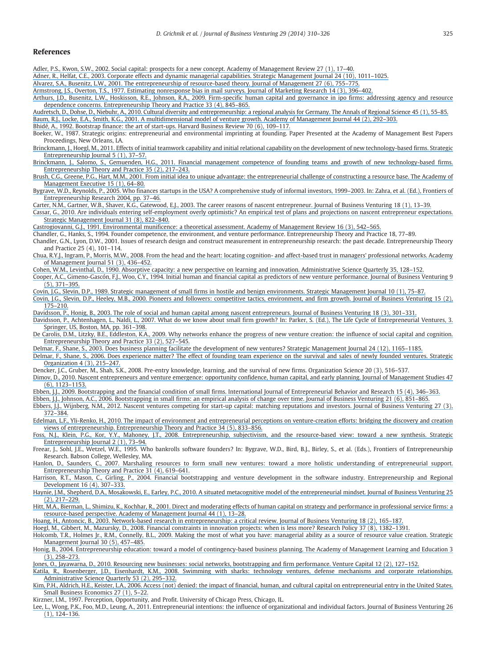#### <span id="page-16-0"></span>References

[Adler, P.S., Kwon, S.W., 2002. Social capital: prospects for a new concept. Academy of Management Review 27 \(1\), 17](https://www.researchgate.net/publication/51992897_Social_Capital_Prospects_for_A_New_Concept?el=1_x_8&enrichId=rgreq-4ec0cca50bc7534f32b4d70224e43ad0-XXX&enrichSource=Y292ZXJQYWdlOzI2MDAxMTE1MjtBUzozNTc5ODE2MDM1NDkxODZAMTQ2MjM2MDg3MzQ5Mg==)–40.

[Adner, R., Helfat, C.E., 2003. Corporate effects and dynamic managerial capabilities. Strategic Management Journal 24 \(10\), 1011](https://www.researchgate.net/publication/227628517_Corporate_Effects_and_Dynamic_Managerial_Capabilities?el=1_x_8&enrichId=rgreq-4ec0cca50bc7534f32b4d70224e43ad0-XXX&enrichSource=Y292ZXJQYWdlOzI2MDAxMTE1MjtBUzozNTc5ODE2MDM1NDkxODZAMTQ2MjM2MDg3MzQ5Mg==)–1025.

[Alvarez, S.A., Busenitz, L.W., 2001. The entrepreneurship of resource-based theory. Journal of Management 27 \(6\), 755](https://www.researchgate.net/publication/228264534_The_Entrepreneurship_of_Resource-Based_Theory?el=1_x_8&enrichId=rgreq-4ec0cca50bc7534f32b4d70224e43ad0-XXX&enrichSource=Y292ZXJQYWdlOzI2MDAxMTE1MjtBUzozNTc5ODE2MDM1NDkxODZAMTQ2MjM2MDg3MzQ5Mg==)–775.

[Armstrong, J.S., Overton, T.S., 1977. Estimating nonresponse bias in mail surveys. Journal of Marketing Research 14 \(3\), 396](https://www.researchgate.net/publication/23745083_Estimating_Nonresponse_Bias_in_Mail_Survey?el=1_x_8&enrichId=rgreq-4ec0cca50bc7534f32b4d70224e43ad0-XXX&enrichSource=Y292ZXJQYWdlOzI2MDAxMTE1MjtBUzozNTc5ODE2MDM1NDkxODZAMTQ2MjM2MDg3MzQ5Mg==)–402.

[Arthurs, J.D., Busenitz, L.W., Hoskisson, R.E., Johnson, R.A., 2009. Firm-specific human capital and governance in ipo firms: addressing agency and resource](https://www.researchgate.net/publication/227671843_Firm-Specific_Human_Capital_and_Governance_in_IPO_Firms_Addressing_Agency_and_Resource_Dependence_Concerns?el=1_x_8&enrichId=rgreq-4ec0cca50bc7534f32b4d70224e43ad0-XXX&enrichSource=Y292ZXJQYWdlOzI2MDAxMTE1MjtBUzozNTc5ODE2MDM1NDkxODZAMTQ2MjM2MDg3MzQ5Mg==) [dependence concerns. Entrepreneurship Theory and Practice 33 \(4\), 845](https://www.researchgate.net/publication/227671843_Firm-Specific_Human_Capital_and_Governance_in_IPO_Firms_Addressing_Agency_and_Resource_Dependence_Concerns?el=1_x_8&enrichId=rgreq-4ec0cca50bc7534f32b4d70224e43ad0-XXX&enrichSource=Y292ZXJQYWdlOzI2MDAxMTE1MjtBUzozNTc5ODE2MDM1NDkxODZAMTQ2MjM2MDg3MzQ5Mg==)–865.

[Audretsch, D., Dohse, D., Niebuhr, A., 2010. Cultural diversity and entrepreneurship: a regional analysis for Germany. The Annals of Regional Science 45 \(1\), 55](https://www.researchgate.net/publication/24016501_Cultural_Diversity_and_Entrepreneurship_A_Regional_Analysis_for_Germany?el=1_x_8&enrichId=rgreq-4ec0cca50bc7534f32b4d70224e43ad0-XXX&enrichSource=Y292ZXJQYWdlOzI2MDAxMTE1MjtBUzozNTc5ODE2MDM1NDkxODZAMTQ2MjM2MDg3MzQ5Mg==)–85. [Baum, R.J., Locke, E.A., Smith, K.G., 2001. A multidimensional model of venture growth. Academy of Management Journal 44 \(2\), 292](https://www.researchgate.net/publication/228314247_A_Multi-Dimensional_Model_of_Venture_Growth?el=1_x_8&enrichId=rgreq-4ec0cca50bc7534f32b4d70224e43ad0-XXX&enrichSource=Y292ZXJQYWdlOzI2MDAxMTE1MjtBUzozNTc5ODE2MDM1NDkxODZAMTQ2MjM2MDg3MzQ5Mg==)–303.

[Bhidé, A., 1992. Bootstrap finance: the art of start-ups. Harvard Business Review 70 \(6\), 109](https://www.researchgate.net/publication/13174665_Bootstrap_Finance_The_Art_of_Start-Ups?el=1_x_8&enrichId=rgreq-4ec0cca50bc7534f32b4d70224e43ad0-XXX&enrichSource=Y292ZXJQYWdlOzI2MDAxMTE1MjtBUzozNTc5ODE2MDM1NDkxODZAMTQ2MjM2MDg3MzQ5Mg==)–117.

Boeker, W., 1987. Strategic origins: entrepreneurial and environmental imprinting at founding. Paper Presented at the Academy of Management Best Papers Proceedings, New Orleans, LA.

Brinckmann,  $\int$ , Hoegl, M., 2011. Effects of initial teamwork capability and initial relational capability on the development of new technology-based firms. Strategic [Entrepreneurship Journal 5 \(1\), 37](https://www.researchgate.net/publication/264358018_Effects_of_Initial_Teamwork_Capability_and_Initial_Relational_Capability_on_the_Development_of_New_Technology-Based_Firms?el=1_x_8&enrichId=rgreq-4ec0cca50bc7534f32b4d70224e43ad0-XXX&enrichSource=Y292ZXJQYWdlOzI2MDAxMTE1MjtBUzozNTc5ODE2MDM1NDkxODZAMTQ2MjM2MDg3MzQ5Mg==)–57.

[Brinckmann, J., Salomo, S., Gemuenden, H.G., 2011. Financial management competence of founding teams and growth of new technology-based firms.](https://www.researchgate.net/publication/227969048_Financial_Management_Competence_of_Founding_Teams_and_Growth_of_New_Technology-Based_Firms?el=1_x_8&enrichId=rgreq-4ec0cca50bc7534f32b4d70224e43ad0-XXX&enrichSource=Y292ZXJQYWdlOzI2MDAxMTE1MjtBUzozNTc5ODE2MDM1NDkxODZAMTQ2MjM2MDg3MzQ5Mg==) [Entrepreneurship Theory and Practice 35 \(2\), 217](https://www.researchgate.net/publication/227969048_Financial_Management_Competence_of_Founding_Teams_and_Growth_of_New_Technology-Based_Firms?el=1_x_8&enrichId=rgreq-4ec0cca50bc7534f32b4d70224e43ad0-XXX&enrichSource=Y292ZXJQYWdlOzI2MDAxMTE1MjtBUzozNTc5ODE2MDM1NDkxODZAMTQ2MjM2MDg3MzQ5Mg==)–243.

[Brush, C.G., Greene, P.G., Hart, M.M., 2001. From initial idea to unique advantage: the entrepreneurial challenge of constructing a resource base. The Academy of](https://www.researchgate.net/publication/3228143_From_Initial_Idea_to_Unique_Advantage_The_Entrepreneurial_Challenge_of_Constructing_a_Resource_Base?el=1_x_8&enrichId=rgreq-4ec0cca50bc7534f32b4d70224e43ad0-XXX&enrichSource=Y292ZXJQYWdlOzI2MDAxMTE1MjtBUzozNTc5ODE2MDM1NDkxODZAMTQ2MjM2MDg3MzQ5Mg==) [Management Executive 15 \(1\), 64](https://www.researchgate.net/publication/3228143_From_Initial_Idea_to_Unique_Advantage_The_Entrepreneurial_Challenge_of_Constructing_a_Resource_Base?el=1_x_8&enrichId=rgreq-4ec0cca50bc7534f32b4d70224e43ad0-XXX&enrichSource=Y292ZXJQYWdlOzI2MDAxMTE1MjtBUzozNTc5ODE2MDM1NDkxODZAMTQ2MjM2MDg3MzQ5Mg==)–80.

[Bygrave, W.D., Reynolds, P., 2005. Who finances startups in the USA? A comprehensive study of informal investors, 1999](https://www.researchgate.net/publication/228292613_Who_Finances_Startups_in_the_USA_A_Comprehensive_Study_of_Informal_Investors_1999-2003?el=1_x_8&enrichId=rgreq-4ec0cca50bc7534f32b4d70224e43ad0-XXX&enrichSource=Y292ZXJQYWdlOzI2MDAxMTE1MjtBUzozNTc5ODE2MDM1NDkxODZAMTQ2MjM2MDg3MzQ5Mg==)–2003. In: Zahra, et al. (Ed.), Frontiers of [Entrepreneurship Research 2004, pp. 37](https://www.researchgate.net/publication/228292613_Who_Finances_Startups_in_the_USA_A_Comprehensive_Study_of_Informal_Investors_1999-2003?el=1_x_8&enrichId=rgreq-4ec0cca50bc7534f32b4d70224e43ad0-XXX&enrichSource=Y292ZXJQYWdlOzI2MDAxMTE1MjtBUzozNTc5ODE2MDM1NDkxODZAMTQ2MjM2MDg3MzQ5Mg==)–46.

[Carter, N.M., Gartner, W.B., Shaver, K.G., Gatewood, E.J., 2003. The career reasons of nascent entrepreneur. Journal of Business Venturing 18 \(1\), 13](https://www.researchgate.net/publication/222537764_The_Career_Reasons_of_Nascent_Entrepreneurs?el=1_x_8&enrichId=rgreq-4ec0cca50bc7534f32b4d70224e43ad0-XXX&enrichSource=Y292ZXJQYWdlOzI2MDAxMTE1MjtBUzozNTc5ODE2MDM1NDkxODZAMTQ2MjM2MDg3MzQ5Mg==)–39.

[Cassar, G., 2010. Are individuals entering self-employment overly optimistic? An empirical test of plans and projections on nascent entrepreneur expectations.](https://www.researchgate.net/publication/228210831_Are_Individuals_Entering_Self-Employment_Overly-Optimistic_An_Empirical_Test_of_Plans_and_Projections_on_Nascent_Entrepreneur_Expectations?el=1_x_8&enrichId=rgreq-4ec0cca50bc7534f32b4d70224e43ad0-XXX&enrichSource=Y292ZXJQYWdlOzI2MDAxMTE1MjtBUzozNTc5ODE2MDM1NDkxODZAMTQ2MjM2MDg3MzQ5Mg==) [Strategic Management Journal 31 \(8\), 822](https://www.researchgate.net/publication/228210831_Are_Individuals_Entering_Self-Employment_Overly-Optimistic_An_Empirical_Test_of_Plans_and_Projections_on_Nascent_Entrepreneur_Expectations?el=1_x_8&enrichId=rgreq-4ec0cca50bc7534f32b4d70224e43ad0-XXX&enrichSource=Y292ZXJQYWdlOzI2MDAxMTE1MjtBUzozNTc5ODE2MDM1NDkxODZAMTQ2MjM2MDg3MzQ5Mg==)–840.

[Castrogiovanni, G.J., 1991. Environmental munificence: a theoretical assessment. Academy of Management Review 16 \(3\), 542](https://www.researchgate.net/publication/274752231_Environmental_Munificence_A_Theoretical_Assessment?el=1_x_8&enrichId=rgreq-4ec0cca50bc7534f32b4d70224e43ad0-XXX&enrichSource=Y292ZXJQYWdlOzI2MDAxMTE1MjtBUzozNTc5ODE2MDM1NDkxODZAMTQ2MjM2MDg3MzQ5Mg==)–565.

Chandler, G., Hanks, S., 1994. Founder competence, the environment, and venture performance. Entrepreneurship Theory and Practice 18, 77–89.

- Chandler, G.N., Lyon, D.W., 2001. Issues of research design and construct measurement in entrepreneurship research: the past decade. Entrepreneurship Theory and Practice 25 (4), 101–114.
- [Chua, R.Y.J., Ingram, P., Morris, M.W., 2008. From the head and the heart: locating cognition- and affect-based trust in managers' professional networks. Academy](https://www.researchgate.net/publication/241114473_From_the_Head_and_the_Heart_Locating_Cognition-_and_Affect-Based_Trust_in_Managers) [of Management Journal 51 \(3\), 436](https://www.researchgate.net/publication/241114473_From_the_Head_and_the_Heart_Locating_Cognition-_and_Affect-Based_Trust_in_Managers)–452.

[Cohen, W.M., Levinthal, D., 1990. Absorptive capacity: a new perspective on learning and innovation. Administrative Science Quarterly 35, 128](https://www.researchgate.net/publication/220019726_Absorptive_Capacity_A_New_Perspective_on_Learning_and_Innovation?el=1_x_8&enrichId=rgreq-4ec0cca50bc7534f32b4d70224e43ad0-XXX&enrichSource=Y292ZXJQYWdlOzI2MDAxMTE1MjtBUzozNTc5ODE2MDM1NDkxODZAMTQ2MjM2MDg3MzQ5Mg==)–152.

[Cooper, A.C., Gimeno-Gascón, F.J., Woo, C.Y., 1994. Initial human and financial capital as predictors of new venture performance. Journal of Business Venturing 9](https://www.researchgate.net/publication/222124127_Initial_Human_and_Financial_Capital_As_Predictors_of_New_Venture_Performance?el=1_x_8&enrichId=rgreq-4ec0cca50bc7534f32b4d70224e43ad0-XXX&enrichSource=Y292ZXJQYWdlOzI2MDAxMTE1MjtBUzozNTc5ODE2MDM1NDkxODZAMTQ2MjM2MDg3MzQ5Mg==) [\(5\), 371](https://www.researchgate.net/publication/222124127_Initial_Human_and_Financial_Capital_As_Predictors_of_New_Venture_Performance?el=1_x_8&enrichId=rgreq-4ec0cca50bc7534f32b4d70224e43ad0-XXX&enrichSource=Y292ZXJQYWdlOzI2MDAxMTE1MjtBUzozNTc5ODE2MDM1NDkxODZAMTQ2MjM2MDg3MzQ5Mg==)–395.

[Covin, J.G., Slevin, D.P., 1989. Strategic management of small firms in hostile and benign environments. Strategic Management Journal 10 \(1\), 75](https://www.researchgate.net/publication/228314332_Strategic_Management_of_Small_Firms_in_Hostile_and_Benign_Environments_Strategic_Management_Journal_Jg_10_S_75-87?el=1_x_8&enrichId=rgreq-4ec0cca50bc7534f32b4d70224e43ad0-XXX&enrichSource=Y292ZXJQYWdlOzI2MDAxMTE1MjtBUzozNTc5ODE2MDM1NDkxODZAMTQ2MjM2MDg3MzQ5Mg==)–87.

[Covin, J.G., Slevin, D.P., Heeley, M.B., 2000. Pioneers and followers: competitive tactics, environment, and firm growth. Journal of Business Venturing 15 \(2\),](https://www.researchgate.net/publication/223772550_Pioneers_and_followers_Competitive_tactics_environment_and_firm_growth?el=1_x_8&enrichId=rgreq-4ec0cca50bc7534f32b4d70224e43ad0-XXX&enrichSource=Y292ZXJQYWdlOzI2MDAxMTE1MjtBUzozNTc5ODE2MDM1NDkxODZAMTQ2MjM2MDg3MzQ5Mg==) 175–[210.](https://www.researchgate.net/publication/223772550_Pioneers_and_followers_Competitive_tactics_environment_and_firm_growth?el=1_x_8&enrichId=rgreq-4ec0cca50bc7534f32b4d70224e43ad0-XXX&enrichSource=Y292ZXJQYWdlOzI2MDAxMTE1MjtBUzozNTc5ODE2MDM1NDkxODZAMTQ2MjM2MDg3MzQ5Mg==)

[Davidsson, P., Honig, B., 2003. The role of social and human capital among nascent entrepreneurs. Journal of Business Venturing 18 \(3\), 301](https://www.researchgate.net/publication/222302662_The_Role_of_Social_And_Human_Capital_Among_Nascent_Entrepreneurs?el=1_x_8&enrichId=rgreq-4ec0cca50bc7534f32b4d70224e43ad0-XXX&enrichSource=Y292ZXJQYWdlOzI2MDAxMTE1MjtBUzozNTc5ODE2MDM1NDkxODZAMTQ2MjM2MDg3MzQ5Mg==)–331.

[Davidsson, P., Achtenhagen, L., Naldi, L., 2007. What do we know about small firm growth? In: Parker, S. \(Ed.\), The Life Cycle of Entrepreneurial Ventures, 3.](https://www.researchgate.net/publication/285914609_What_do_we_know_about_small_firm_growth_in_the_life_cycle_of_entrepreneurial_ventures?el=1_x_8&enrichId=rgreq-4ec0cca50bc7534f32b4d70224e43ad0-XXX&enrichSource=Y292ZXJQYWdlOzI2MDAxMTE1MjtBUzozNTc5ODE2MDM1NDkxODZAMTQ2MjM2MDg3MzQ5Mg==) [Springer, US, Boston, MA, pp. 361](https://www.researchgate.net/publication/285914609_What_do_we_know_about_small_firm_growth_in_the_life_cycle_of_entrepreneurial_ventures?el=1_x_8&enrichId=rgreq-4ec0cca50bc7534f32b4d70224e43ad0-XXX&enrichSource=Y292ZXJQYWdlOzI2MDAxMTE1MjtBUzozNTc5ODE2MDM1NDkxODZAMTQ2MjM2MDg3MzQ5Mg==)-398.<br>De Carolis, D.M., Litzky, B.E., Eddleston, K.A.,

. 2009. Why networks enhance the progress of new venture creation: the influence of social capital and cognition. [Entrepreneurship Theory and Practice 33 \(2\), 527](https://www.researchgate.net/publication/227676159_Why_Networks_Enhance_the_Progress_of_New_Venture_Creation_The_Influence_of_Social_Capital_and_Cognition?el=1_x_8&enrichId=rgreq-4ec0cca50bc7534f32b4d70224e43ad0-XXX&enrichSource=Y292ZXJQYWdlOzI2MDAxMTE1MjtBUzozNTc5ODE2MDM1NDkxODZAMTQ2MjM2MDg3MzQ5Mg==)–545.

[Delmar, F., Shane, S., 2003. Does business planning facilitate the development of new ventures? Strategic Management Journal 24 \(12\), 1165](https://www.researchgate.net/publication/40966855_Does_Business_Planning_Facilitate_the_Development_of_New_Ventures?el=1_x_8&enrichId=rgreq-4ec0cca50bc7534f32b4d70224e43ad0-XXX&enrichSource=Y292ZXJQYWdlOzI2MDAxMTE1MjtBUzozNTc5ODE2MDM1NDkxODZAMTQ2MjM2MDg3MzQ5Mg==)–1185.

[Delmar, F., Shane, S., 2006. Does experience matter? The effect of founding team experience on the survival and sales of newly founded ventures. Strategic](https://www.researchgate.net/publication/239540396_Does_Experience_Matter_The_Effect_of_Founding_Team_Experience_on_the_Survival_and_Sales_of_Newly_Founded_Ventures?el=1_x_8&enrichId=rgreq-4ec0cca50bc7534f32b4d70224e43ad0-XXX&enrichSource=Y292ZXJQYWdlOzI2MDAxMTE1MjtBUzozNTc5ODE2MDM1NDkxODZAMTQ2MjM2MDg3MzQ5Mg==) [Organization 4 \(3\), 215](https://www.researchgate.net/publication/239540396_Does_Experience_Matter_The_Effect_of_Founding_Team_Experience_on_the_Survival_and_Sales_of_Newly_Founded_Ventures?el=1_x_8&enrichId=rgreq-4ec0cca50bc7534f32b4d70224e43ad0-XXX&enrichSource=Y292ZXJQYWdlOzI2MDAxMTE1MjtBUzozNTc5ODE2MDM1NDkxODZAMTQ2MjM2MDg3MzQ5Mg==)–247.

Dencker, J.C., Gruber, M., Shah, S.K., 2008. Pre-entry knowledge, learning, and the survival of new firms. Organization Science 20 (3), 516–537.

[Dimov, D., 2010. Nascent entrepreneurs and venture emergence: opportunity confidence, human capital, and early planning. Journal of Management Studies 47](https://www.researchgate.net/publication/227375575_Nascent_Entrepreneurs_and_Venture_Emergence_Opportunity_Confidence_Human_Capital_and_Early_Planning?el=1_x_8&enrichId=rgreq-4ec0cca50bc7534f32b4d70224e43ad0-XXX&enrichSource=Y292ZXJQYWdlOzI2MDAxMTE1MjtBUzozNTc5ODE2MDM1NDkxODZAMTQ2MjM2MDg3MzQ5Mg==) [\(6\), 1123](https://www.researchgate.net/publication/227375575_Nascent_Entrepreneurs_and_Venture_Emergence_Opportunity_Confidence_Human_Capital_and_Early_Planning?el=1_x_8&enrichId=rgreq-4ec0cca50bc7534f32b4d70224e43ad0-XXX&enrichSource=Y292ZXJQYWdlOzI2MDAxMTE1MjtBUzozNTc5ODE2MDM1NDkxODZAMTQ2MjM2MDg3MzQ5Mg==)–1153.

[Ebben, J.J., 2009. Bootstrapping and the financial condition of small firms. International Journal of Entrepreneurial Behavior and Research 15 \(4\), 346](https://www.researchgate.net/publication/235261869_Bootstrapping_and_the_financial_condition_of_small_firms?el=1_x_8&enrichId=rgreq-4ec0cca50bc7534f32b4d70224e43ad0-XXX&enrichSource=Y292ZXJQYWdlOzI2MDAxMTE1MjtBUzozNTc5ODE2MDM1NDkxODZAMTQ2MjM2MDg3MzQ5Mg==)–363.

[Ebben, J.J., Johnson, A.C., 2006. Bootstrapping in small firms: an empirical analysis of change over time. Journal of Business Venturing 21 \(6\), 851](https://www.researchgate.net/publication/222269245_Bootstrapping_in_small_firms_An_empirical_analysis_of_change_over_time?el=1_x_8&enrichId=rgreq-4ec0cca50bc7534f32b4d70224e43ad0-XXX&enrichSource=Y292ZXJQYWdlOzI2MDAxMTE1MjtBUzozNTc5ODE2MDM1NDkxODZAMTQ2MjM2MDg3MzQ5Mg==)–865.

[Ebbers, J.J., Wijnberg, N.M., 2012. Nascent ventures competing for start-up capital: matching reputations and investors. Journal of Business Venturing 27 \(3\),](https://www.researchgate.net/publication/228240370_Nascent_Ventures_Competing_for_Start-Up_Capital_Matching_Reputations_and_Investors?el=1_x_8&enrichId=rgreq-4ec0cca50bc7534f32b4d70224e43ad0-XXX&enrichSource=Y292ZXJQYWdlOzI2MDAxMTE1MjtBUzozNTc5ODE2MDM1NDkxODZAMTQ2MjM2MDg3MzQ5Mg==) 372–[384.](https://www.researchgate.net/publication/228240370_Nascent_Ventures_Competing_for_Start-Up_Capital_Matching_Reputations_and_Investors?el=1_x_8&enrichId=rgreq-4ec0cca50bc7534f32b4d70224e43ad0-XXX&enrichSource=Y292ZXJQYWdlOzI2MDAxMTE1MjtBUzozNTc5ODE2MDM1NDkxODZAMTQ2MjM2MDg3MzQ5Mg==)

- [Edelman, L.F., Yli-Renko, H., 2010. The impact of environment and entrepreneurial perceptions on venture-creation efforts: bridging the discovery and creation](https://www.researchgate.net/publication/227950339_The_Impact_of_Environment_and_Entrepreneurial_Perceptions_On_Venture-Creation_Efforts_Bridging_the_Discovery_and_Creation_Views_of_Entrepreneurship?el=1_x_8&enrichId=rgreq-4ec0cca50bc7534f32b4d70224e43ad0-XXX&enrichSource=Y292ZXJQYWdlOzI2MDAxMTE1MjtBUzozNTc5ODE2MDM1NDkxODZAMTQ2MjM2MDg3MzQ5Mg==) [views of entrepreneurship. Entrepreneurship Theory and Practice 34 \(5\), 833](https://www.researchgate.net/publication/227950339_The_Impact_of_Environment_and_Entrepreneurial_Perceptions_On_Venture-Creation_Efforts_Bridging_the_Discovery_and_Creation_Views_of_Entrepreneurship?el=1_x_8&enrichId=rgreq-4ec0cca50bc7534f32b4d70224e43ad0-XXX&enrichSource=Y292ZXJQYWdlOzI2MDAxMTE1MjtBUzozNTc5ODE2MDM1NDkxODZAMTQ2MjM2MDg3MzQ5Mg==)–856.
- [Foss, N.J., Klein, P.G., Kor, Y.Y., Mahoney, J.T., 2008. Entrepreneurship, subjectivism, and the resource-based view: toward a new synthesis. Strategic](https://www.researchgate.net/publication/302568542_Entrepreneurship_Subjectivism_and_the_Resource-Based_View_Toward_a_New_Synthesis?el=1_x_8&enrichId=rgreq-4ec0cca50bc7534f32b4d70224e43ad0-XXX&enrichSource=Y292ZXJQYWdlOzI2MDAxMTE1MjtBUzozNTc5ODE2MDM1NDkxODZAMTQ2MjM2MDg3MzQ5Mg==) [Entrepreneurship Journal 2 \(1\), 73](https://www.researchgate.net/publication/302568542_Entrepreneurship_Subjectivism_and_the_Resource-Based_View_Toward_a_New_Synthesis?el=1_x_8&enrichId=rgreq-4ec0cca50bc7534f32b4d70224e43ad0-XXX&enrichSource=Y292ZXJQYWdlOzI2MDAxMTE1MjtBUzozNTc5ODE2MDM1NDkxODZAMTQ2MjM2MDg3MzQ5Mg==)–94.

Freear, J., Sohl, J.E., Wetzel, W.E., 1995. Who bankrolls software founders? In: Bygrave, W.D., Bird, B.J., Birley, S., et al. (Eds.), Frontiers of Entrepreneurship Research. Babson College, Wellesley, MA.

[Hanlon, D., Saunders, C., 2007. Marshaling resources to form small new ventures: toward a more holistic understanding of entrepreneurial support.](https://www.researchgate.net/publication/228271404_Marshaling_Resources_to_Form_Small_New_Ventures_Toward_a_More_Holistic_Understanding_of_Entrepreneurial_Support?el=1_x_8&enrichId=rgreq-4ec0cca50bc7534f32b4d70224e43ad0-XXX&enrichSource=Y292ZXJQYWdlOzI2MDAxMTE1MjtBUzozNTc5ODE2MDM1NDkxODZAMTQ2MjM2MDg3MzQ5Mg==) [Entrepreneurship Theory and Practice 31 \(4\), 619](https://www.researchgate.net/publication/228271404_Marshaling_Resources_to_Form_Small_New_Ventures_Toward_a_More_Holistic_Understanding_of_Entrepreneurial_Support?el=1_x_8&enrichId=rgreq-4ec0cca50bc7534f32b4d70224e43ad0-XXX&enrichSource=Y292ZXJQYWdlOzI2MDAxMTE1MjtBUzozNTc5ODE2MDM1NDkxODZAMTQ2MjM2MDg3MzQ5Mg==)–641.

[Harrison, R.T., Mason, C., Girling, P., 2004. Financial bootstrapping and venture development in the software industry. Entrepreneurship and Regional](https://www.researchgate.net/publication/228602829_Financial_bootstrapping_and_venture_development_the_software_industry?el=1_x_8&enrichId=rgreq-4ec0cca50bc7534f32b4d70224e43ad0-XXX&enrichSource=Y292ZXJQYWdlOzI2MDAxMTE1MjtBUzozNTc5ODE2MDM1NDkxODZAMTQ2MjM2MDg3MzQ5Mg==) [Development 16 \(4\), 307](https://www.researchgate.net/publication/228602829_Financial_bootstrapping_and_venture_development_the_software_industry?el=1_x_8&enrichId=rgreq-4ec0cca50bc7534f32b4d70224e43ad0-XXX&enrichSource=Y292ZXJQYWdlOzI2MDAxMTE1MjtBUzozNTc5ODE2MDM1NDkxODZAMTQ2MjM2MDg3MzQ5Mg==)–333.

[Haynie, J.M., Shepherd, D.A., Mosakowski, E., Earley, P.C., 2010. A situated metacognitive model of the entrepreneurial mindset. Journal of Business Venturing 25](https://www.researchgate.net/publication/223337749_A_situated_metacognitive_model_of_the_entrepreneurial_mindset?el=1_x_8&enrichId=rgreq-4ec0cca50bc7534f32b4d70224e43ad0-XXX&enrichSource=Y292ZXJQYWdlOzI2MDAxMTE1MjtBUzozNTc5ODE2MDM1NDkxODZAMTQ2MjM2MDg3MzQ5Mg==) [\(2\), 217](https://www.researchgate.net/publication/223337749_A_situated_metacognitive_model_of_the_entrepreneurial_mindset?el=1_x_8&enrichId=rgreq-4ec0cca50bc7534f32b4d70224e43ad0-XXX&enrichSource=Y292ZXJQYWdlOzI2MDAxMTE1MjtBUzozNTc5ODE2MDM1NDkxODZAMTQ2MjM2MDg3MzQ5Mg==)–229.

[Hitt, M.A., Bierman, L., Shimizu, K., Kochhar, R., 2001. Direct and moderating effects of human capital on strategy and performance in professional service firms: a](https://www.researchgate.net/publication/270330523_Direct_and_Moderating_Effects_of_Human_Capital_on_Strategy_and_Performance_in_Professional_Service_Firms_A_Resource-Based_Perspective?el=1_x_8&enrichId=rgreq-4ec0cca50bc7534f32b4d70224e43ad0-XXX&enrichSource=Y292ZXJQYWdlOzI2MDAxMTE1MjtBUzozNTc5ODE2MDM1NDkxODZAMTQ2MjM2MDg3MzQ5Mg==) [resource-based perspective. Academy of Management Journal 44 \(1\), 13](https://www.researchgate.net/publication/270330523_Direct_and_Moderating_Effects_of_Human_Capital_on_Strategy_and_Performance_in_Professional_Service_Firms_A_Resource-Based_Perspective?el=1_x_8&enrichId=rgreq-4ec0cca50bc7534f32b4d70224e43ad0-XXX&enrichSource=Y292ZXJQYWdlOzI2MDAxMTE1MjtBUzozNTc5ODE2MDM1NDkxODZAMTQ2MjM2MDg3MzQ5Mg==)–28.

[Hoang, H., Antoncic, B., 2003. Network-based research in entrepreneurship: a critical review. Journal of Business Venturing 18 \(2\), 165](https://www.researchgate.net/publication/223405209_Network-Based_Research_in_Entrepreneurship_A_Critical_Review?el=1_x_8&enrichId=rgreq-4ec0cca50bc7534f32b4d70224e43ad0-XXX&enrichSource=Y292ZXJQYWdlOzI2MDAxMTE1MjtBUzozNTc5ODE2MDM1NDkxODZAMTQ2MjM2MDg3MzQ5Mg==)–187.

[Hoegl, M., Gibbert, M., Mazursky, D., 2008. Financial constraints in innovation projects: when is less more? Research Policy 37 \(8\), 1382](https://www.researchgate.net/publication/222660143_Financial_constraints_in_innovation_projects_When_is_less_more?el=1_x_8&enrichId=rgreq-4ec0cca50bc7534f32b4d70224e43ad0-XXX&enrichSource=Y292ZXJQYWdlOzI2MDAxMTE1MjtBUzozNTc5ODE2MDM1NDkxODZAMTQ2MjM2MDg3MzQ5Mg==)–1391.

[Holcomb, T.R., Holmes Jr., R.M., Connelly, B.L., 2009. Making the most of what you have: managerial ability as a source of resource value creation. Strategic](https://www.researchgate.net/publication/227730309_Making_the_most_of_what_you_have_Managerial_ability_as_a_source_of_resource_value_creation?el=1_x_8&enrichId=rgreq-4ec0cca50bc7534f32b4d70224e43ad0-XXX&enrichSource=Y292ZXJQYWdlOzI2MDAxMTE1MjtBUzozNTc5ODE2MDM1NDkxODZAMTQ2MjM2MDg3MzQ5Mg==) [Management Journal 30 \(5\), 457](https://www.researchgate.net/publication/227730309_Making_the_most_of_what_you_have_Managerial_ability_as_a_source_of_resource_value_creation?el=1_x_8&enrichId=rgreq-4ec0cca50bc7534f32b4d70224e43ad0-XXX&enrichSource=Y292ZXJQYWdlOzI2MDAxMTE1MjtBUzozNTc5ODE2MDM1NDkxODZAMTQ2MjM2MDg3MzQ5Mg==)–485.

[Honig, B., 2004. Entrepreneurship education: toward a model of contingency-based business planning. The Academy of Management Learning and Education 3](https://www.researchgate.net/publication/253483251_Entrepreneurship_Education_Toward_A_Model_Of_Contingency_Based_Business_Planning?el=1_x_8&enrichId=rgreq-4ec0cca50bc7534f32b4d70224e43ad0-XXX&enrichSource=Y292ZXJQYWdlOzI2MDAxMTE1MjtBUzozNTc5ODE2MDM1NDkxODZAMTQ2MjM2MDg3MzQ5Mg==) [\(3\), 258](https://www.researchgate.net/publication/253483251_Entrepreneurship_Education_Toward_A_Model_Of_Contingency_Based_Business_Planning?el=1_x_8&enrichId=rgreq-4ec0cca50bc7534f32b4d70224e43ad0-XXX&enrichSource=Y292ZXJQYWdlOzI2MDAxMTE1MjtBUzozNTc5ODE2MDM1NDkxODZAMTQ2MjM2MDg3MzQ5Mg==)–273.

[Jones, O., Jayawarna, D., 2010. Resourcing new businesses: social networks, bootstrapping and firm performance. Venture Capital 12 \(2\), 127](https://www.researchgate.net/publication/233198159_Resourcing_new_businesses_Social_networks_bootstrapping_and_firm_performance?el=1_x_8&enrichId=rgreq-4ec0cca50bc7534f32b4d70224e43ad0-XXX&enrichSource=Y292ZXJQYWdlOzI2MDAxMTE1MjtBUzozNTc5ODE2MDM1NDkxODZAMTQ2MjM2MDg3MzQ5Mg==)–152.

[Katila, R., Rosenberger, J.D., Eisenhardt, K.M., 2008. Swimming with sharks: technology ventures, defense mechanisms and corporate relationships.](https://www.researchgate.net/publication/247870312_Swimming_with_Sharks_Technology_Ventures_Defense_Mechanisms_and_Corporate_Relationships?el=1_x_8&enrichId=rgreq-4ec0cca50bc7534f32b4d70224e43ad0-XXX&enrichSource=Y292ZXJQYWdlOzI2MDAxMTE1MjtBUzozNTc5ODE2MDM1NDkxODZAMTQ2MjM2MDg3MzQ5Mg==) [Administrative Science Quarterly 53 \(2\), 295](https://www.researchgate.net/publication/247870312_Swimming_with_Sharks_Technology_Ventures_Defense_Mechanisms_and_Corporate_Relationships?el=1_x_8&enrichId=rgreq-4ec0cca50bc7534f32b4d70224e43ad0-XXX&enrichSource=Y292ZXJQYWdlOzI2MDAxMTE1MjtBUzozNTc5ODE2MDM1NDkxODZAMTQ2MjM2MDg3MzQ5Mg==)–332.

[Kim, P.H., Aldrich, H.E., Keister, L.A., 2006. Access \(not\) denied: the impact of financial, human, and cultural capital on entrepreneurial entry in](https://www.researchgate.net/publication/5158366_Access_Not_Denied_The_Impact_of_Financial_Human_and_Cultural_Capital_on_Entrepreneurial_Entryin_the_United_States?el=1_x_8&enrichId=rgreq-4ec0cca50bc7534f32b4d70224e43ad0-XXX&enrichSource=Y292ZXJQYWdlOzI2MDAxMTE1MjtBUzozNTc5ODE2MDM1NDkxODZAMTQ2MjM2MDg3MzQ5Mg==) the United States. [Small Business Economics 27 \(1\), 5](https://www.researchgate.net/publication/5158366_Access_Not_Denied_The_Impact_of_Financial_Human_and_Cultural_Capital_on_Entrepreneurial_Entryin_the_United_States?el=1_x_8&enrichId=rgreq-4ec0cca50bc7534f32b4d70224e43ad0-XXX&enrichSource=Y292ZXJQYWdlOzI2MDAxMTE1MjtBUzozNTc5ODE2MDM1NDkxODZAMTQ2MjM2MDg3MzQ5Mg==)–22.

Kirzner, I.M., 1997. Perception, Opportunity, and Profit. University of Chicago Press, Chicago, IL.

[Lee, L., Wong, P.K., Foo, M.D., Leung, A., 2011. Entrepreneurial intentions: the influence of organizational and individual factors. Journal of Business Venturing 26](https://www.researchgate.net/publication/222813944_Entrepreneurial_Intentions_The_Influence_of_Organizational_and_Individual_Factors?el=1_x_8&enrichId=rgreq-4ec0cca50bc7534f32b4d70224e43ad0-XXX&enrichSource=Y292ZXJQYWdlOzI2MDAxMTE1MjtBUzozNTc5ODE2MDM1NDkxODZAMTQ2MjM2MDg3MzQ5Mg==) [\(1\), 124](https://www.researchgate.net/publication/222813944_Entrepreneurial_Intentions_The_Influence_of_Organizational_and_Individual_Factors?el=1_x_8&enrichId=rgreq-4ec0cca50bc7534f32b4d70224e43ad0-XXX&enrichSource=Y292ZXJQYWdlOzI2MDAxMTE1MjtBUzozNTc5ODE2MDM1NDkxODZAMTQ2MjM2MDg3MzQ5Mg==)–136.